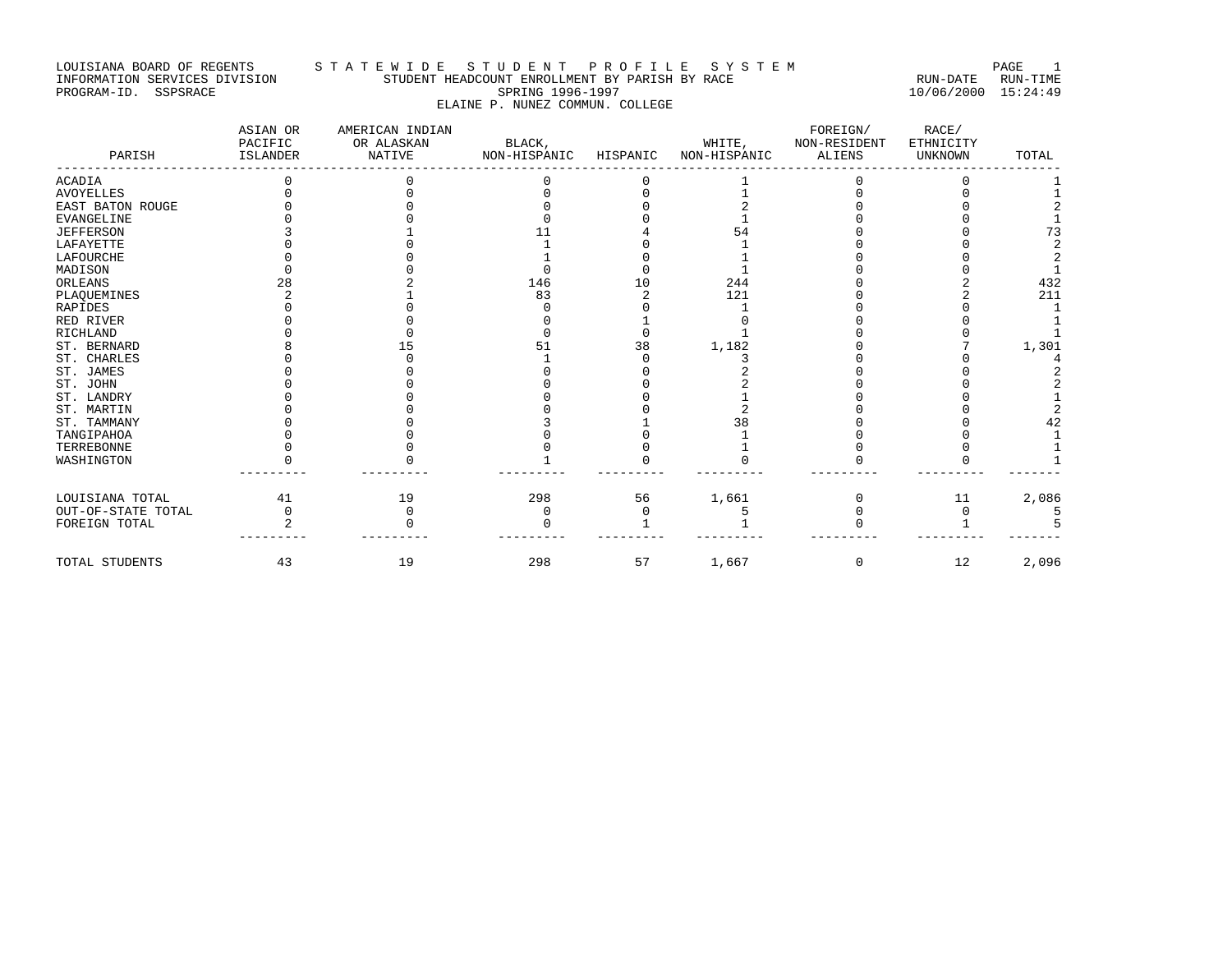#### LOUISIANA BOARD OF REGENTS STA TE WIDE STUDENT PROFILE SYSTEM NAGE 1 INFORMATION SERVICES DIVISION STUDENT HEADCOUNT ENROLLMENT BY PARISH BY RACE RUN-DATE RUN-TIME PROGRAM-ID. SSPSRACE SPRING 1996-1997 10/06/2000 15:24:49 ELAINE P. NUNEZ COMMUN. COLLEGE

| PARISH             | ASIAN OR<br>PACIFIC<br>ISLANDER | AMERICAN INDIAN<br>OR ALASKAN<br><b>NATIVE</b> | BLACK,<br>NON-HISPANIC | HISPANIC | WHITE,<br>NON-HISPANIC | FOREIGN/<br>NON-RESIDENT<br><b>ALIENS</b> | RACE/<br>ETHNICITY<br>UNKNOWN | TOTAL |
|--------------------|---------------------------------|------------------------------------------------|------------------------|----------|------------------------|-------------------------------------------|-------------------------------|-------|
| <b>ACADIA</b>      |                                 |                                                |                        |          |                        |                                           |                               |       |
| <b>AVOYELLES</b>   |                                 |                                                |                        |          |                        |                                           |                               |       |
| EAST BATON ROUGE   |                                 |                                                |                        |          |                        |                                           |                               |       |
| EVANGELINE         |                                 |                                                |                        |          |                        |                                           |                               |       |
| <b>JEFFERSON</b>   |                                 |                                                |                        |          | 54                     |                                           |                               | 73    |
| LAFAYETTE          |                                 |                                                |                        |          |                        |                                           |                               |       |
| LAFOURCHE          |                                 |                                                |                        |          |                        |                                           |                               |       |
| MADISON            |                                 |                                                |                        |          |                        |                                           |                               |       |
| ORLEANS            | 28                              |                                                | 146                    |          | 244                    |                                           |                               | 432   |
| PLAQUEMINES        |                                 |                                                | 83                     |          | 121                    |                                           |                               | 211   |
| RAPIDES            |                                 |                                                |                        |          |                        |                                           |                               |       |
| RED RIVER          |                                 |                                                |                        |          |                        |                                           |                               |       |
| <b>RICHLAND</b>    |                                 |                                                |                        |          |                        |                                           |                               |       |
| ST. BERNARD        |                                 |                                                |                        | 38       | 1,182                  |                                           |                               | 1,301 |
| ST. CHARLES        |                                 |                                                |                        |          |                        |                                           |                               |       |
| ST. JAMES          |                                 |                                                |                        |          |                        |                                           |                               |       |
| ST. JOHN           |                                 |                                                |                        |          |                        |                                           |                               |       |
| ST. LANDRY         |                                 |                                                |                        |          |                        |                                           |                               |       |
| ST. MARTIN         |                                 |                                                |                        |          |                        |                                           |                               |       |
| ST. TAMMANY        |                                 |                                                |                        |          | 38                     |                                           |                               |       |
| TANGIPAHOA         |                                 |                                                |                        |          |                        |                                           |                               |       |
| TERREBONNE         |                                 |                                                |                        |          |                        |                                           |                               |       |
| WASHINGTON         |                                 |                                                |                        |          |                        |                                           |                               |       |
| LOUISIANA TOTAL    | 41                              | 19                                             | 298                    | 56       | 1,661                  |                                           | 11                            | 2,086 |
| OUT-OF-STATE TOTAL | $\mathbf 0$                     |                                                |                        |          |                        |                                           |                               |       |
| FOREIGN TOTAL      |                                 |                                                |                        |          |                        |                                           |                               |       |
| TOTAL STUDENTS     | 43                              | 19                                             | 298                    | 57       | 1,667                  | 0                                         | 12                            | 2,096 |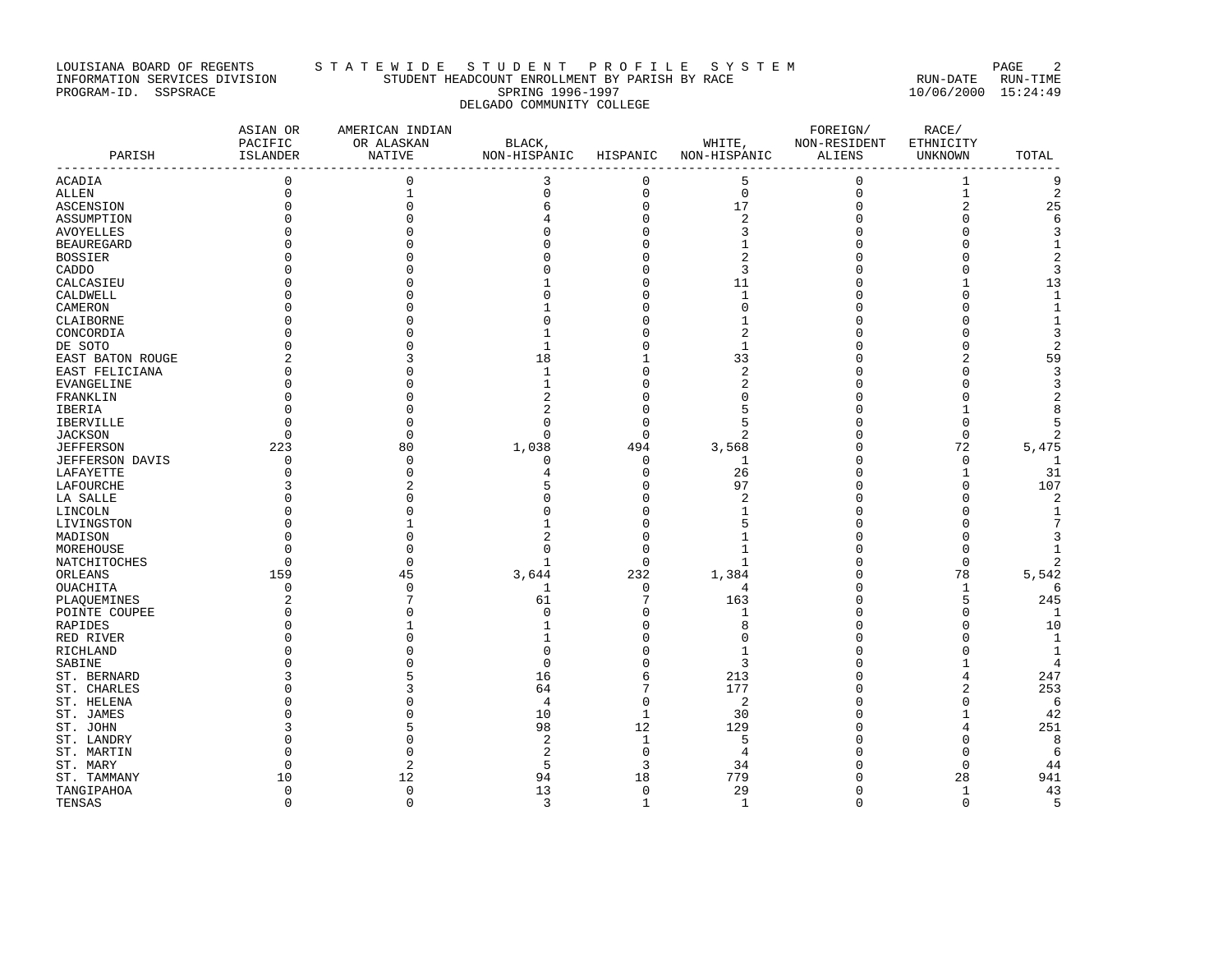# LOUISIANA BOARD OF REGENTS STA TE WIDE STUDENT PROFILE SYSTEM PAGE 2 INFORMATION SERVICES DIVISION STUDENT HEADCOUNT ENROLLMENT BY PARISH BY RACE RUN-DATE RUN-TIME PROGRAM-ID. SSPSRACE SPRING 1996-1997 10/06/2000 15:24:49 DELGADO COMMUNITY COLLEGE

| PARISH            | ASIAN OR<br>PACIFIC<br>ISLANDER<br>------------------------- | AMERICAN INDIAN<br>OR ALASKAN<br>NATIVE | BLACK,<br>NON-HISPANIC HISPANIC |                     | WHITE,<br>NON-HISPANIC | FOREIGN/<br>NON-RESIDENT<br>ALIENS | RACE/<br>ETHNICITY<br>UNKNOWN | TOTAL<br>$- - -$ |
|-------------------|--------------------------------------------------------------|-----------------------------------------|---------------------------------|---------------------|------------------------|------------------------------------|-------------------------------|------------------|
| ACADIA            | $\mathbf{0}$                                                 | $\mathbf{0}$                            | 3                               | 0                   | 5                      | 0                                  | $\mathbf{1}$                  | 9                |
| ALLEN             | $\mathbf 0$                                                  | $1\,$                                   | $\mathbf 0$                     | $\mathsf{O}\xspace$ | $\mathbf 0$            | $\mathsf 0$                        | $\mathbf 1$                   | $\overline{2}$   |
| ASCENSION         | $\mathbf 0$                                                  | $\mathbf{0}$                            | 6                               | 0                   | 17                     | $\mathbf 0$                        | $\overline{2}$                | 25               |
| ASSUMPTION        |                                                              | U                                       |                                 | 0                   | $\overline{2}$         | $\Omega$                           | $\Omega$                      | 6                |
| <b>AVOYELLES</b>  | $\Omega$                                                     | $\Omega$                                |                                 | 0                   | 3                      | $\Omega$                           | $\Omega$                      | 3                |
| <b>BEAUREGARD</b> |                                                              |                                         |                                 | 0                   | -1                     | 0                                  | $\Omega$                      | 1                |
| <b>BOSSIER</b>    |                                                              |                                         |                                 | 0                   |                        | $\sqrt{ }$                         | $\Omega$                      | 2                |
| CADDO             |                                                              |                                         |                                 | 0                   | 3                      | Ω                                  | $\Omega$                      | 3                |
| CALCASIEU         |                                                              |                                         |                                 | O                   | 11                     | n                                  |                               | 13               |
| CALDWELL          | $\Omega$                                                     | $\Omega$                                | n                               | 0                   | $\mathbf{1}$           | $\Omega$                           | $\Omega$                      | $\mathbf{1}$     |
| CAMERON           |                                                              | U                                       |                                 | 0                   | $\Omega$               | ſ                                  | $\Omega$                      | $1\,$            |
| CLAIBORNE         |                                                              | U                                       | n                               | O                   | -1                     | Λ                                  | $\Omega$                      | 1                |
| CONCORDIA         |                                                              | U                                       | $\mathbf{1}$                    | 0                   | 2                      | Ω                                  | $\Omega$                      | 3                |
| DE SOTO           | O                                                            | 0                                       | 1                               | 0                   | 1                      | Ω                                  | $\Omega$                      | $\sqrt{2}$       |
| EAST BATON ROUGE  |                                                              | 3                                       | 18                              | 1                   | 33                     | ſ                                  | $\overline{2}$                | 59               |
| EAST FELICIANA    | $\Omega$                                                     | $\Omega$                                | $\mathbf{1}$                    | 0                   | $\overline{a}$         | $\Omega$                           | $\Omega$                      | 3                |
| EVANGELINE        | O                                                            | U                                       | -1                              | O                   |                        | Λ                                  | ∩                             | 3                |
| FRANKLIN          | $\Omega$                                                     | $\Omega$                                | $\overline{2}$                  | 0                   | $\Omega$               | n                                  | $\Omega$                      | $\boldsymbol{2}$ |
| IBERIA            | $\Omega$                                                     | 0                                       | 2                               | 0                   |                        | Ω                                  | 1                             | 8                |
| IBERVILLE         | $\Omega$                                                     | $\Omega$                                | $\Omega$                        | $\Omega$            |                        | $\sqrt{ }$                         | $\Omega$                      | 5                |
| <b>JACKSON</b>    | $\Omega$                                                     | $\mathbf{0}$                            | $\Omega$                        | $\mathbf 0$         | $\overline{2}$         | $\Omega$                           | $\mathbf 0$                   | $\overline{2}$   |
| JEFFERSON         | 223                                                          | 80                                      | 1,038                           | 494                 | 3,568                  | n                                  | 72                            | 5,475            |
| JEFFERSON DAVIS   | 0                                                            | $\mathbf{0}$                            | $\mathbf 0$                     | $\mathbf 0$         | 1                      | $\Omega$                           | $\mathbf{0}$                  | $\mathbf{1}$     |
| LAFAYETTE         | $\Omega$                                                     | $\Omega$                                |                                 | 0                   | 26                     | $\Omega$                           | 1                             | 31               |
| LAFOURCHE         |                                                              | 2                                       |                                 | 0                   | 97                     | Ω                                  | $\Omega$                      | 107              |
| LA SALLE          |                                                              | $\Omega$                                |                                 | 0                   | 2                      | $\Omega$                           | $\Omega$                      | 2                |
| LINCOLN           |                                                              | $\Omega$                                |                                 | 0                   | -1                     | Ω                                  | $\Omega$                      | 1                |
| LIVINGSTON        | $\Omega$                                                     | 1                                       |                                 | $\Omega$            | 5                      | Ω                                  | $\Omega$                      | 7                |
| MADISON           | $\Omega$                                                     | $\Omega$                                | $\overline{2}$                  | 0                   | $\mathbf{1}$           | Ω                                  | $\Omega$                      | 3                |
| MOREHOUSE         | $\Omega$                                                     | $\cap$                                  | $\cap$                          | $\Omega$            | -1                     | Λ                                  | $\cap$                        |                  |
| NATCHITOCHES      | $\Omega$                                                     | $\mathbf{0}$                            | $\mathbf{1}$                    | $\mathbf 0$         | $\mathbf{1}$           | n                                  | $\mathbf{0}$                  | $\overline{a}$   |
| ORLEANS           | 159                                                          | 45                                      | 3,644                           | 232                 | 1,384                  | 0                                  | 78                            | 5,542            |
| OUACHITA          | $\Omega$                                                     | $\mathbf{0}$                            | 1                               | $\mathbf 0$         | 4                      | $\sqrt{ }$                         | 1                             | 6                |
| PLAQUEMINES       | $\overline{2}$                                               | 7                                       | 61                              | 7                   | 163                    | 0                                  | 5                             | 245              |
| POINTE COUPEE     | U                                                            | U                                       | $\cap$                          | $\Omega$            | -1                     | n                                  | O                             | 1                |
| RAPIDES           | $\Omega$                                                     | $\mathbf{1}$                            | -1                              | $\Omega$            | 8                      | $\Omega$                           | $\Omega$                      | 10               |
| RED RIVER         |                                                              |                                         | -1                              | 0                   |                        | ſ                                  | $\Omega$                      | 1                |
| RICHLAND          |                                                              |                                         | $\Omega$                        | $\Omega$            | $\mathbf{1}$           | Ω                                  | $\Omega$                      | 1                |
| SABINE            |                                                              |                                         | $\Omega$                        | $\Omega$            | 3                      | ſ                                  | 1                             | 4                |
| ST. BERNARD       |                                                              |                                         | 16                              | 6                   | 213                    | Ω                                  | 4                             | 247              |
| ST. CHARLES       | $\Omega$                                                     | 3                                       | 64                              | 7                   | 177                    | Ω                                  | $\overline{2}$                | 253              |
| ST. HELENA        |                                                              | $\Omega$                                | $\overline{4}$                  | 0                   | 2                      | $\Omega$                           | $\Omega$                      | 6                |
| ST. JAMES         |                                                              | U                                       | 10                              | 1                   | 30                     | ∩                                  | 1                             | 42               |
| ST. JOHN          |                                                              | 5                                       | 98                              | 12                  | 129                    | n                                  | 4                             | 251              |
| ST. LANDRY        | 0                                                            | 0                                       | $\overline{2}$                  | 1                   | 5                      | Ω                                  | 0                             | 8                |
| ST. MARTIN        | $\cap$                                                       | $\Omega$                                | $\overline{2}$                  | $\mathbf 0$         | $\overline{4}$         |                                    | $\Omega$                      | 6                |
| ST. MARY          | U                                                            | $\overline{2}$                          | 5                               | 3                   | 34                     | Λ                                  | $\Omega$                      | 44               |
| ST. TAMMANY       | 10                                                           | 12                                      | 94                              | 18                  | 779                    | ſ                                  | 28                            | 941              |
| TANGIPAHOA        | $\mathbf{0}$                                                 | $\mathbf 0$                             | 13                              | 0                   | 29                     | $\Omega$                           | 1                             | 43               |
| TENSAS            | $\Omega$                                                     | $\Omega$                                | 3                               | $\mathbf{1}$        | $\mathbf{1}$           | $\Omega$                           | $\Omega$                      | 5                |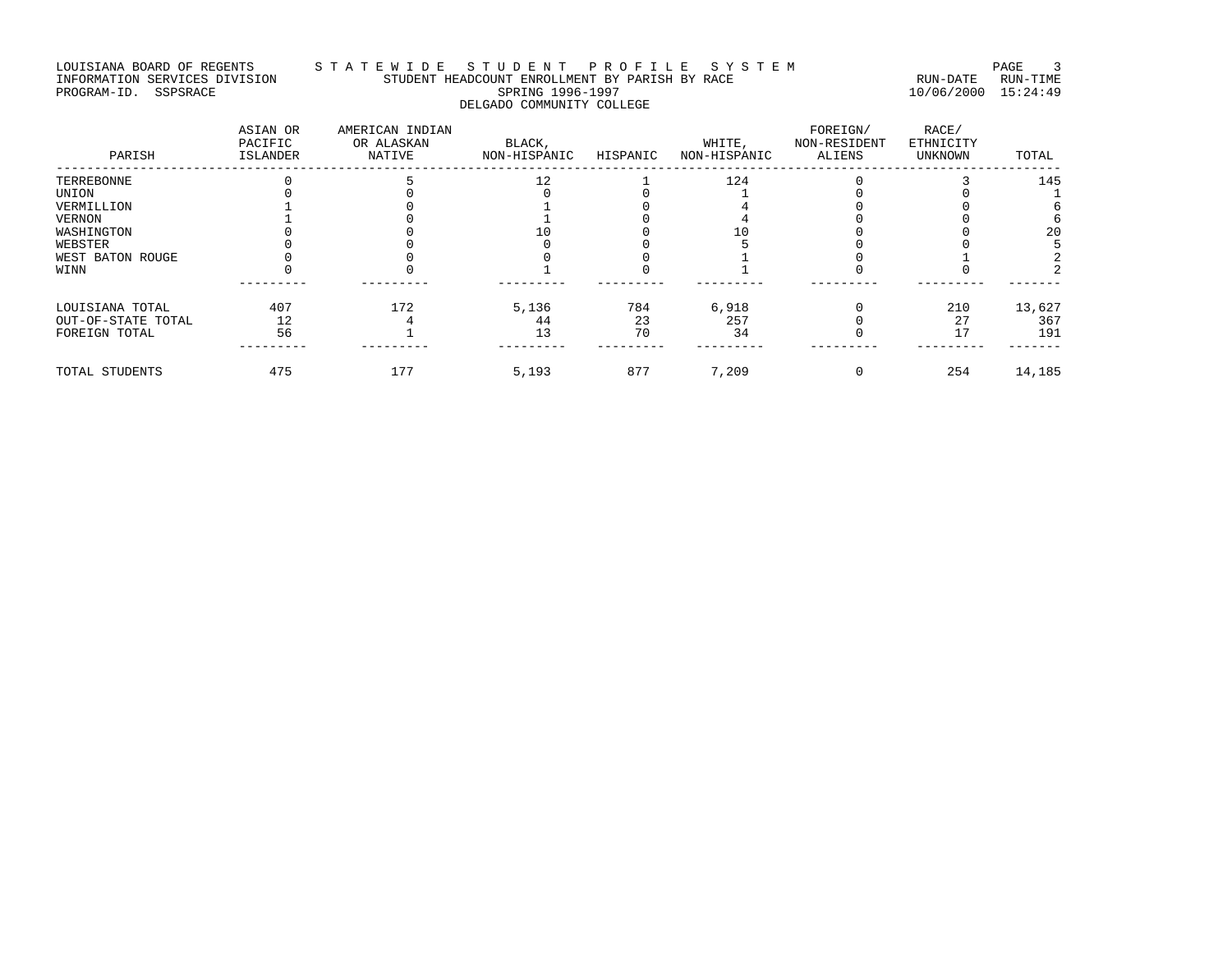# LOUISIANA BOARD OF REGENTS STA T E W I D E S T U D E N T P R O F I L E S Y S T E M PAGE 3 INFORMATION SERVICES DIVISION STUDENT HEADCOUNT ENROLLMENT BY PARISH BY RACE RUN-DATE RUN-TIME PROGRAM-ID. SSPSRACE SPRING 1996-1997 10/06/2000 15:24:49 DELGADO COMMUNITY COLLEGE

| PARISH             | ASIAN OR<br>PACIFIC<br>ISLANDER | AMERICAN INDIAN<br>OR ALASKAN<br>NATIVE | BLACK,<br>NON-HISPANIC | HISPANIC | WHITE,<br>NON-HISPANIC | FOREIGN/<br>NON-RESIDENT<br>ALIENS | RACE/<br>ETHNICITY<br>UNKNOWN | TOTAL  |
|--------------------|---------------------------------|-----------------------------------------|------------------------|----------|------------------------|------------------------------------|-------------------------------|--------|
| TERREBONNE         |                                 |                                         | 12                     |          | 124                    |                                    |                               | 145    |
| UNION              |                                 |                                         |                        |          |                        |                                    |                               |        |
| VERMILLION         |                                 |                                         |                        |          |                        |                                    |                               |        |
| VERNON             |                                 |                                         |                        |          |                        |                                    |                               |        |
| WASHINGTON         |                                 |                                         |                        |          |                        |                                    |                               | 20     |
| WEBSTER            |                                 |                                         |                        |          |                        |                                    |                               |        |
| WEST BATON ROUGE   |                                 |                                         |                        |          |                        |                                    |                               |        |
| WINN               |                                 |                                         |                        |          |                        |                                    |                               |        |
| LOUISIANA TOTAL    | 407                             | 172                                     | 5,136                  | 784      | 6,918                  |                                    | 210                           | 13,627 |
| OUT-OF-STATE TOTAL | 12                              |                                         | 44                     | 23       | 257                    |                                    | 27                            | 367    |
| FOREIGN TOTAL      | 56                              |                                         | 13                     | 70       | 34                     |                                    |                               | 191    |
| TOTAL STUDENTS     | 475                             | 177                                     | 5,193                  | 877      | 7,209                  |                                    | 254                           | 14,185 |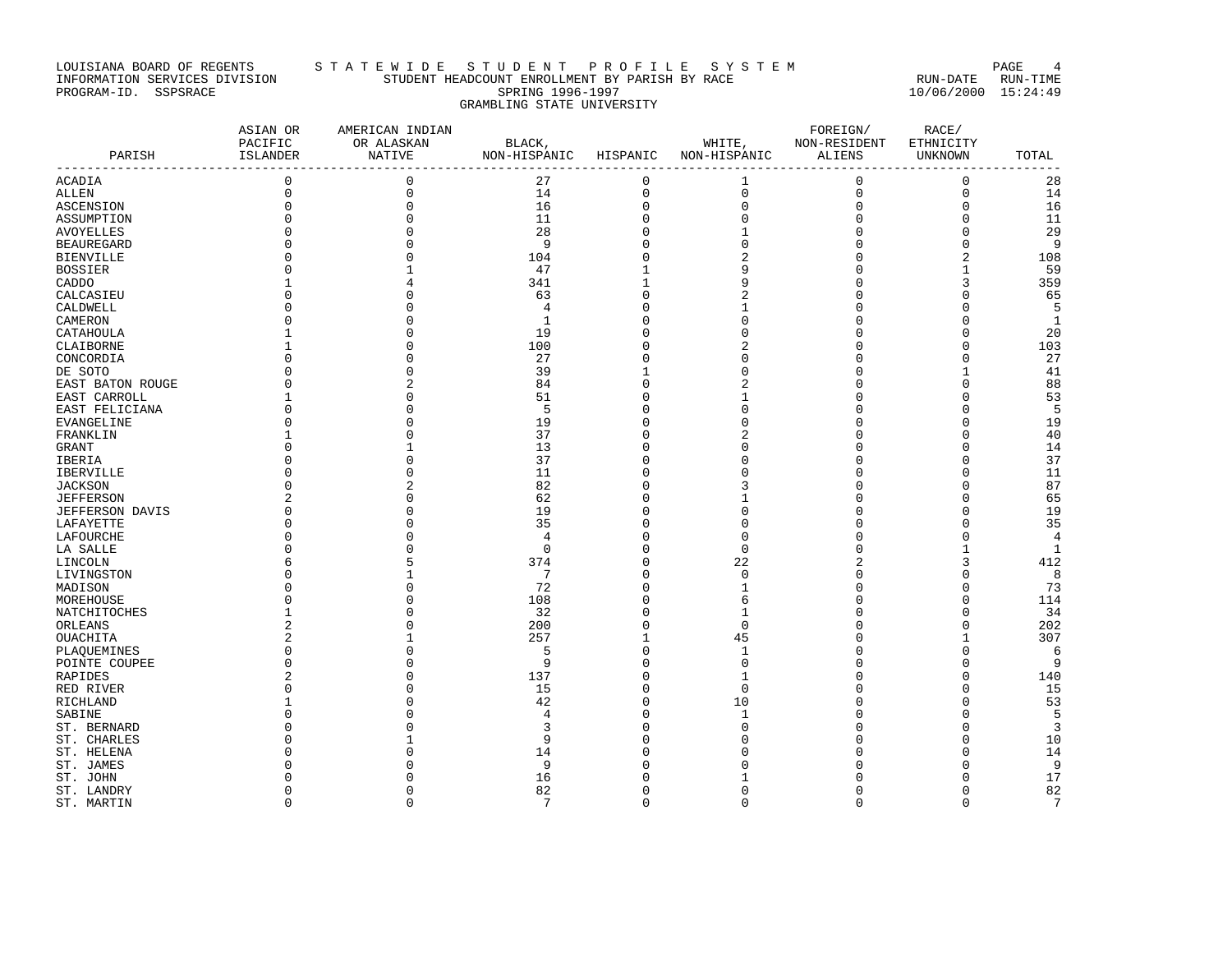# LOUISIANA BOARD OF REGENTS STA T E W I D E S T U D E N T P R O F I L E S Y S T E M PAGE 4 INFORMATION SERVICES DIVISION STUDENT HEADCOUNT ENROLLMENT BY PARISH BY RACE RUN-DATE RUN-TIME PROGRAM-ID. SSPSRACE SPRING 1996-1997 10/06/2000 15:24:49 GRAMBLING STATE UNIVERSITY

| PARISH                 | ASIAN OR<br>PACIFIC<br>ISLANDER | AMERICAN INDIAN<br>OR ALASKAN<br><b>NATIVE</b> | BLACK,<br>NON-HISPANIC HISPANIC |                     | WHITE,<br>NON-HISPANIC | FOREIGN/<br>NON-RESIDENT<br>ALIENS | RACE/<br>ETHNICITY<br>UNKNOWN | TOTAL          |
|------------------------|---------------------------------|------------------------------------------------|---------------------------------|---------------------|------------------------|------------------------------------|-------------------------------|----------------|
| ACADIA                 | $\mathbf 0$                     | $\mathsf 0$                                    | 27                              | 0                   | 1                      | $\mathbf 0$                        | $\mathsf 0$                   | 28             |
| ALLEN                  | $\mathbf 0$                     | $\mathbf 0$                                    | 14                              | 0                   | $\mathbf 0$            | $\mathbf 0$                        | $\mathbf 0$                   | 14             |
| ASCENSION              | $\mathbf 0$                     | $\mathsf 0$                                    | 16                              | $\mathsf{O}\xspace$ | $\mathsf 0$            | $\mathbf 0$                        | $\mathbf 0$                   | 16             |
| ASSUMPTION             |                                 | $\mathbf 0$                                    | 11                              | 0                   | $\mathbf 0$            | $\mathbf 0$                        | $\mathbf{0}$                  | 11             |
| AVOYELLES              |                                 | $\Omega$                                       | 28                              | 0                   | 1                      | $\mathbf 0$                        | $\Omega$                      | 29             |
| <b>BEAUREGARD</b>      |                                 | $\Omega$                                       | 9                               | $\Omega$            | $\Omega$               | $\mathbf 0$                        | $\Omega$                      | 9              |
| <b>BIENVILLE</b>       | U                               | $\Omega$                                       | 104                             | 0                   |                        | 0                                  | $\overline{2}$                | 108            |
| <b>BOSSIER</b>         |                                 |                                                | 47                              | 1                   | 9                      | $\Omega$                           | 1                             | 59             |
| CADDO                  |                                 |                                                | 341                             | 1                   | 9                      | $\Omega$                           | 3                             | 359            |
| CALCASIEU              |                                 | O                                              | 63                              | 0                   | 2                      | 0                                  | $\Omega$                      | 65             |
| CALDWELL               |                                 | $\cap$                                         | $\overline{4}$                  | 0                   | 1                      | $\Omega$                           | $\Omega$                      | 5              |
| CAMERON                |                                 |                                                | $\mathbf{1}$                    | $\Omega$            | $\Omega$               | $\circ$                            | $\Omega$                      | 1              |
| CATAHOULA              |                                 | $\Omega$                                       | 19                              | 0                   | O                      | 0                                  | $\mathbf 0$                   | 20             |
| CLAIBORNE              |                                 | $\Omega$                                       | 100                             | $\Omega$            |                        | $\Omega$                           | $\Omega$                      | 103            |
| CONCORDIA              | $\Omega$                        | $\Omega$                                       | 27                              | 0                   | $\Omega$               | $\Omega$                           | $\Omega$                      | 27             |
| DE SOTO                | $\Omega$                        | $\Omega$                                       | 39                              | 1                   |                        | $\Omega$                           | 1                             | 41             |
| EAST BATON ROUGE       |                                 | $\overline{c}$                                 | 84                              | 0                   |                        | $\Omega$                           | $\Omega$                      | 88             |
| EAST CARROLL           |                                 | O                                              | 51                              | $\Omega$            |                        | 0                                  | $\Omega$                      | 53             |
| EAST FELICIANA         |                                 | $\Omega$                                       | 5                               | $\Omega$            | C                      | n                                  | $\Omega$                      | 5              |
| EVANGELINE             | $\Omega$                        | $\Omega$                                       | 19                              | $\Omega$            |                        | $\Omega$                           | $\Omega$                      | 19             |
| FRANKLIN               |                                 | $\Omega$                                       | 37                              | $\Omega$            |                        | $\Omega$                           | $\Omega$                      | 40             |
| GRANT                  | U                               | 1                                              | 13                              | $\Omega$            |                        | 0                                  | $\cap$                        | 14             |
| <b>IBERIA</b>          |                                 | $\Omega$                                       | 37                              | $\Omega$            | O                      | $\Omega$                           | $\Omega$                      | 37             |
| IBERVILLE              | $\Omega$                        | $\Omega$                                       | 11                              | 0                   |                        | $\Omega$                           | $\Omega$                      | 11             |
| JACKSON                |                                 | $\overline{2}$                                 | 82                              | $\Omega$            |                        | $\Omega$                           | $\Omega$                      | 87             |
| <b>JEFFERSON</b>       |                                 | $\cap$                                         | 62                              | 0                   |                        | $\Omega$                           | $\Omega$                      | 65             |
| <b>JEFFERSON DAVIS</b> |                                 | $\Omega$                                       | 19                              | $\Omega$            | $\Omega$               | $\Omega$                           | $\Omega$                      | 19             |
| LAFAYETTE              |                                 | $\Omega$                                       | 35                              | 0                   | $\Omega$               | $\Omega$                           | $\Omega$                      | 35             |
| LAFOURCHE              |                                 |                                                | $\overline{4}$                  | 0                   | $\Omega$               | $\Omega$                           | $\Omega$                      | $\overline{4}$ |
| LA SALLE               |                                 |                                                | $\Omega$                        | 0                   | $\Omega$               | 0                                  | 1                             | $\mathbf{1}$   |
| LINCOLN                |                                 | 5                                              | 374                             | $\Omega$            | 22                     | $\overline{c}$                     | 3                             | 412            |
| LIVINGSTON             |                                 |                                                | 7                               | 0                   | $\Omega$               | $\Omega$                           | $\Omega$                      | 8              |
| MADISON                |                                 | $\Omega$                                       | 72                              | 0                   | 1                      | 0                                  | $\Omega$                      | 73             |
| MOREHOUSE              |                                 | $\Omega$                                       | 108                             | 0                   | 6                      | $\Omega$                           | $\Omega$                      | 114            |
| NATCHITOCHES           |                                 |                                                | 32                              | $\Omega$            |                        | $\Omega$                           | $\Omega$                      | 34             |
| ORLEANS                | 2                               | $\Omega$                                       | 200                             | 0                   | $\Omega$               | $\Omega$                           | $\Omega$                      | 202            |
| OUACHITA               | $\overline{2}$                  | 1                                              | 257                             | $\mathbf 1$         | 45                     | $\Omega$                           | $\mathbf{1}$                  | 307            |
| PLAQUEMINES            |                                 | $\Omega$                                       | 5                               | 0                   | 1                      | $\Omega$                           | $\Omega$                      | 6              |
| POINTE COUPEE          | n                               | ∩                                              | 9                               | 0                   | $\Omega$               | n                                  | $\Omega$                      | 9              |
| RAPIDES                |                                 | $\Omega$                                       | 137                             | $\Omega$            | $\mathbf{1}$           | $\Omega$                           | $\Omega$                      | 140            |
| RED RIVER              | U                               | $\Omega$                                       | 15                              | 0                   | 0                      | 0                                  | $\Omega$                      | 15             |
| RICHLAND               |                                 | $\Omega$                                       | 42                              | 0                   | 10                     | $\Omega$                           | $\Omega$                      | 53             |
| SABINE                 |                                 |                                                | 4                               | $\Omega$            | 1                      | $\Omega$                           | $\Omega$                      | 5              |
| ST. BERNARD            |                                 |                                                | 3                               | 0                   | O                      | 0                                  | $\Omega$                      | $\overline{3}$ |
| ST. CHARLES            |                                 |                                                | 9                               | $\Omega$            |                        | 0                                  | $\Omega$                      | 10             |
| ST. HELENA             |                                 |                                                | 14                              | O                   |                        | $\Omega$                           | $\Omega$                      | 14             |
| ST. JAMES              |                                 | ∩                                              | 9                               | $\Omega$            |                        | U                                  | $\Omega$                      | 9              |
| ST. JOHN               |                                 |                                                | 16                              | O                   |                        | $\Omega$                           | $\Omega$                      | 17             |
| ST. LANDRY             | $\Omega$                        | $\Omega$                                       | 82                              | 0                   | 0                      | $\Omega$                           | $\Omega$                      | 82             |
| ST. MARTIN             | $\Omega$                        | $\Omega$                                       | $7\phantom{.0}$                 | $\Omega$            | $\Omega$               | $\Omega$                           | $\Omega$                      | 7              |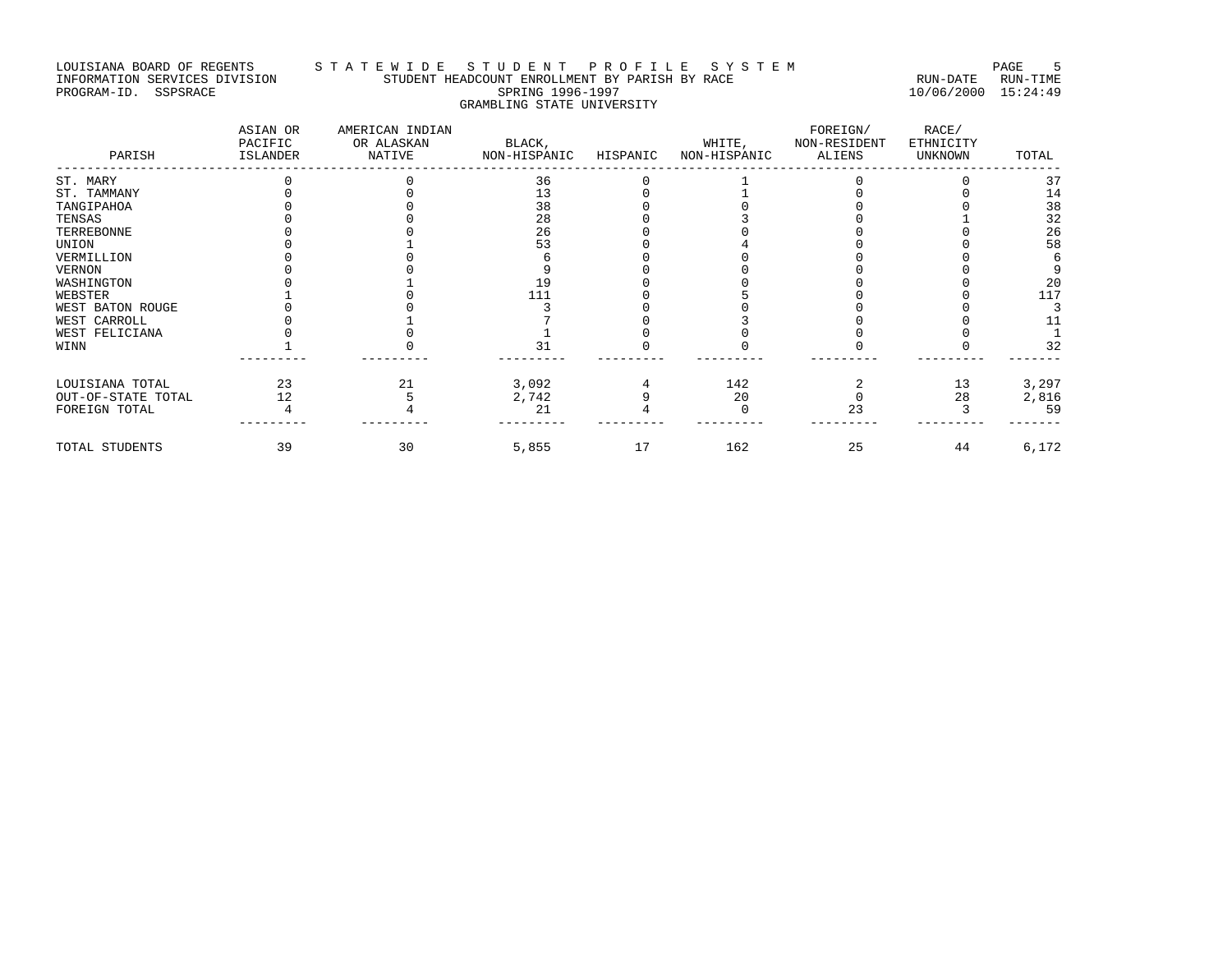# LOUISIANA BOARD OF REGENTS STA T E W I D E S T U D E N T P R O F I L E S Y S T E M PAGE 5 INFORMATION SERVICES DIVISION STUDENT HEADCOUNT ENROLLMENT BY PARISH BY RACE RUN-DATE RUN-TIME PROGRAM-ID. SSPSRACE SPRING 1996-1997 10/06/2000 15:24:49 GRAMBLING STATE UNIVERSITY

| PARISH             | ASIAN OR<br>PACIFIC<br>ISLANDER | AMERICAN INDIAN<br>OR ALASKAN<br>NATIVE | BLACK,<br>NON-HISPANIC | HISPANIC | WHITE,<br>NON-HISPANIC | FOREIGN/<br>NON-RESIDENT<br>ALIENS | RACE/<br>ETHNICITY<br>UNKNOWN | TOTAL |
|--------------------|---------------------------------|-----------------------------------------|------------------------|----------|------------------------|------------------------------------|-------------------------------|-------|
| ST. MARY           |                                 |                                         | 36                     |          |                        |                                    |                               | 37    |
| ST. TAMMANY        |                                 |                                         | 13                     |          |                        |                                    |                               | 14    |
| TANGIPAHOA         |                                 |                                         | 38                     |          |                        |                                    |                               | 38    |
| TENSAS             |                                 |                                         | 28                     |          |                        |                                    |                               | 32    |
| TERREBONNE         |                                 |                                         | 26                     |          |                        |                                    |                               | 26    |
| UNION              |                                 |                                         | 53                     |          |                        |                                    |                               | 58    |
| VERMILLION         |                                 |                                         |                        |          |                        |                                    |                               |       |
| VERNON             |                                 |                                         |                        |          |                        |                                    |                               |       |
| WASHINGTON         |                                 |                                         | 19                     |          |                        |                                    |                               | 20    |
| WEBSTER            |                                 |                                         | 111                    |          |                        |                                    |                               | 117   |
| WEST BATON ROUGE   |                                 |                                         |                        |          |                        |                                    |                               |       |
| WEST CARROLL       |                                 |                                         |                        |          |                        |                                    |                               |       |
| WEST FELICIANA     |                                 |                                         |                        |          |                        |                                    |                               |       |
| WINN               |                                 |                                         | 31                     |          |                        |                                    |                               | 32    |
| LOUISIANA TOTAL    | 23                              | 21                                      | 3,092                  |          | 142                    |                                    | 13                            | 3,297 |
| OUT-OF-STATE TOTAL | 12                              |                                         | 2,742                  |          | 20                     |                                    | 28                            | 2,816 |
| FOREIGN TOTAL      |                                 |                                         | 21                     |          |                        | 23                                 |                               | 59    |
| TOTAL STUDENTS     | 39                              | 30                                      | 5,855                  | 17       | 162                    | 25                                 | 44                            | 6,172 |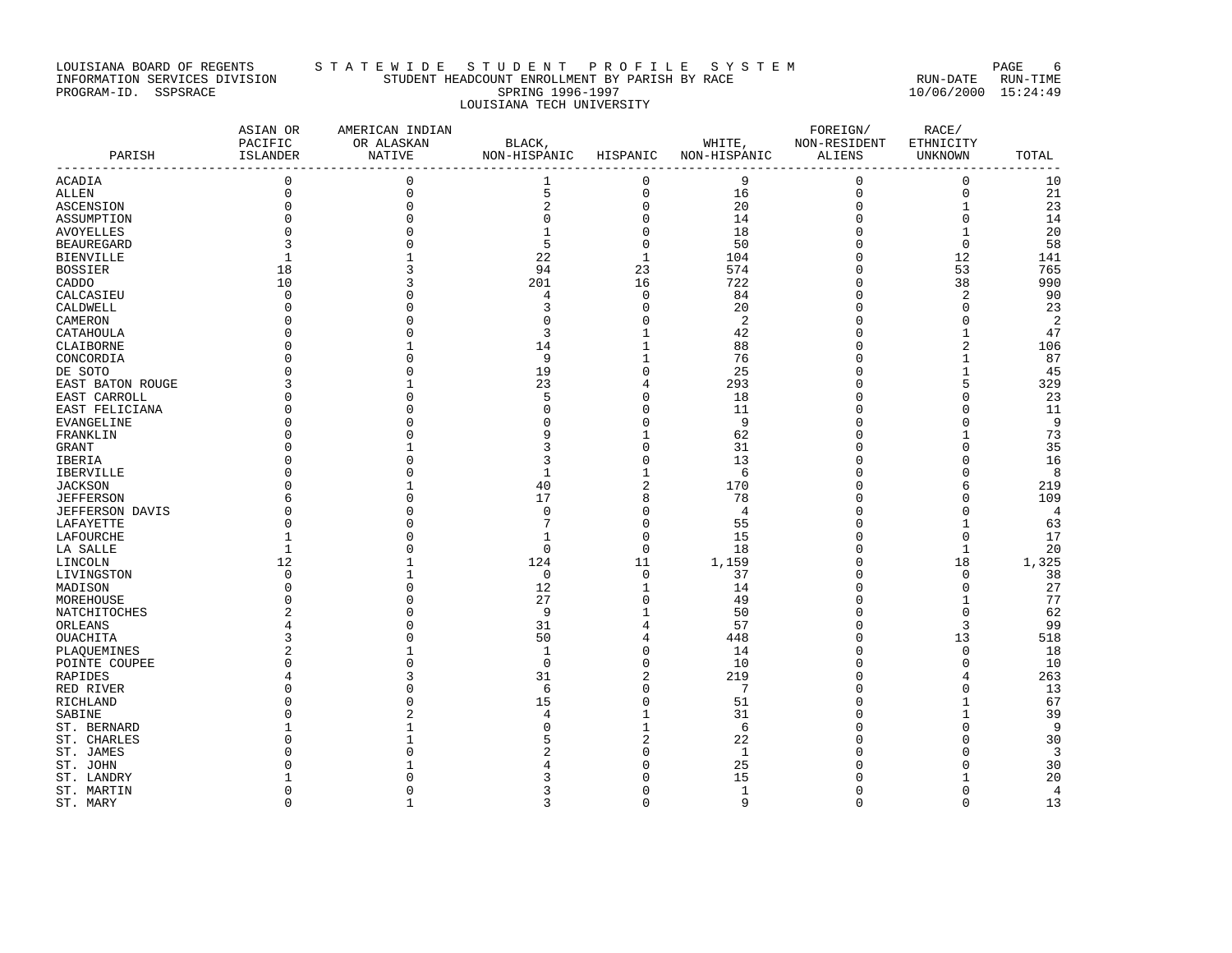# LOUISIANA BOARD OF REGENTS STA T E W I D E S T U D E N T P R O F I L E S Y S T E M PAGE 6 INFORMATION SERVICES DIVISION STUDENT HEADCOUNT ENROLLMENT BY PARISH BY RACE RUN-DATE RUN-TIME PROGRAM-ID. SSPSRACE SPRING 1996-1997 10/06/2000 15:24:49 LOUISIANA TECH UNIVERSITY

| PARISH            | ASIAN OR<br>PACIFIC<br>ISLANDER<br>________________________________ | AMERICAN INDIAN<br>OR ALASKAN<br>NATIVE | BLACK,<br>NON-HISPANIC HISPANIC |                | WHITE,<br>NON-HISPANIC | FOREIGN/<br>NON-RESIDENT<br>ALIENS | RACE/<br>ETHNICITY<br>UNKNOWN | TOTAL          |
|-------------------|---------------------------------------------------------------------|-----------------------------------------|---------------------------------|----------------|------------------------|------------------------------------|-------------------------------|----------------|
| ACADIA            | $\mathbf 0$                                                         | 0                                       | 1                               | $\mathbf 0$    | 9                      | 0                                  | $\mathbf 0$                   | 10             |
| ALLEN             | $\mathbf 0$                                                         | $\mathbf 0$                             | 5                               | $\mathbf 0$    | 16                     | $\mathbf 0$                        | $\mathbf 0$                   | 21             |
| ASCENSION         | $\mathbf 0$                                                         | $\mathbf 0$                             | 2                               | $\mathsf 0$    | 20                     | 0                                  | $\mathbf{1}$                  | 23             |
| ASSUMPTION        |                                                                     | $\Omega$                                | $\mathbf 0$                     | $\mathsf 0$    | 14                     | $\Omega$                           | $\mathbf 0$                   | 14             |
| AVOYELLES         | n                                                                   |                                         | $\mathbf{1}$                    | $\mathbf 0$    | 18                     | $\Omega$                           | $\mathbf{1}$                  | 20             |
| <b>BEAUREGARD</b> | 3                                                                   | $\Omega$                                | 5                               | $\mathbf 0$    | 50                     | $\Omega$                           | $\mathbf 0$                   | 58             |
| <b>BIENVILLE</b>  | 1                                                                   |                                         | 22                              | $\mathbf{1}$   | 104                    | 0                                  | 12                            | 141            |
| <b>BOSSIER</b>    | 18                                                                  | 3                                       | 94                              | 23             | 574                    | $\Omega$                           | 53                            | 765            |
| CADDO             | 10                                                                  | 3                                       | 201                             | 16             | 722                    | $\Omega$                           | 38                            | 990            |
| CALCASIEU         | $\mathbf 0$                                                         | O                                       | 4                               | $\mathbf 0$    | 84                     | 0                                  | $\overline{2}$                | 90             |
| CALDWELL          | $\Omega$                                                            | O                                       | 3                               | $\mathbf 0$    | 20                     | $\Omega$                           | $\Omega$                      | 23             |
| CAMERON           | $\Omega$                                                            |                                         | $\Omega$                        | $\mathsf 0$    | 2                      | $\Omega$                           | $\mathbf 0$                   | $\overline{2}$ |
| CATAHOULA         |                                                                     |                                         | 3                               | 1              | 42                     | $\Omega$                           | 1                             | 47             |
| CLAIBORNE         |                                                                     |                                         | 14                              | $\mathbf 1$    | 88                     | U                                  | $\overline{a}$                | 106            |
| CONCORDIA         | <sup>0</sup>                                                        | $\Omega$                                | 9                               | $\mathbf{1}$   | 76                     | $\Omega$                           | $\mathbf{1}$                  | 87             |
| DE SOTO           | $\Omega$                                                            | $\Omega$                                | 19                              | $\mathbf 0$    | 25                     | 0                                  | $\mathbf{1}$                  | 45             |
| EAST BATON ROUGE  | 3                                                                   |                                         | 23                              | $\overline{4}$ | 293                    |                                    | 5                             | 329            |
| EAST CARROLL      | <sup>0</sup>                                                        |                                         | 5                               | $\mathbf 0$    | 18                     | U                                  | $\cap$                        | 23             |
| EAST FELICIANA    | <sup>0</sup>                                                        | ∩                                       | n                               | $\mathbf 0$    | 11                     | U                                  | $\Omega$                      | 11             |
| EVANGELINE        | <sup>0</sup>                                                        | O                                       | n                               | $\mathsf 0$    | 9                      | U                                  | $\mathbf 0$                   | 9              |
| FRANKLIN          |                                                                     |                                         | q                               | $\mathbf{1}$   | 62                     | $\Omega$                           | $\mathbf{1}$                  | 73             |
| GRANT             |                                                                     |                                         | 3                               | $\mathbf 0$    | 31                     | U                                  | n                             | 35             |
| IBERIA            |                                                                     | $\Omega$                                | 3                               | $\mathbf 0$    | 13                     | $\Omega$                           | $\cap$                        | 16             |
| IBERVILLE         |                                                                     | O                                       | 1                               | $\mathbf{1}$   | 6                      | 0                                  | $\Omega$                      | 8              |
| <b>JACKSON</b>    | <sup>0</sup>                                                        |                                         | 40                              | 2              | 170                    | U                                  | 6                             | 219            |
| <b>JEFFERSON</b>  | 6                                                                   | O                                       | 17                              | 8              | 78                     | $\Omega$                           | $\cap$                        | 109            |
| JEFFERSON DAVIS   |                                                                     | $\Omega$                                | $\mathbf 0$                     | $\mathbf 0$    | 4                      | $\Omega$                           | $\Omega$                      | $\overline{4}$ |
| LAFAYETTE         | $\Omega$                                                            | O                                       | 7                               | $\mathsf 0$    | 55                     | $\Omega$                           | $\mathbf{1}$                  | 63             |
| LAFOURCHE         | 1                                                                   |                                         | $\mathbf 1$                     | $\mathbf 0$    | 15                     | $\Omega$                           | $\mathbf 0$                   | 17             |
| LA SALLE          | 1                                                                   | O                                       | $\Omega$                        | $\mathbf 0$    | 18                     | U                                  | 1                             | 20             |
| LINCOLN           | 12                                                                  |                                         | 124                             | 11             | 1,159                  | $\Omega$                           | 18                            | 1,325          |
| LIVINGSTON        | 0                                                                   | 1                                       | $\mathbf 0$                     | $\mathbf 0$    | 37                     | $\Omega$                           | $\mathbf 0$                   | 38             |
| MADISON           | $\Omega$                                                            | $\Omega$                                | 12                              | 1              | 14                     | 0                                  | $\mathbf 0$                   | 27             |
| MOREHOUSE         | $\Omega$                                                            | $\Omega$                                | 27                              | $\mathbf 0$    | 49                     | $\Omega$                           | $\mathbf{1}$                  | 77             |
| NATCHITOCHES      | 2                                                                   |                                         | 9                               | $\mathbf{1}$   | 50                     | U                                  | $\Omega$                      | 62             |
| ORLEANS           | 4                                                                   | O                                       | 31                              | 4              | 57                     | $\Omega$                           | 3                             | 99             |
| OUACHITA          | 3                                                                   | ∩                                       | 50                              | 4              | 448                    | $\Omega$                           | 13                            | 518            |
| PLAQUEMINES       | 2                                                                   |                                         | 1                               | $\mathsf 0$    | 14                     | $\Omega$                           | $\mathbf 0$                   | 18             |
| POINTE COUPEE     | U                                                                   | ∩                                       | $\Omega$                        | $\mathbf 0$    | 10                     | U                                  | $\Omega$                      | 10             |
| RAPIDES           |                                                                     | 3                                       | 31                              | $\sqrt{2}$     | 219                    | $\Omega$                           | 4                             | 263            |
| RED RIVER         | $\Omega$                                                            | $\Omega$                                | 6                               | $\mathsf 0$    | 7                      | 0                                  | 0                             | 13             |
| RICHLAND          |                                                                     | $\Omega$                                | 15                              | $\mathbf 0$    | 51                     | $\Omega$                           | 1                             | 67             |
| SABINE            |                                                                     | $\overline{2}$                          | 4                               | $\mathbf{1}$   | 31                     | U                                  | $\mathbf{1}$                  | 39             |
| ST. BERNARD       |                                                                     |                                         | C                               | 1              | 6                      | U                                  | $\cap$                        | 9              |
| ST. CHARLES       | O                                                                   |                                         | 5                               | $\overline{2}$ | 22                     | U                                  | n                             | 30             |
| ST. JAMES         |                                                                     |                                         |                                 | $\mathbf 0$    | 1                      |                                    | $\cap$                        | 3              |
| ST. JOHN          |                                                                     |                                         |                                 | 0              | 25                     |                                    | n                             | 30             |
| ST. LANDRY        |                                                                     |                                         |                                 | O              | 15                     |                                    | $\mathbf{1}$                  | 20             |
| ST. MARTIN        | $\Omega$                                                            | O                                       | 3                               | $\mathbf 0$    | $\mathbf 1$            | $\Omega$                           | $\mathbf 0$                   | $\overline{4}$ |
| ST. MARY          | $\Omega$                                                            | 1                                       | 3                               | $\Omega$       | $\mathsf{Q}$           | $\Omega$                           | $\Omega$                      | 13             |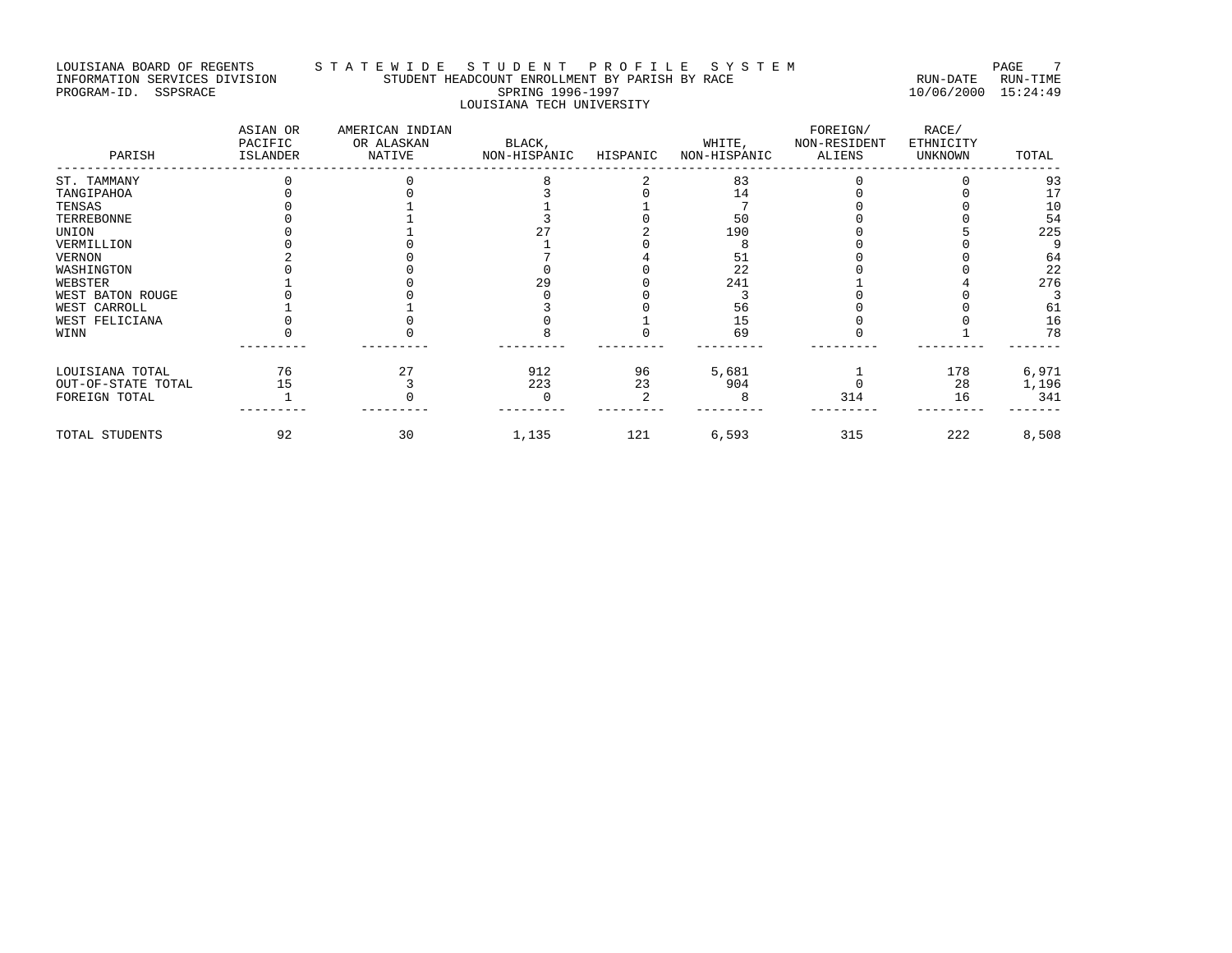# LOUISIANA BOARD OF REGENTS STA T E W I D E S T U D E N T P R O F I L E S Y S T E M PAGE 7 INFORMATION SERVICES DIVISION STUDENT HEADCOUNT ENROLLMENT BY PARISH BY RACE RUN-DATE RUN-TIME PROGRAM-ID. SSPSRACE SPRING 1996-1997 10/06/2000 15:24:49 LOUISIANA TECH UNIVERSITY

| PARISH             | ASIAN OR<br>PACIFIC<br>ISLANDER | AMERICAN INDIAN<br>OR ALASKAN<br>NATIVE | BLACK,<br>NON-HISPANIC | HISPANIC | WHITE,<br>NON-HISPANIC | FOREIGN/<br>NON-RESIDENT<br>ALIENS | RACE/<br>ETHNICITY<br><b>UNKNOWN</b> | TOTAL |
|--------------------|---------------------------------|-----------------------------------------|------------------------|----------|------------------------|------------------------------------|--------------------------------------|-------|
| ST. TAMMANY        |                                 |                                         |                        |          | 83                     |                                    |                                      | 93    |
| TANGIPAHOA         |                                 |                                         |                        |          | 14                     |                                    |                                      | 17    |
| TENSAS             |                                 |                                         |                        |          |                        |                                    |                                      | 10    |
| TERREBONNE         |                                 |                                         |                        |          | 50                     |                                    |                                      | 54    |
| UNION              |                                 |                                         |                        |          | 190                    |                                    |                                      | 225   |
| VERMILLION         |                                 |                                         |                        |          |                        |                                    |                                      |       |
| VERNON             |                                 |                                         |                        |          | 51                     |                                    |                                      | 64    |
| WASHINGTON         |                                 |                                         |                        |          | 22                     |                                    |                                      | 22    |
| WEBSTER            |                                 |                                         | 29                     |          | 241                    |                                    |                                      | 276   |
| WEST BATON ROUGE   |                                 |                                         |                        |          |                        |                                    |                                      |       |
| WEST CARROLL       |                                 |                                         |                        |          | 56                     |                                    |                                      | 61    |
| WEST FELICIANA     |                                 |                                         |                        |          | 15                     |                                    |                                      | 16    |
| WINN               |                                 |                                         |                        |          | 69                     |                                    |                                      | 78    |
| LOUISIANA TOTAL    | 76                              | 27                                      | 912                    | 96       | 5,681                  |                                    | 178                                  | 6,971 |
| OUT-OF-STATE TOTAL | 15                              |                                         | 223                    | 23       | 904                    |                                    | 28                                   | 1,196 |
| FOREIGN TOTAL      |                                 |                                         | n                      |          |                        | 314                                | 16                                   | 341   |
| TOTAL STUDENTS     | 92                              | 30                                      | 1,135                  | 121      | 6,593                  | 315                                | 222                                  | 8,508 |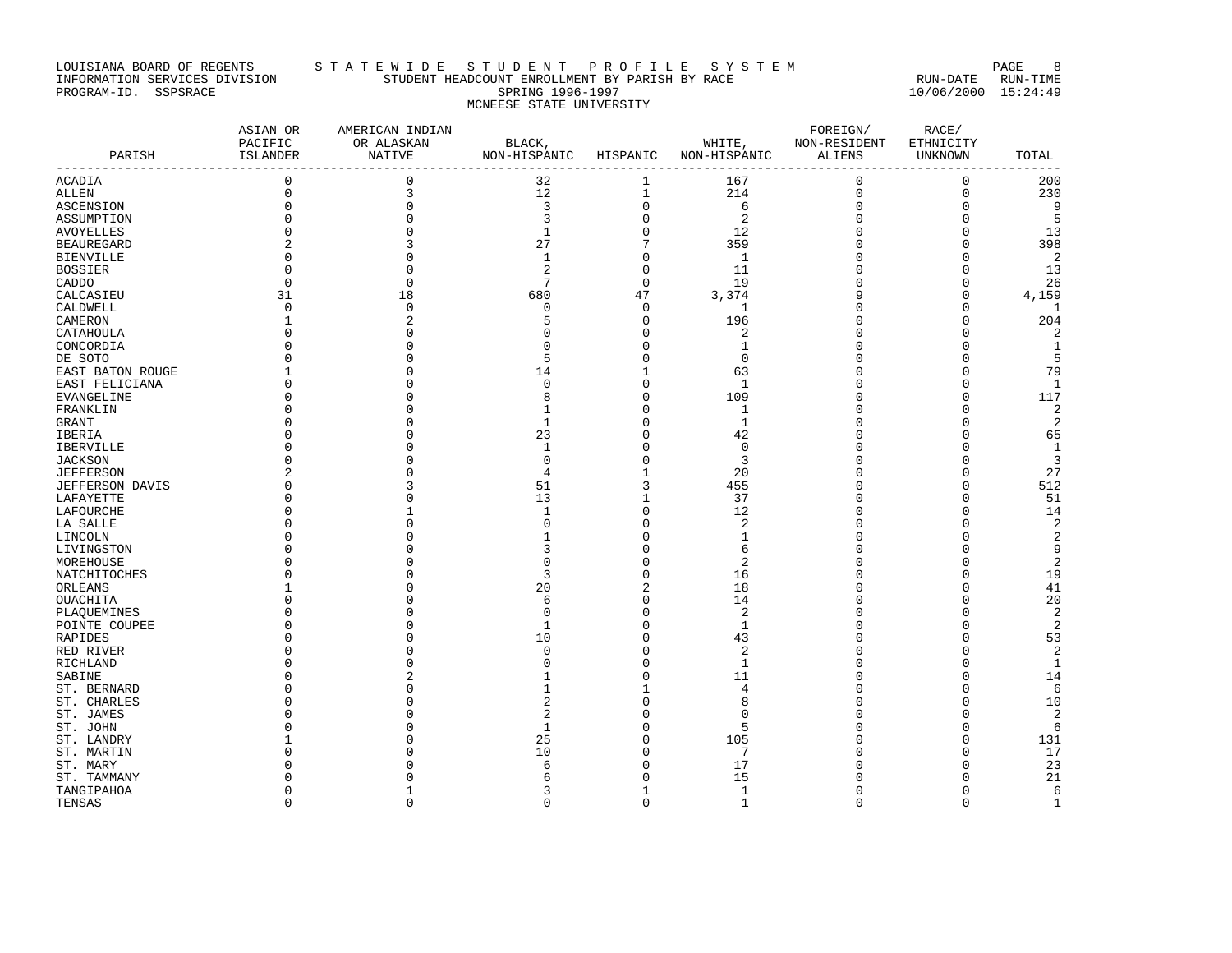# LOUISIANA BOARD OF REGENTS STA T E W I D E S T U D E N T P R O F I L E S Y S T E M PAGE 8 INFORMATION SERVICES DIVISION STUDENT HEADCOUNT ENROLLMENT BY PARISH BY RACE RUN-DATE RUN-TIME PROGRAM-ID. SSPSRACE SPRING 1996-1997 10/06/2000 15:24:49 MCNEESE STATE UNIVERSITY

| PARISH               | ASIAN OR<br>PACIFIC<br>ISLANDER<br>-------------------- | AMERICAN INDIAN<br>OR ALASKAN<br>NATIVE<br>-------------------------- | BLACK,<br>NON-HISPANIC HISPANIC<br>-------------- |              | WHITE,<br>NON-HISPANIC | FOREIGN/<br>NON-RESIDENT<br>ALIENS | RACE/<br>ETHNICITY<br><b>UNKNOWN</b> | TOTAL               |
|----------------------|---------------------------------------------------------|-----------------------------------------------------------------------|---------------------------------------------------|--------------|------------------------|------------------------------------|--------------------------------------|---------------------|
| ACADIA               | $\mathsf 0$                                             | $\mathbf 0$                                                           | 32                                                | 1            | 167                    | 0                                  | 0                                    | 200                 |
| ALLEN                | $\mathbf 0$                                             | 3                                                                     | 12                                                | $1\,$        | 214                    | $\mathbf 0$                        | $\mathsf 0$                          | 230                 |
| <b>ASCENSION</b>     | $\Omega$                                                | $\Omega$                                                              | 3                                                 | $\mathsf 0$  | 6                      | $\Omega$                           | $\Omega$                             | 9                   |
| ASSUMPTION           |                                                         |                                                                       | २                                                 | $\mathbf 0$  | 2                      |                                    | n                                    | 5                   |
| AVOYELLES            | O                                                       | $\Omega$                                                              | $\mathbf{1}$                                      | $\mathsf 0$  | 12                     |                                    | n                                    | 13                  |
| BEAUREGARD           |                                                         |                                                                       | 27                                                | 7            | 359                    |                                    | 0                                    | 398                 |
| <b>BIENVILLE</b>     | $\Omega$                                                |                                                                       | $\mathbf{1}$                                      | $\mathbf 0$  | 1                      |                                    | $\Omega$                             | 2                   |
| BOSSIER              |                                                         | $\cap$                                                                | $\overline{a}$                                    | $\mathsf 0$  | 11                     | O                                  | 0                                    | 13                  |
| CADDO                | $\Omega$                                                | $\Omega$                                                              | 7                                                 | $\Omega$     | 19                     |                                    | $\Omega$                             | 26                  |
| CALCASIEU            | 31                                                      | 18                                                                    | 680                                               | 47           | 3,374                  |                                    | 0                                    | 4,159               |
| CALDWELL             | $\Omega$                                                | $\Omega$                                                              | $\cap$                                            | 0            | -1                     | O                                  | $\cap$                               | 1                   |
| CAMERON              | 1                                                       | $\overline{2}$                                                        | 5                                                 | $\mathbf 0$  | 196                    | n                                  | $\Omega$                             | 204                 |
| CATAHOULA            |                                                         | O                                                                     | O                                                 | 0            | 2                      |                                    | C                                    | 2                   |
| CONCORDIA            |                                                         | $\Omega$                                                              | n                                                 | $\mathbf 0$  | 1                      |                                    | C                                    | $\mathbf{1}$        |
| DE SOTO              |                                                         |                                                                       | 5                                                 | $\mathbf 0$  | $\Omega$               |                                    | C                                    | 5                   |
| EAST BATON ROUGE     |                                                         | ∩                                                                     | 14                                                | 1            | 63                     |                                    | n                                    | 79                  |
| EAST FELICIANA       |                                                         |                                                                       | $\Omega$                                          | $\mathbf 0$  | $\mathbf{1}$           |                                    | C                                    | $\mathbf{1}$        |
| EVANGELINE           | O                                                       | O                                                                     | 8                                                 | 0            | 109                    |                                    | 0                                    | 117                 |
| FRANKLIN             |                                                         |                                                                       | -1                                                | $\mathbf 0$  | 1                      |                                    | C                                    | $\overline{2}$      |
| GRANT                |                                                         |                                                                       | 1                                                 | $\mathbf 0$  | 1                      |                                    | C                                    | 2                   |
| IBERIA               |                                                         | ∩                                                                     | 23                                                | 0            | 42                     |                                    | C                                    | 65                  |
| IBERVILLE            |                                                         | O                                                                     | 1                                                 | $\mathbf 0$  | $\Omega$               |                                    | n                                    | 1                   |
| <b>JACKSON</b>       |                                                         |                                                                       | 0                                                 | $\mathsf 0$  | 3                      |                                    | 0                                    | 3                   |
| JEFFERSON            |                                                         |                                                                       | $\overline{4}$                                    | $\mathbf{1}$ | 20                     |                                    | $\cap$                               | 27                  |
| JEFFERSON DAVIS      |                                                         |                                                                       | 51                                                | 3            | 455                    |                                    | 0                                    | 512                 |
| LAFAYETTE            |                                                         |                                                                       | 13                                                | 1            | 37                     |                                    | n                                    | 51                  |
| LAFOURCHE            |                                                         |                                                                       | $\mathbf 1$                                       | $\mathsf 0$  | 12                     |                                    | n                                    | 14                  |
| LA SALLE             |                                                         |                                                                       | n                                                 | $\mathsf 0$  | 2                      |                                    | 0                                    | $\sqrt{2}$          |
| LINCOLN              |                                                         |                                                                       |                                                   | $\mathbf 0$  | 1                      |                                    | $\Omega$                             | $\overline{2}$      |
| LIVINGSTON           |                                                         |                                                                       | 3                                                 | $\Omega$     | 6                      |                                    | C                                    | 9                   |
| MOREHOUSE            |                                                         |                                                                       | n                                                 | 0            | 2                      |                                    | O                                    | 2                   |
| NATCHITOCHES         |                                                         |                                                                       | 3                                                 | $\mathsf 0$  | 16                     |                                    | 0                                    | 19                  |
| ORLEANS              |                                                         |                                                                       | 20                                                | 2            | 18                     |                                    | 0                                    | 41                  |
| OUACHITA             |                                                         |                                                                       | 6                                                 | $\mathbf 0$  | 14                     |                                    | $\Omega$                             | 20                  |
| PLAQUEMINES          |                                                         | O                                                                     | 0<br>-1                                           | 0<br>0       | 2                      |                                    | 0<br>O                               | 2<br>$\overline{c}$ |
| POINTE COUPEE        |                                                         |                                                                       | 10                                                | $\mathsf 0$  | 1<br>43                |                                    | $\Omega$                             | 53                  |
| RAPIDES<br>RED RIVER |                                                         |                                                                       | $\cap$                                            | $\Omega$     | 2                      |                                    | C                                    | 2                   |
| RICHLAND             |                                                         | ∩                                                                     | C                                                 | $\mathbf 0$  | 1                      |                                    | n                                    | $\mathbf{1}$        |
| SABINE               |                                                         |                                                                       |                                                   | $\mathsf 0$  | 11                     |                                    | 0                                    | 14                  |
| ST. BERNARD          |                                                         | $\cap$                                                                |                                                   | 1            | 4                      |                                    | $\cap$                               | 6                   |
| ST. CHARLES          |                                                         |                                                                       | 2                                                 | $\mathbf 0$  | 8                      |                                    | $\Omega$                             | 10                  |
| ST. JAMES            |                                                         |                                                                       | 2                                                 | O            | n                      |                                    | C                                    | 2                   |
| ST. JOHN             |                                                         |                                                                       | $\mathbf{1}$                                      | $\mathbf 0$  | 5                      |                                    | n                                    | 6                   |
| ST. LANDRY           |                                                         |                                                                       | 25                                                | 0            | 105                    | O                                  | 0                                    | 131                 |
| ST. MARTIN           |                                                         |                                                                       | 10                                                | $\Omega$     | 7                      |                                    | $\Omega$                             | 17                  |
| ST. MARY             |                                                         |                                                                       | 6                                                 | 0            | 17                     |                                    | C                                    | 23                  |
| ST. TAMMANY          |                                                         |                                                                       |                                                   | O            | 15                     |                                    | n                                    | 21                  |
| TANGIPAHOA           | $\Omega$                                                |                                                                       | 3                                                 | 1            | 1                      | <sup>0</sup>                       | $\Omega$                             | 6                   |
| TENSAS               | $\Omega$                                                | $\Omega$                                                              | $\Omega$                                          | $\Omega$     | 1                      | $\Omega$                           | $\Omega$                             | 1                   |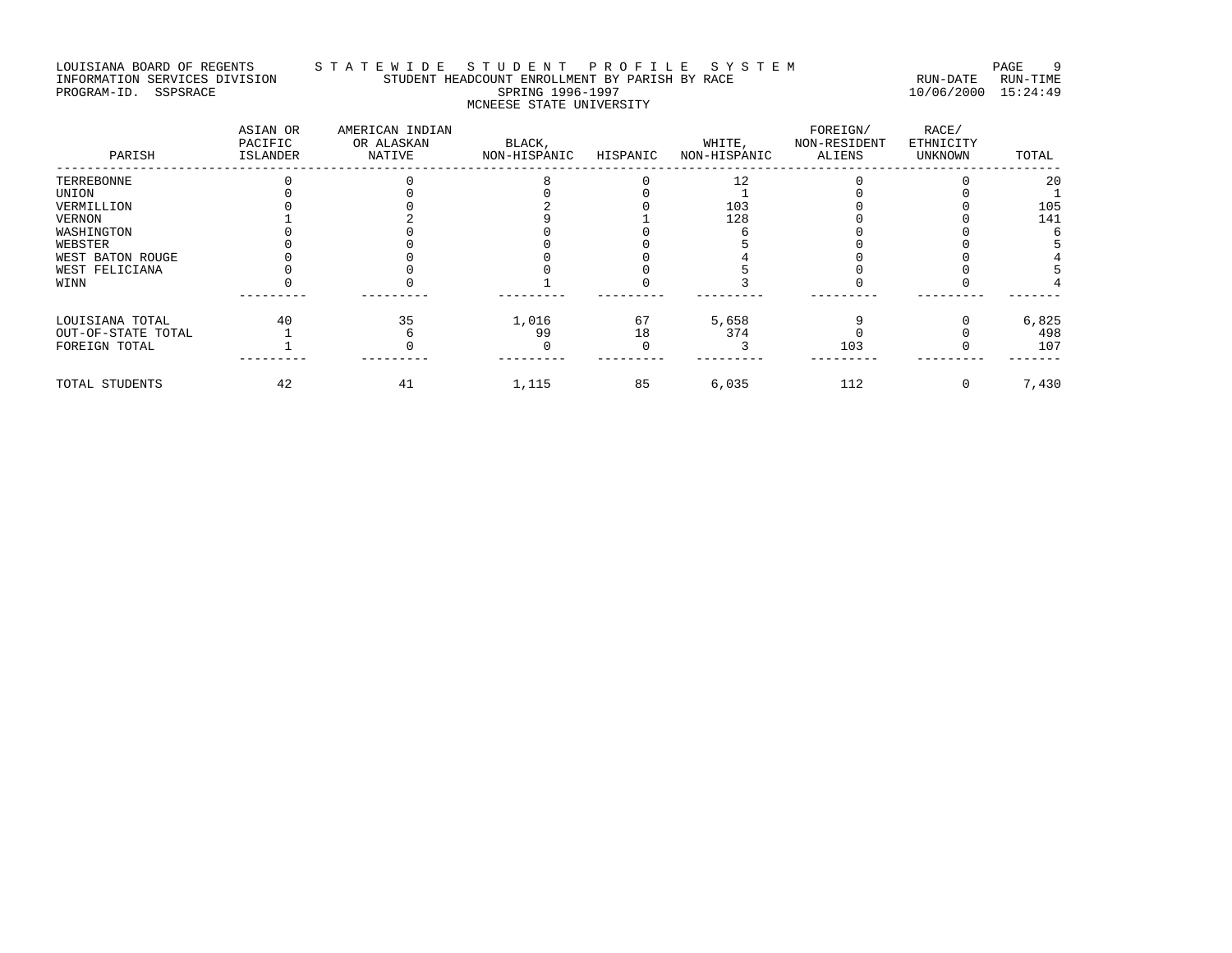# LOUISIANA BOARD OF REGENTS STATEWIDE STUDENT HEADCOUNT ENROLLMENT BY PARISH BY RACE SYSTEM PAGE 9<br>INFORMATION SERVICES DIVISION STUDENT HEADCOUNT ENROLLMENT BY PARISH BY RACE INFORMATION SERVICES DIVISION STUDENT HEADCOUNT ENROLLMENT BY PARISH BY RACE RUN-DATE RUN-TIME PROGRAM-ID. SSPSRACE SPRING 1996-1997 10/06/2000 15:24:49 MCNEESE STATE UNIVERSITY

| PARISH             | ASIAN OR<br>PACIFIC<br>ISLANDER | AMERICAN INDIAN<br>OR ALASKAN<br>NATIVE | BLACK,<br>NON-HISPANIC | HISPANIC | WHITE,<br>NON-HISPANIC | FOREIGN/<br>NON-RESIDENT<br>ALIENS | RACE/<br>ETHNICITY<br><b>UNKNOWN</b> | TOTAL |
|--------------------|---------------------------------|-----------------------------------------|------------------------|----------|------------------------|------------------------------------|--------------------------------------|-------|
| TERREBONNE         |                                 |                                         |                        |          |                        |                                    |                                      | 20    |
| UNION              |                                 |                                         |                        |          |                        |                                    |                                      |       |
| VERMILLION         |                                 |                                         |                        |          | 103                    |                                    |                                      | 105   |
| VERNON             |                                 |                                         |                        |          | 128                    |                                    |                                      | 141   |
| WASHINGTON         |                                 |                                         |                        |          |                        |                                    |                                      |       |
| WEBSTER            |                                 |                                         |                        |          |                        |                                    |                                      |       |
| WEST BATON ROUGE   |                                 |                                         |                        |          |                        |                                    |                                      |       |
| WEST FELICIANA     |                                 |                                         |                        |          |                        |                                    |                                      |       |
| WINN               |                                 |                                         |                        |          |                        |                                    |                                      |       |
| LOUISIANA TOTAL    | 40                              | 35                                      | 1,016                  | 67       | 5,658                  |                                    |                                      | 6,825 |
| OUT-OF-STATE TOTAL |                                 |                                         | 99                     | 18       | 374                    |                                    |                                      | 498   |
| FOREIGN TOTAL      |                                 |                                         |                        |          |                        | 103                                |                                      | 107   |
| TOTAL STUDENTS     | 42                              | 41                                      | 1,115                  | 85       | 6,035                  | 112                                |                                      | 7,430 |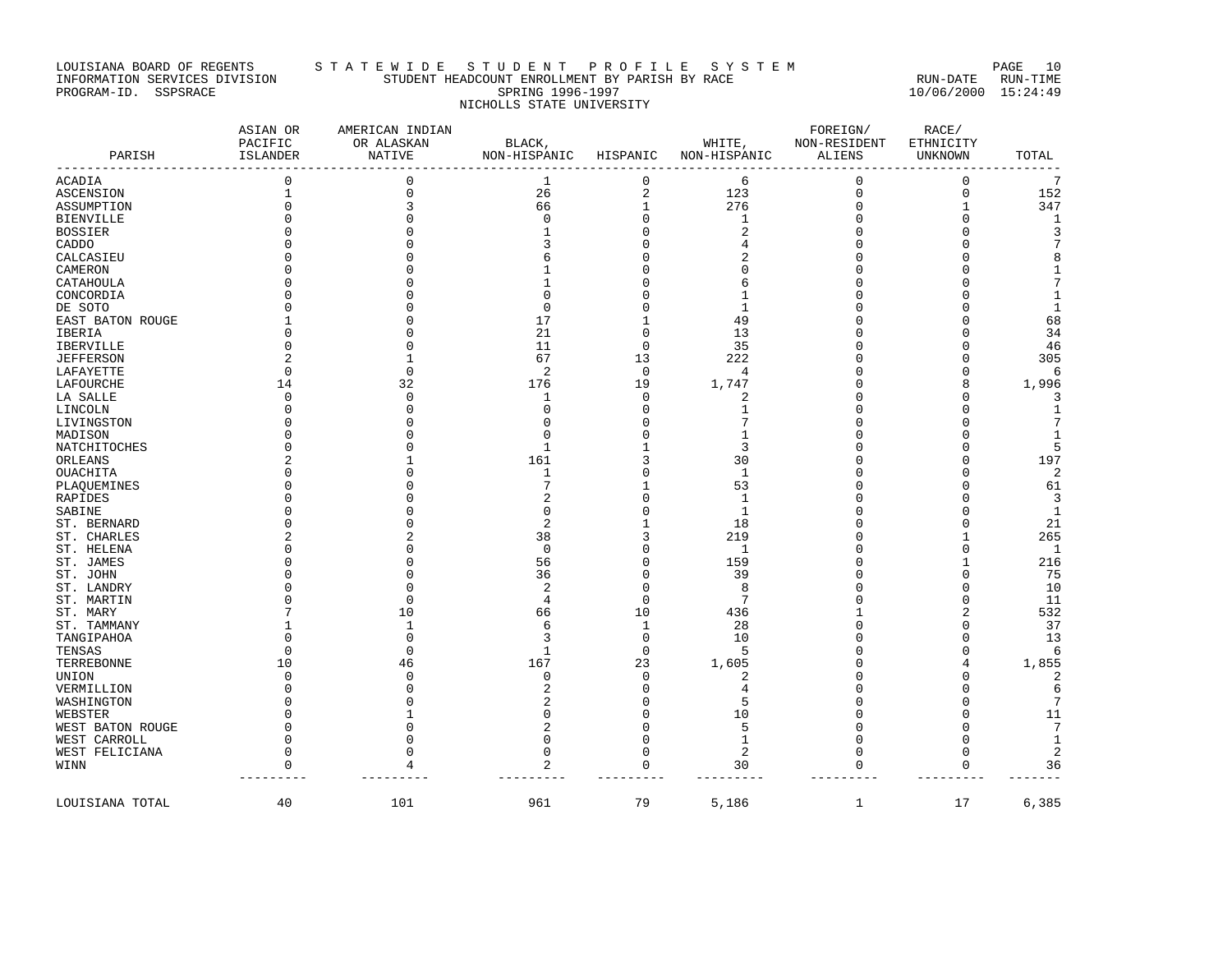# LOUISIANA BOARD OF REGENTS STA TE WIDE STUDENT PROFILE SYSTEM NAGE 10 INFORMATION SERVICES DIVISION STUDENT HEADCOUNT ENROLLMENT BY PARISH BY RACE RUN-DATE RUN-TIME PROGRAM-ID. SSPSRACE SPRING 1996-1997 10/06/2000 15:24:49 NICHOLLS STATE UNIVERSITY

| PARISH           | ASIAN OR<br>PACIFIC<br>ISLANDER | AMERICAN INDIAN<br>OR ALASKAN<br><b>NATIVE</b> | BLACK,<br>NON-HISPANIC | HISPANIC       | WHITE,<br>NON-HISPANIC | FOREIGN/<br>NON-RESIDENT<br>ALIENS | RACE/<br>ETHNICITY<br><b>UNKNOWN</b> | TOTAL           |
|------------------|---------------------------------|------------------------------------------------|------------------------|----------------|------------------------|------------------------------------|--------------------------------------|-----------------|
| <b>ACADIA</b>    | 0                               | 0                                              | $\mathbf{1}$           | $\mathbf 0$    | 6                      | $\mathbf 0$                        | $\mathbf 0$                          | $7\phantom{.0}$ |
| <b>ASCENSION</b> | $\mathbf{1}$                    | 0                                              | 26                     | $\overline{2}$ | 123                    | $\mathbf 0$                        | $\mathbf 0$                          | 152             |
|                  | U                               | 3                                              | 66                     | $\mathbf{1}$   | 276                    | $\Omega$                           | 1                                    | 347             |
| ASSUMPTION       |                                 |                                                | $\Omega$               | $\Omega$       | 1                      |                                    | $\Omega$                             |                 |
| <b>BIENVILLE</b> |                                 |                                                |                        | $\Omega$       | 2                      |                                    | n                                    | 1<br>3          |
| <b>BOSSIER</b>   |                                 |                                                |                        | $\Omega$       |                        |                                    | $\cap$                               | 7               |
| CADDO            |                                 |                                                |                        |                | 4                      |                                    |                                      |                 |
| CALCASIEU        |                                 |                                                |                        |                | 2                      |                                    | $\cap$                               | 8               |
| CAMERON          |                                 |                                                |                        |                | $\Omega$               |                                    | $\cap$                               | $\mathbf{1}$    |
| CATAHOULA        |                                 |                                                |                        |                | 6                      |                                    | $\cap$                               | 7               |
| CONCORDIA        |                                 |                                                |                        | O              | 1                      |                                    | $\Omega$                             | 1               |
| DE SOTO          |                                 |                                                | ∩                      |                | $\mathbf 1$            |                                    | $\cap$                               | $\mathbf{1}$    |
| EAST BATON ROUGE |                                 |                                                | 17                     |                | 49                     |                                    | $\cap$                               | 68              |
| IBERIA           |                                 |                                                | 21                     | $\Omega$       | 13                     |                                    | $\Omega$                             | 34              |
| <b>IBERVILLE</b> |                                 |                                                | 11                     | $\Omega$       | 35                     |                                    | $\Omega$                             | 46              |
| <b>JEFFERSON</b> |                                 |                                                | 67                     | 13             | 222                    |                                    | $\Omega$                             | 305             |
| LAFAYETTE        | $\Omega$                        | 0                                              | 2                      | $\mathbf 0$    | 4                      |                                    | $\Omega$                             | 6               |
| LAFOURCHE        | 14                              | 32                                             | 176                    | 19             | 1,747                  |                                    | 8                                    | 1,996           |
| LA SALLE         | $\Omega$                        | $\cap$                                         | 1                      | $\Omega$       | 2                      |                                    | $\Omega$                             | 3               |
| LINCOLN          | U                               |                                                | O                      | $\Omega$       | 1                      |                                    | $\Omega$                             | $\mathbf{1}$    |
| LIVINGSTON       |                                 |                                                |                        | $\Omega$       | 7                      |                                    | $\cap$                               | 7               |
| MADISON          |                                 |                                                | ∩                      | $\Omega$       | 1                      |                                    | $\cap$                               | 1               |
| NATCHITOCHES     |                                 |                                                | 1                      |                | 3                      |                                    | $\Omega$                             | 5               |
| ORLEANS          |                                 |                                                | 161                    | 3              | 30                     |                                    | $\Omega$                             | 197             |
| OUACHITA         |                                 |                                                | 1                      | $\Omega$       | 1                      |                                    | $\cap$                               | 2               |
| PLAQUEMINES      |                                 |                                                |                        |                | 53                     |                                    | $\cap$                               | 61              |
| RAPIDES          |                                 |                                                |                        | $\Omega$       | $\mathbf{1}$           |                                    | $\cap$                               | $\overline{3}$  |
| SABINE           |                                 |                                                | O                      | $\Omega$       | 1                      |                                    | $\Omega$                             | $\mathbf{1}$    |
| ST. BERNARD      |                                 |                                                | 2                      |                | 18                     |                                    | $\Omega$                             | 21              |
| ST. CHARLES      |                                 |                                                | 38                     | 3              | 219                    |                                    | $\mathbf{1}$                         | 265             |
|                  |                                 |                                                | $\Omega$               | $\Omega$       |                        |                                    | $\mathbf 0$                          |                 |
| ST. HELENA       |                                 |                                                |                        | $\Omega$       | 1                      |                                    | $\overline{1}$                       | $\mathbf{1}$    |
| ST. JAMES        |                                 |                                                | 56                     |                | 159                    |                                    |                                      | 216             |
| ST. JOHN         |                                 |                                                | 36                     | $\Omega$       | 39                     |                                    | $\Omega$                             | 75              |
| ST. LANDRY       |                                 |                                                | 2                      | $\Omega$       | 8                      |                                    | $\Omega$                             | 10              |
| ST. MARTIN       |                                 | $\Omega$                                       | 4                      | $\Omega$       | 7                      |                                    | $\mathbf 0$                          | 11              |
| ST. MARY         |                                 | 10                                             | 66                     | 10             | 436                    |                                    | $\overline{c}$                       | 532             |
| ST. TAMMANY      |                                 | 1                                              | 6                      | 1              | 28                     | <sup>0</sup>                       | $\mathbf 0$                          | 37              |
| TANGIPAHOA       |                                 | $\Omega$                                       | κ                      | $\Omega$       | 10                     |                                    | $\Omega$                             | 13              |
| TENSAS           | $\Omega$                        | $\Omega$                                       |                        | $\Omega$       | 5                      |                                    | $\Omega$                             | 6               |
| TERREBONNE       | 10                              | 46                                             | 167                    | 23             | 1,605                  |                                    | 4                                    | 1,855           |
| UNION            | O                               | $\cap$                                         | $\Omega$               | $\mathbf 0$    | $\overline{2}$         |                                    | $\Omega$                             | 2               |
| VERMILLION       |                                 |                                                |                        | $\Omega$       | 4                      |                                    | $\Omega$                             | $\epsilon$      |
| WASHINGTON       |                                 |                                                |                        | $\Omega$       | 5                      |                                    | $\Omega$                             | 7               |
| WEBSTER          |                                 |                                                |                        | $\Omega$       | 10                     |                                    | $\Omega$                             | 11              |
| WEST BATON ROUGE |                                 |                                                |                        | $\Omega$       | 5                      | <sup>0</sup>                       | $\Omega$                             | $7\phantom{.0}$ |
| WEST CARROLL     | U                               |                                                |                        | $\Omega$       | 1                      | ∩                                  | $\Omega$                             | $\mathbf{1}$    |
| WEST FELICIANA   | O                               |                                                | $\Omega$               | $\Omega$       | 2                      | $\Omega$                           | $\mathbf 0$                          | 2               |
| WINN             | $\Omega$                        | 4                                              | 2                      | $\mathbf 0$    | 30                     | $\Omega$                           | $\mathbf 0$                          | 36              |
| LOUISIANA TOTAL  | 40                              | 101                                            | 961                    | 79             | 5,186                  | $\mathbf{1}$                       | 17                                   | 6,385           |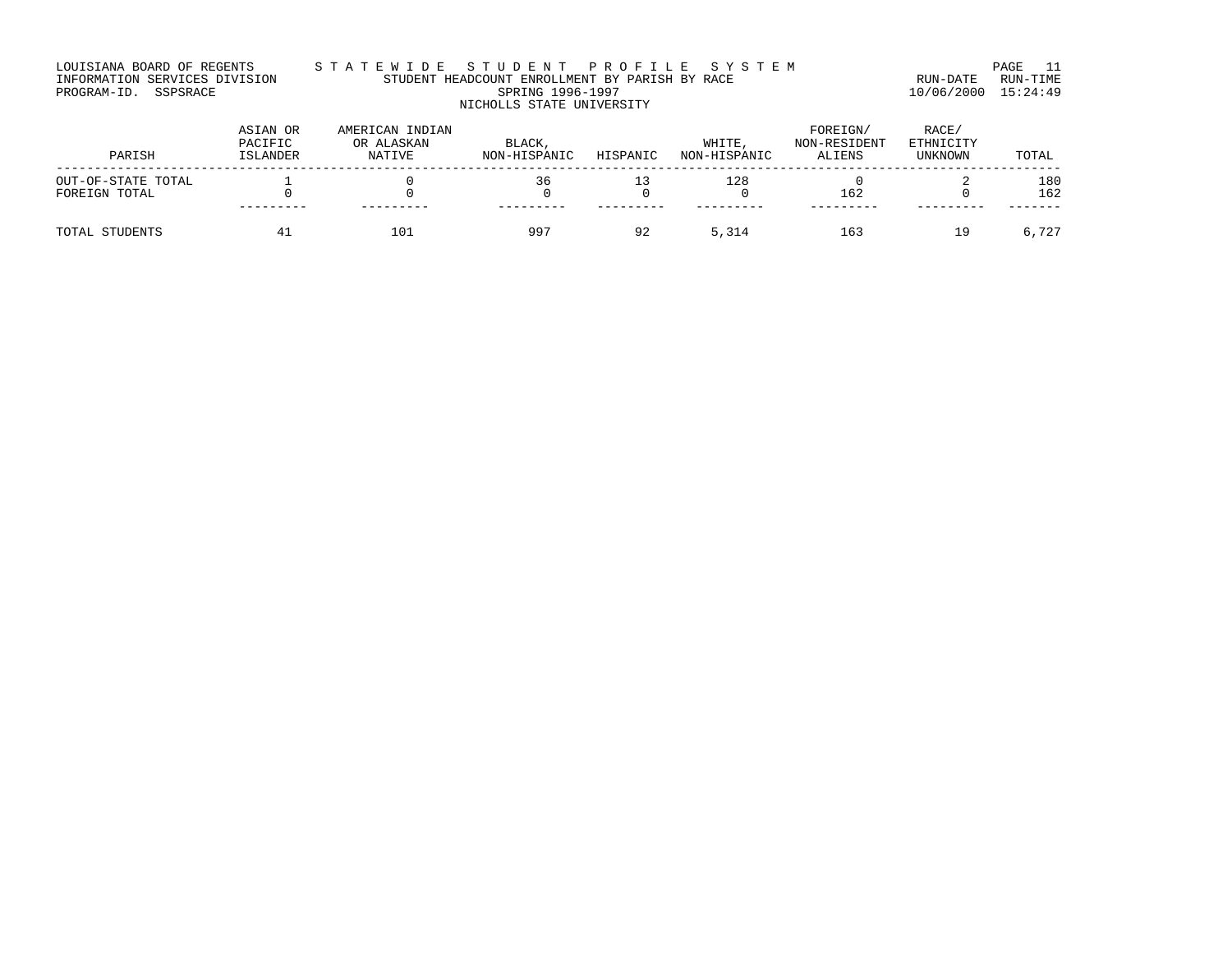# LOUISIANA BOARD OF REGENTS S T A T E W I D E S T U D E N T P R O F I L E S Y S T E M PAGE 11 INFORMATION SERVICES DIVISION STUDENT HEADCOUNT ENROLLMENT BY PARISH BY RACE RUN-DATE RUN-TIME PROGRAM-ID. SSPSRACE SPRING 1996-1997 10/06/2000 15:24:49 NICHOLLS STATE UNIVERSITY

| PARISH                              | ASIAN OR<br>PACIFIC<br>ISLANDER | AMERICAN INDIAN<br>OR ALASKAN<br>NATIVE | BLACK,<br>NON-HISPANIC | HISPANIC | WHITE<br>NON-HISPANIC | FOREIGN/<br>NON-RESIDENT<br>ALIENS | RACE/<br>ETHNICITY<br>UNKNOWN | TOTAL      |
|-------------------------------------|---------------------------------|-----------------------------------------|------------------------|----------|-----------------------|------------------------------------|-------------------------------|------------|
| OUT-OF-STATE TOTAL<br>FOREIGN TOTAL |                                 |                                         | 36                     |          | 128                   | 162                                |                               | 180<br>162 |
| TOTAL STUDENTS                      | <b>41</b>                       | 101                                     | 997                    | 92       | 5,314                 | 163                                | 19                            | 6,727      |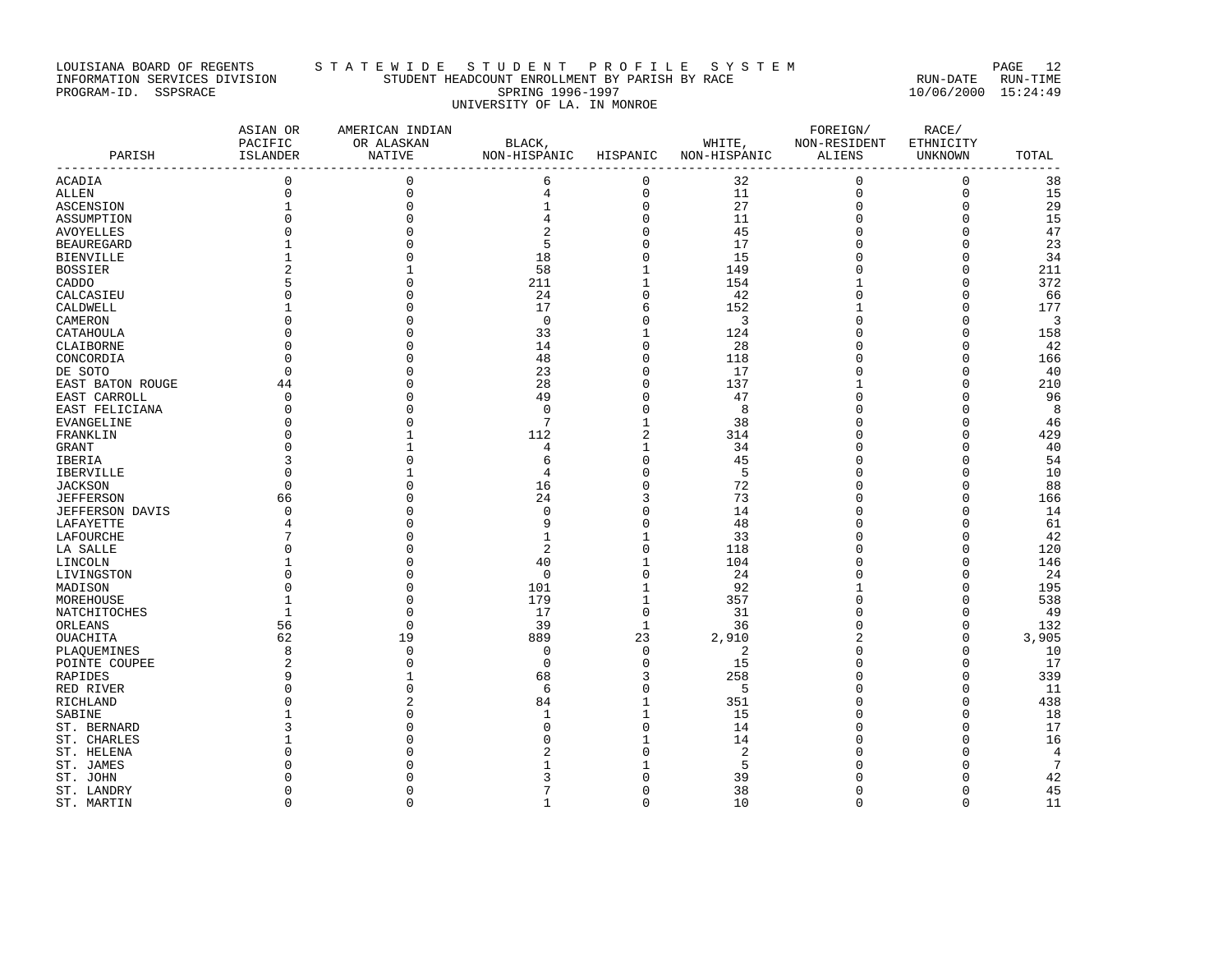# LOUISIANA BOARD OF REGENTS STA TE WIDE STUDENT PROFILE SYSTEM PAGE 12 INFORMATION SERVICES DIVISION STUDENT HEADCOUNT ENROLLMENT BY PARISH BY RACE RUN-DATE RUN-TIME PROGRAM-ID. SSPSRACE SPRING 1996-1997 10/06/2000 15:24:49 UNIVERSITY OF LA. IN MONROE

| $\mathbf 0$<br>$\mathbf{0}$<br>6<br>$\mathbf 0$<br>32<br>0<br>ACADIA                 | $\mathbf 0$<br>38           |
|--------------------------------------------------------------------------------------|-----------------------------|
| $\mathbf 0$<br>$\mathbf 0$<br>$\,4$<br>$\mathsf 0$<br>11<br>$\mathbf 0$<br>ALLEN     | $\mathbf 0$<br>15           |
| $\mathbf{0}$<br>$1\,$<br>27<br>$\mathbf{1}$<br>0<br>$\mathbf 0$<br>ASCENSION         | 29<br>$\mathbf 0$           |
| 0<br>$\Omega$<br>4<br>11<br>$\Omega$<br>ASSUMPTION                                   | 15<br>$\Omega$              |
| $\overline{2}$<br>$\Omega$<br>$\Omega$<br>0<br>45<br>$\mathbf 0$<br>AVOYELLES        | 47<br>$\mathbf 0$           |
| 5<br>0<br>17<br><b>BEAUREGARD</b><br>0                                               | 23<br>$\Omega$              |
| 18<br>0<br>15<br>$\Omega$<br><b>BIENVILLE</b>                                        | 34<br>$\Omega$              |
| 58<br>$\mathbf 1$<br>149<br><b>BOSSIER</b><br>0                                      | 211<br>$\Omega$             |
| 211<br>1<br>154<br>CADDO<br>5<br>1                                                   | 372<br>$\Omega$             |
| $\Omega$<br>24<br>0<br>42<br>CALCASIEU<br>$\Omega$<br>0                              | 66<br>$\mathbf 0$           |
| 17<br>6<br>152<br>CALDWELL<br>1                                                      | 177<br>$\Omega$             |
| 0<br>CAMERON<br>$\Omega$<br>3<br>O<br><sup>0</sup>                                   | 3<br>$\Omega$               |
| 33<br>124<br>CATAHOULA<br>$\cap$<br>1<br>0                                           | $\mathbf 0$<br>158          |
| 0<br>$\Omega$<br>14<br>28<br>$\Omega$<br>CLAIBORNE<br>O                              | 42<br>$\mathbf 0$           |
| 0<br>$\Omega$<br>48<br>CONCORDIA<br>$\Omega$<br>118<br>O                             | $\Omega$<br>166             |
| $\Omega$<br>23<br>0<br>17<br>$\Omega$<br>0<br>DE SOTO                                | $\Omega$<br>40              |
| 44<br>28<br>0<br>137<br>EAST BATON ROUGE                                             | $\Omega$<br>210             |
| 49<br>0<br>47<br>EAST CARROLL<br>0<br>$\Omega$<br>O                                  | $\mathbf 0$<br>96           |
| 0<br>8<br>0<br>$\mathbf 0$<br>EAST FELICIANA<br>O<br>0                               | 8<br>$\Omega$               |
| 7<br>38<br>$\Omega$<br>1<br>EVANGELINE                                               | 46<br>$\Omega$              |
| $\overline{\mathbf{c}}$<br>112<br>314<br>$\Omega$<br>Ω<br>FRANKLIN                   | $\Omega$<br>429             |
| 1<br>34<br>GRANT<br>U<br>4<br>U                                                      | 40<br>$\Omega$              |
| 0<br>3<br>45<br>IBERIA<br>$\Omega$<br>O<br>6                                         | 54<br>$\mathbf 0$           |
| 0<br>5<br>$\Omega$<br>4<br>IBERVILLE<br>U                                            | 10<br>$\Omega$              |
| 0<br><b>JACKSON</b><br>$\Omega$<br>16<br>72<br>∩                                     | 88<br>$\Omega$              |
| 24<br>3<br>73<br><b>JEFFERSON</b><br>66<br>O<br>U                                    | 166<br>$\Omega$             |
| 0<br><b>JEFFERSON DAVIS</b><br>$\Omega$<br>$\mathbf 0$<br>14<br>0<br>O               | 14<br>$\mathbf 0$           |
| 0<br>9<br>48<br>LAFAYETTE<br>O                                                       | 61<br>$\Omega$              |
| $1\,$<br>33<br>$\mathbf{1}$<br>0<br>LAFOURCHE                                        | 42<br>$\Omega$              |
| 0<br>2<br>LA SALLE<br>118<br>U                                                       | 120<br>$\Omega$             |
| 40<br>$\mathbf 1$<br>104<br>LINCOLN<br>$\Omega$<br>Ω                                 | $\Omega$<br>146             |
| 0<br>$\Omega$<br>$\mathbf 0$<br>24<br>LIVINGSTON<br>$\Omega$<br>0                    | 24<br>$\Omega$              |
| 92<br>$\Omega$<br>101<br>$\mathbf 1$<br>MADISON<br>$\Omega$                          | 195<br>$\Omega$             |
| 179<br>$\mathbf 1$<br>357<br>$\mathbf{1}$<br>$\Omega$<br>0<br>MOREHOUSE              | 538<br>$\Omega$             |
| $\Omega$<br>$\mathbf{1}$<br>$\cap$<br>17<br>31<br>NATCHITOCHES<br>U                  | $\Omega$<br>49              |
| $\mathbf{0}$<br>39<br>$\mathbf{1}$<br>36<br>ORLEANS<br>56<br>0                       | $\mathbf 0$<br>132          |
| 62<br>19<br>889<br>23<br>2,910<br>2<br>OUACHITA                                      | 3,905<br>$\mathbf 0$        |
| 8<br>$\Omega$<br>$\Omega$<br>0<br>2<br>PLAOUEMINES<br>$\Omega$                       | $\Omega$<br>10<br>17        |
| $\overline{2}$<br>0<br>15<br>$\mathbf 0$<br>POINTE COUPEE<br>U<br>258<br>9<br>O<br>1 | $\Omega$<br>339<br>$\Omega$ |
| 3<br>68<br>RAPIDES<br>0<br>5<br>$\Omega$<br>$\Omega$<br>6<br>O                       | 11<br>$\Omega$              |
| RED RIVER<br>351<br>84<br>0                                                          | 438<br>$\Omega$             |
| $\mathbf{1}$<br>RICHLAND<br>SABINE<br>1<br>15<br>U<br>-1                             | 18<br>O                     |
| 0<br>14<br>ST. BERNARD<br>3<br>$\sqrt{ }$<br>Ω                                       | 17<br>$\Omega$              |
| 1<br>14<br>ST. CHARLES<br>ſ<br>0                                                     | 16<br>$\Omega$              |
| 0<br>2<br>ST. HELENA                                                                 | $\overline{4}$<br>$\Omega$  |
| 1<br>5<br>ST. JAMES                                                                  | $7\phantom{.0}$<br>∩        |
| $\Omega$<br>39<br>ST. JOHN                                                           | 42<br>∩                     |
| 0<br>38<br>ST. LANDRY<br>$\Omega$<br>0<br>$\Omega$                                   | 45<br>$\mathbf 0$           |
| $\Omega$<br>$\Omega$<br>$\Omega$<br>$\mathbf{1}$<br>10<br>$\Omega$<br>ST. MARTIN     | $\Omega$<br>11              |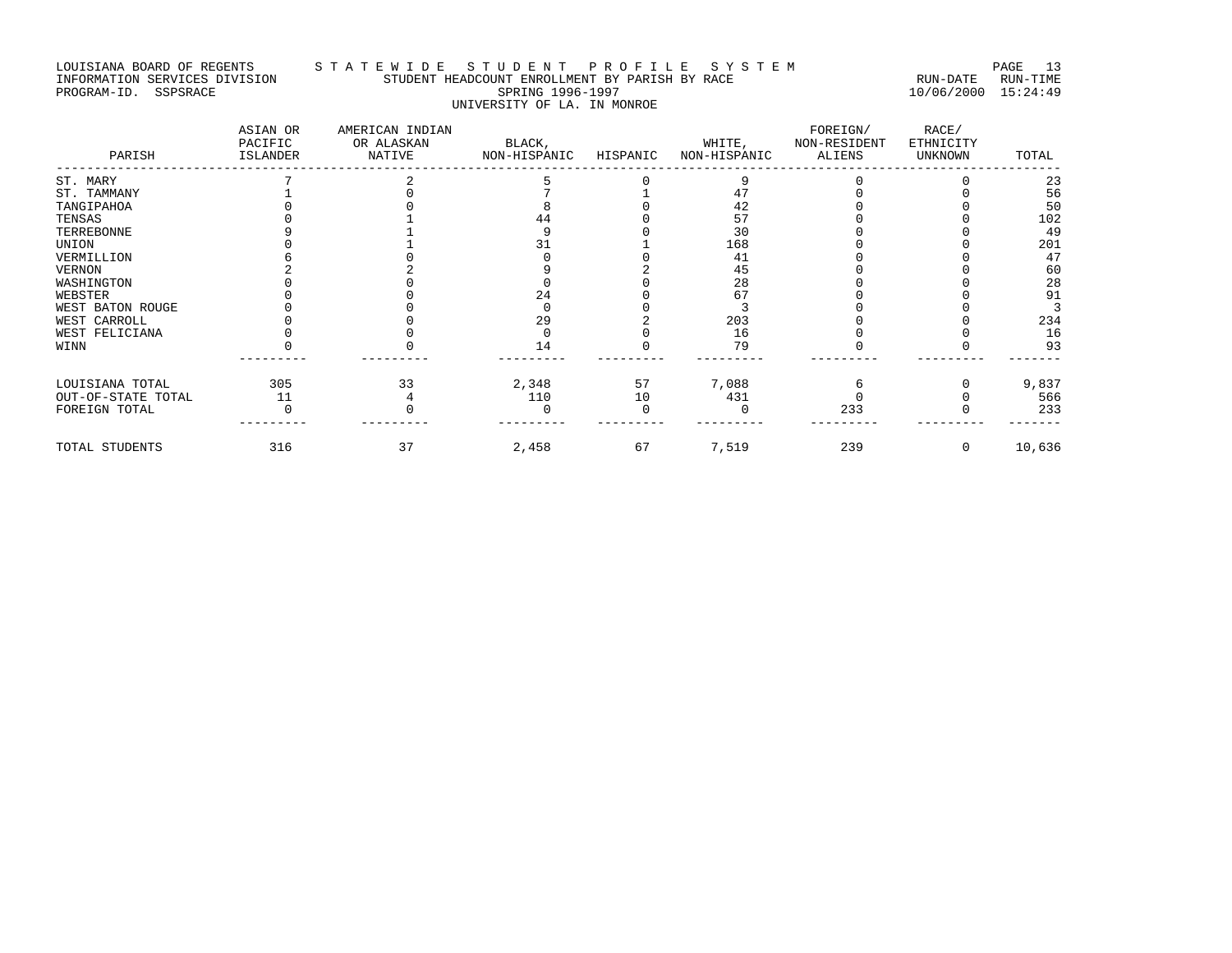# LOUISIANA BOARD OF REGENTS STA TE WIDE STUDENT PROFILE SYSTEM PAGE 13 INFORMATION SERVICES DIVISION STUDENT HEADCOUNT ENROLLMENT BY PARISH BY RACE RUN-DATE RUN-TIME PROGRAM-ID. SSPSRACE SPRING 1996-1997 10/06/2000 15:24:49 UNIVERSITY OF LA. IN MONROE

| PARISH             | ASIAN OR<br>PACIFIC<br>ISLANDER | AMERICAN INDIAN<br>OR ALASKAN<br>NATIVE | BLACK,<br>NON-HISPANIC | HISPANIC | WHITE,<br>NON-HISPANIC | FOREIGN/<br>NON-RESIDENT<br>ALIENS | RACE/<br>ETHNICITY<br><b>UNKNOWN</b> | TOTAL  |
|--------------------|---------------------------------|-----------------------------------------|------------------------|----------|------------------------|------------------------------------|--------------------------------------|--------|
| ST. MARY           |                                 |                                         |                        |          |                        |                                    |                                      | 23     |
| ST. TAMMANY        |                                 |                                         |                        |          |                        |                                    |                                      | 56     |
| TANGIPAHOA         |                                 |                                         |                        |          | 42                     |                                    |                                      | 50     |
| TENSAS             |                                 |                                         | 44                     |          | 57                     |                                    |                                      | 102    |
| TERREBONNE         |                                 |                                         |                        |          | 30                     |                                    |                                      | 49     |
| UNION              |                                 |                                         |                        |          | 168                    |                                    |                                      | 201    |
| VERMILLION         |                                 |                                         |                        |          | 41                     |                                    |                                      | 47     |
| VERNON             |                                 |                                         |                        |          | 45                     |                                    |                                      | 60     |
| WASHINGTON         |                                 |                                         |                        |          | 28                     |                                    |                                      | 28     |
| WEBSTER            |                                 |                                         | 24                     |          | 67                     |                                    |                                      | 91     |
| WEST BATON ROUGE   |                                 |                                         |                        |          |                        |                                    |                                      |        |
| WEST CARROLL       |                                 |                                         | 29                     |          | 203                    |                                    |                                      | 234    |
| WEST FELICIANA     |                                 |                                         |                        |          | 16                     |                                    |                                      | 16     |
| WINN               |                                 |                                         | 14                     |          | 79                     |                                    |                                      | 93     |
| LOUISIANA TOTAL    | 305                             | 33                                      | 2,348                  | 57       | 7,088                  |                                    |                                      | 9,837  |
| OUT-OF-STATE TOTAL | 11                              |                                         | 110                    | 10       | 431                    |                                    |                                      | 566    |
| FOREIGN TOTAL      |                                 |                                         |                        |          |                        | 233                                |                                      | 233    |
| TOTAL STUDENTS     | 316                             | 37                                      | 2,458                  | 67       | 7,519                  | 239                                | $\Omega$                             | 10,636 |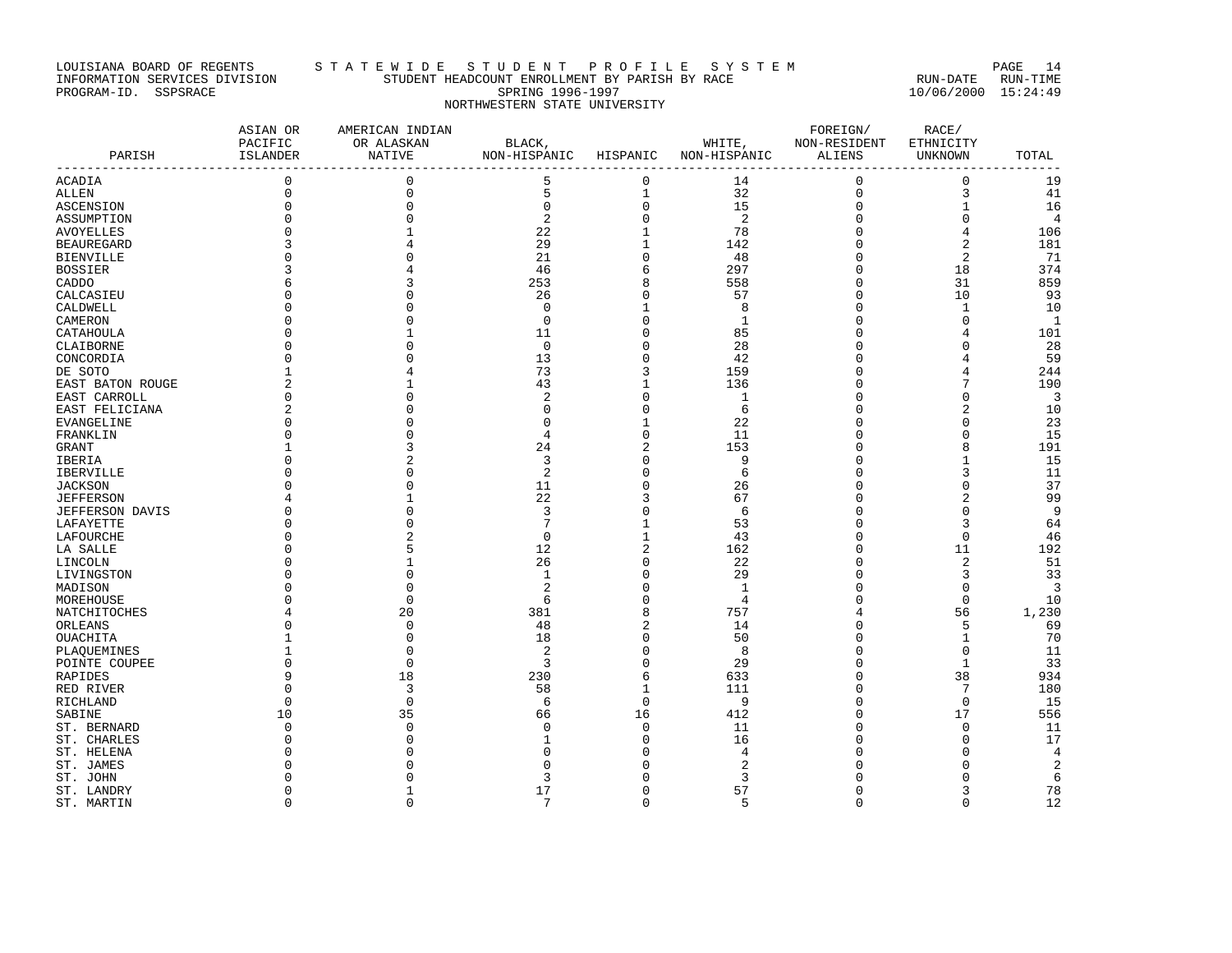# LOUISIANA BOARD OF REGENTS STA TE WIDE STUDENT PROFILE SYSTEM PAGE 14 INFORMATION SERVICES DIVISION STUDENT HEADCOUNT ENROLLMENT BY PARISH BY RACE RUN-DATE RUN-TIME PROGRAM-ID. SSPSRACE SPRING 1996-1997 10/06/2000 15:24:49 NORTHWESTERN STATE UNIVERSITY

| PARISH                             | ASIAN OR<br>PACIFIC<br>ISLANDER | AMERICAN INDIAN<br>OR ALASKAN<br><b>NATIVE</b> | BLACK,<br>NON-HISPANIC | HISPANIC                | NON-HISPANIC ALIENS | FOREIGN/<br>WHITE, NON-RESIDENT | RACE/<br>ETHNICITY<br>UNKNOWN | TOTAL          |
|------------------------------------|---------------------------------|------------------------------------------------|------------------------|-------------------------|---------------------|---------------------------------|-------------------------------|----------------|
| <b>ACADIA</b>                      | $\mathbf 0$                     | $\mathbf{0}$                                   | 5                      | $\mathbf 0$             | 14                  | $\mathbf 0$                     | $\mathbf{0}$                  | 19             |
|                                    | $\mathsf 0$                     | $\Omega$                                       | 5                      | $\mathbf{1}$            | 32                  | 0                               | 3                             | 41             |
| <b>ALLEN</b><br>ASCENSION          | $\mathbf{0}$                    |                                                | $\mathbf 0$            | $\mathsf{O}\xspace$     | 15                  | $\mathbf 0$                     | $\mathbf{1}$                  | 16             |
|                                    |                                 |                                                | $\overline{2}$         | $\overline{0}$          | $\overline{2}$      | $\mathbf 0$                     | $\overline{0}$                | $\overline{4}$ |
| ASSUMPTION                         |                                 |                                                | 22                     | $\mathbf 1$             | 78                  | $\mathbf 0$                     | $\overline{4}$                | 106            |
| <b>AVOYELLES</b>                   |                                 |                                                | 29                     | $\mathbf{1}$            | 142                 | $\mathbf 0$                     | $\overline{c}$                | 181            |
| <b>BEAUREGARD</b>                  |                                 |                                                | 21                     | 0                       |                     | 0                               | $\overline{c}$                | 71             |
| <b>BIENVILLE</b><br><b>BOSSIER</b> |                                 |                                                | 46                     | 6                       | 48<br>297           | $\Omega$                        | 18                            | 374            |
|                                    |                                 |                                                | 253                    | 8                       | 558                 | 0                               | 31                            | 859            |
| CADDO<br>CALCASIEU                 |                                 |                                                | 26                     | 0                       | 57                  | $\Omega$                        | 10                            | 93             |
| CALDWELL                           |                                 |                                                | $\mathbf 0$            | 1                       | 8                   | 0                               | $\mathbf{1}$                  | 10             |
|                                    |                                 |                                                | $\Omega$               | 0                       | 1                   | $\Omega$                        | $\Omega$                      | $\mathbf{1}$   |
| CAMERON                            |                                 |                                                | 11                     | 0                       |                     | 0                               | 4                             |                |
| CATAHOULA                          |                                 |                                                | $\Omega$               | 0                       | 85<br>28            | C                               | $\Omega$                      | 101<br>28      |
| CLAIBORNE                          |                                 |                                                | 13                     | 0                       | 42                  | $\Omega$                        |                               | 59             |
| CONCORDIA                          | 1                               |                                                | 73                     | 3                       | 159                 | 0                               | 4                             | 244            |
| DE SOTO<br>EAST BATON ROUGE        | $\overline{a}$                  |                                                | 43                     | $\mathbf 1$             | 136                 | $\Omega$                        |                               | 190            |
| EAST CARROLL                       | 0                               |                                                | $\overline{c}$         | 0                       | 1                   | 0                               | $\Omega$                      | 3              |
| EAST FELICIANA                     | $\overline{2}$                  |                                                | $\cap$                 | 0                       | 6                   | C                               | $\overline{2}$                | 10             |
| EVANGELINE                         |                                 |                                                | n                      | 1                       | 22                  | 0                               | $\Omega$                      | 23             |
| FRANKLIN                           |                                 |                                                | 4                      | 0                       | 11                  | $\Omega$                        | $\Omega$                      | 15             |
| GRANT                              |                                 |                                                | 24                     | $\overline{\mathbf{c}}$ | 153                 | 0                               | 8                             | 191            |
| IBERIA                             |                                 |                                                | 3                      | 0                       | 9                   | $\Omega$                        | $\mathbf{1}$                  | 15             |
| <b>IBERVILLE</b>                   |                                 |                                                | 2                      | 0                       | 6                   | $\Omega$                        | 3                             | 11             |
| <b>JACKSON</b>                     |                                 |                                                | 11                     | 0                       | 26                  | $\Omega$                        | $\Omega$                      | 37             |
| <b>JEFFERSON</b>                   |                                 |                                                | 22                     | 3                       | 67                  | 0                               | $\overline{2}$                | 99             |
| <b>JEFFERSON DAVIS</b>             |                                 |                                                | 3                      | 0                       | 6                   | U                               | $\Omega$                      | 9              |
| LAFAYETTE                          |                                 |                                                | 7                      | 1                       | 53                  | C                               | 3                             | 64             |
| LAFOURCHE                          |                                 |                                                | $\Omega$               | $\mathbf 1$             | 43                  | 0                               | $\Omega$                      | 46             |
| LA SALLE                           |                                 |                                                | 12                     | $\overline{c}$          | 162                 | $\Omega$                        | 11                            | 192            |
| LINCOLN                            |                                 |                                                | 26                     | 0                       | 22                  | 0                               | $\overline{a}$                | 51             |
| LIVINGSTON                         |                                 |                                                | $\mathbf{1}$           | 0                       | 29                  | $\Omega$                        | 3                             | 33             |
| MADISON                            |                                 |                                                | $\overline{2}$         | $\Omega$                | $\mathbf{1}$        | $\Omega$                        | $\Omega$                      | 3              |
| MOREHOUSE                          |                                 |                                                | 6                      | $\Omega$                | $\overline{4}$      | $\Omega$                        | $\mathbf 0$                   | 10             |
| NATCHITOCHES                       |                                 | 20                                             | 381                    | 8                       | 757                 | 4                               | 56                            | 1,230          |
| ORLEANS                            | $\Omega$                        | $\Omega$                                       | 48                     | $\overline{2}$          | 14                  | 0                               | 5                             | 69             |
| OUACHITA                           |                                 |                                                | 18                     | 0                       | 50                  | C                               | $\mathbf{1}$                  | 70             |
| PLAQUEMINES                        |                                 | $\cap$                                         | 2                      | 0                       | 8                   | $\Omega$                        | $\Omega$                      | 11             |
| POINTE COUPEE                      | $\Omega$                        | $\Omega$                                       | 3                      | 0                       | 29                  | $\Omega$                        | $\mathbf{1}$                  | 33             |
| RAPIDES                            | 9                               | 18                                             | 230                    | 6                       | 633                 | 0                               | 38                            | 934            |
| RED RIVER                          | $\Omega$                        | 3                                              | 58                     | $\mathbf 1$             | 111                 | 0                               | 7                             | 180            |
| RICHLAND                           | $\Omega$                        | $\cap$                                         | 6                      | 0                       | 9                   | $\Omega$                        | $\mathbf 0$                   | 15             |
| SABINE                             | 10                              | 35                                             | 66                     | 16                      | 412                 | $\Omega$                        | 17                            | 556            |
| ST. BERNARD                        | $\Omega$                        |                                                | n                      | 0                       | 11                  | C                               | $\mathbf 0$                   | 11             |
| ST. CHARLES                        | n                               |                                                |                        | 0                       | 16                  | C                               | $\Omega$                      | 17             |
| ST. HELENA                         |                                 |                                                |                        | $\Omega$                | 4                   |                                 | $\Omega$                      | 4              |
| ST. JAMES                          |                                 |                                                | ſ                      | U                       | 2                   |                                 | $\cap$                        | $\sqrt{2}$     |
| ST. JOHN                           |                                 |                                                | 3                      | O                       | 3                   |                                 | $\Omega$                      | 6              |
| ST. LANDRY                         | $\Omega$                        |                                                | 17                     | 0                       | 57                  | $\Omega$                        | 3                             | 78             |
| ST. MARTIN                         | $\Omega$                        | $\Omega$                                       | 7                      | $\Omega$                | 5                   | $\Omega$                        | $\Omega$                      | 12             |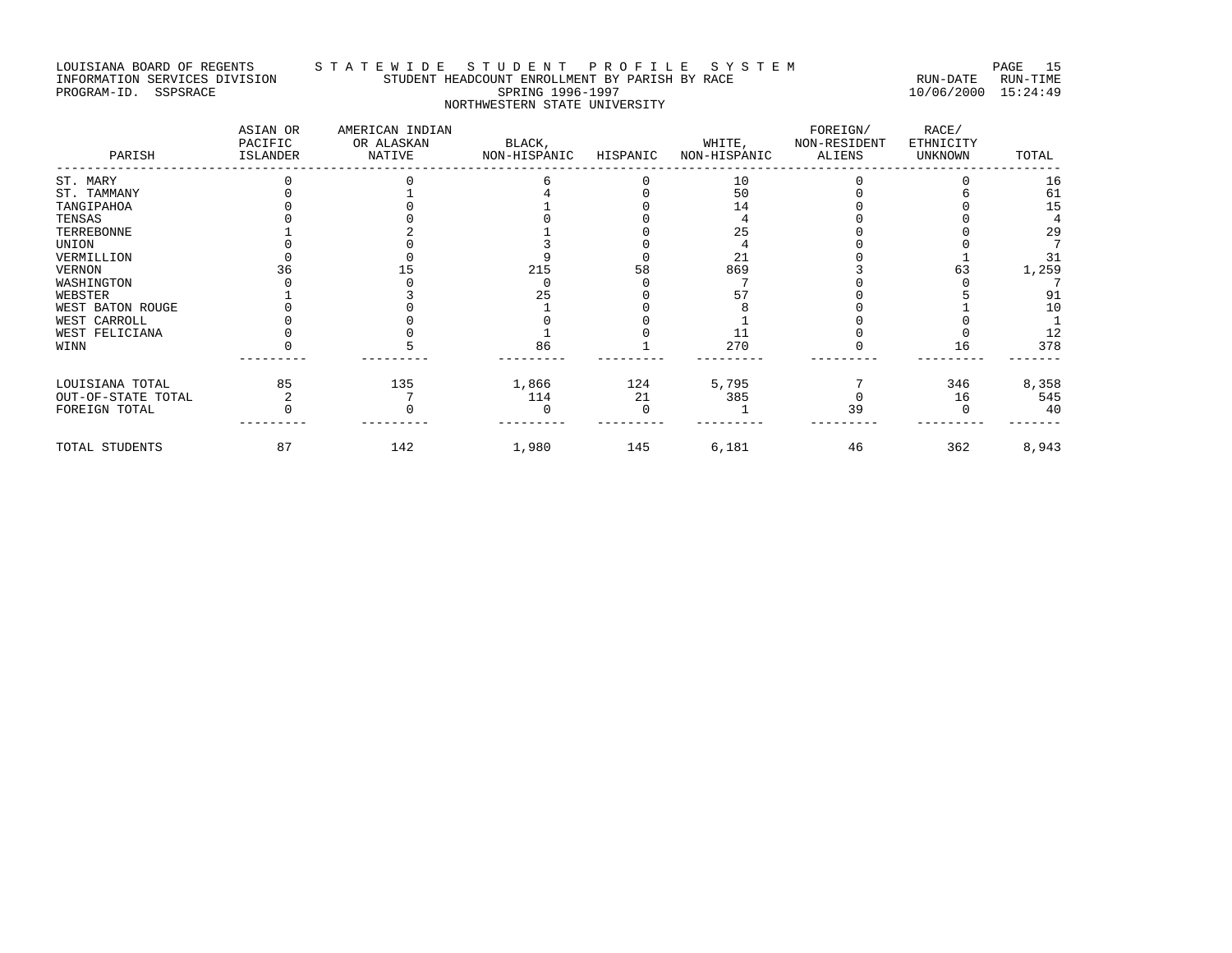# LOUISIANA BOARD OF REGENTS S T A T E W I D E S T U D E N T P R O F I L E S Y S T E M PAGE 15 INFORMATION SERVICES DIVISION STUDENT HEADCOUNT ENROLLMENT BY PARISH BY RACE RUN-DATE RUN-TIME PROGRAM-ID. SSPSRACE SPRING 1996-1997 10/06/2000 15:24:49 NORTHWESTERN STATE UNIVERSITY

| PARISH             | ASIAN OR<br>PACIFIC<br>ISLANDER | AMERICAN INDIAN<br>OR ALASKAN<br>NATIVE | BLACK,<br>NON-HISPANIC | HISPANIC | WHITE,<br>NON-HISPANIC | FOREIGN/<br>NON-RESIDENT<br>ALIENS | RACE/<br>ETHNICITY<br><b>UNKNOWN</b> | TOTAL |
|--------------------|---------------------------------|-----------------------------------------|------------------------|----------|------------------------|------------------------------------|--------------------------------------|-------|
| ST. MARY           |                                 |                                         |                        |          | 10                     |                                    |                                      | 16    |
| ST. TAMMANY        |                                 |                                         |                        |          | 50                     |                                    |                                      | 61    |
| TANGIPAHOA         |                                 |                                         |                        |          | 14                     |                                    |                                      | 15    |
| TENSAS             |                                 |                                         |                        |          |                        |                                    |                                      |       |
| TERREBONNE         |                                 |                                         |                        |          | 25                     |                                    |                                      | 29    |
| UNION              |                                 |                                         |                        |          |                        |                                    |                                      |       |
| VERMILLION         |                                 |                                         |                        |          | 21                     |                                    |                                      | 31    |
| VERNON             |                                 |                                         | 215                    | 58       | 869                    |                                    |                                      | 1,259 |
| WASHINGTON         |                                 |                                         |                        |          |                        |                                    |                                      |       |
| WEBSTER            |                                 |                                         | 25                     |          |                        |                                    |                                      | 91    |
| WEST BATON ROUGE   |                                 |                                         |                        |          |                        |                                    |                                      | 10    |
| WEST CARROLL       |                                 |                                         |                        |          |                        |                                    |                                      |       |
| WEST FELICIANA     |                                 |                                         |                        |          | 11                     |                                    |                                      | 12    |
| WINN               |                                 |                                         | 86                     |          | 270                    |                                    | 16                                   | 378   |
| LOUISIANA TOTAL    | 85                              | 135                                     | 1,866                  | 124      | 5,795                  |                                    | 346                                  | 8,358 |
| OUT-OF-STATE TOTAL |                                 |                                         | 114                    | 21       | 385                    |                                    | 16                                   | 545   |
| FOREIGN TOTAL      |                                 |                                         |                        |          |                        | 39                                 |                                      | 40    |
| TOTAL STUDENTS     | 87                              | 142                                     | 1,980                  | 145      | 6,181                  | 46                                 | 362                                  | 8,943 |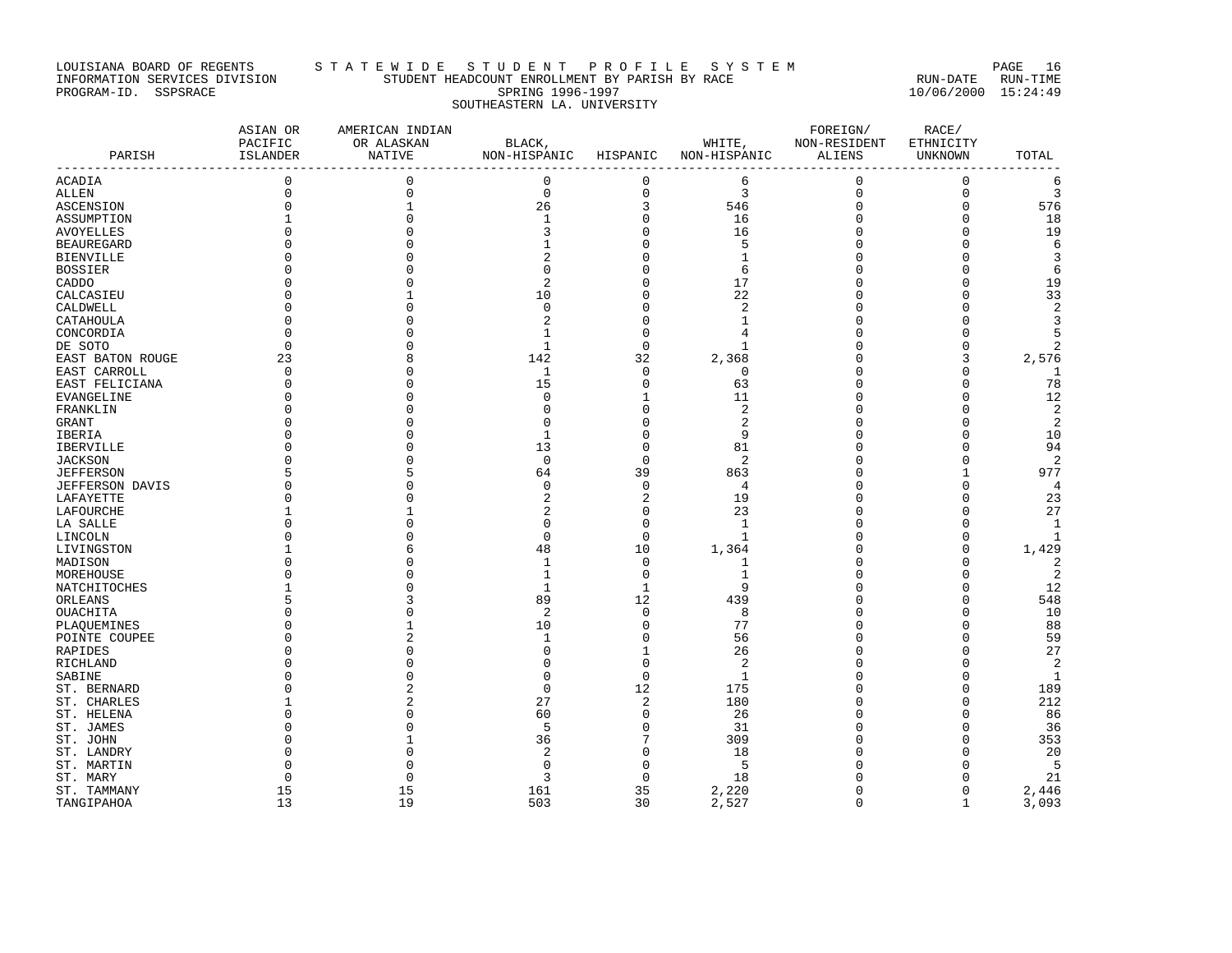# LOUISIANA BOARD OF REGENTS STA TE WIDE STUDENT PROFILE SYSTEM NAGE 16 INFORMATION SERVICES DIVISION STUDENT HEADCOUNT ENROLLMENT BY PARISH BY RACE RUN-DATE RUN-TIME PROGRAM-ID. SSPSRACE SPRING 1996-1997 10/06/2000 15:24:49 SOUTHEASTERN LA. UNIVERSITY

| PARISH           | ASIAN OR<br>PACIFIC<br>ISLANDER | AMERICAN INDIAN<br>OR ALASKAN<br>NATIVE | BLACK,<br>NON-HISPANIC HISPANIC NON-HISPANIC |             | WHITE,         | FOREIGN/<br>NON-RESIDENT<br>ALIENS | RACE/<br>ETHNICITY<br>UNKNOWN | TOTAL          |
|------------------|---------------------------------|-----------------------------------------|----------------------------------------------|-------------|----------------|------------------------------------|-------------------------------|----------------|
| ACADIA           | $\mathbf 0$                     | $\mathbf 0$                             | $\mathbf{0}$                                 | $\mathbf 0$ | 6              | 0                                  | $\mathbf 0$                   | 6              |
| ALLEN            | $\Omega$                        | $\mathbf 0$                             | $\mathbf 0$                                  | $\mathbf 0$ | 3              | $\mathbf 0$                        | $\mathbf 0$                   | 3              |
| ASCENSION        | 0                               | 1                                       | 26                                           | 3           | 546            | $\mathbf 0$                        | 0                             | 576            |
| ASSUMPTION       |                                 | $\Omega$                                | 1                                            | $\mathbf 0$ | 16             | $\mathbf 0$                        | $\Omega$                      | 18             |
| AVOYELLES        |                                 | $\cap$                                  | 3                                            | $\Omega$    | 16             | n                                  | ∩                             | 19             |
| BEAUREGARD       |                                 |                                         |                                              | $\Omega$    |                | n                                  | $\Omega$                      | 6              |
| BIENVILLE        |                                 |                                         | 2                                            | $\Omega$    | -1             | 0                                  | $\Omega$                      | 3              |
| BOSSIER          |                                 |                                         | $\Omega$                                     | $\Omega$    | 6              | $\Omega$                           | $\Omega$                      | 6              |
| CADDO            |                                 | Λ                                       | $\overline{2}$                               | $\Omega$    | 17             | n                                  | $\Omega$                      | 19             |
| CALCASIEU        |                                 |                                         | 10                                           | 0           | 22             | 0                                  | $\Omega$                      | 33             |
| CALDWELL         |                                 | $\Omega$                                | $\Omega$                                     | 0           | $\overline{2}$ | $\Omega$                           | $\Omega$                      | $\overline{2}$ |
| CATAHOULA        |                                 |                                         | $\overline{2}$                               | $\Omega$    | -1             | n                                  | $\Omega$                      | 3              |
| CONCORDIA        | O                               | Λ                                       | 1                                            | 0           | $\overline{4}$ | 0                                  | $\Omega$                      | 5              |
| DE SOTO          | $\Omega$                        |                                         | $\mathbf{1}$                                 | $\Omega$    | $\mathbf{1}$   | n                                  | $\Omega$                      | 2              |
| EAST BATON ROUGE | 23                              | 8                                       | 142                                          | 32          | 2,368          | U                                  | 3                             | 2,576          |
| EAST CARROLL     | $\Omega$                        | N                                       | -1                                           | 0           | $\Omega$       | 0                                  | $\Omega$                      | -1             |
| EAST FELICIANA   | $\Omega$                        | U                                       | 15                                           | $\mathbf 0$ | 63             | $\Omega$                           | $\Omega$                      | 78             |
| EVANGELINE       |                                 | Λ                                       | $\Omega$                                     | 1           | 11             | U                                  | O                             | 12             |
| FRANKLIN         |                                 | U                                       | $\cap$                                       | $\Omega$    |                | U                                  | O                             | 2              |
| GRANT            |                                 |                                         | $\cap$                                       | $\Omega$    | 2              | U                                  | $\Omega$                      | $\overline{2}$ |
| IBERIA           |                                 |                                         | $\mathbf{1}$                                 | 0           | 9              | U                                  | $\Omega$                      | 10             |
| IBERVILLE        |                                 | U                                       | 13                                           | $\Omega$    | 81             | n                                  | ∩                             | 94             |
| JACKSON          |                                 | O                                       | $\mathbf 0$                                  | $\mathbf 0$ | 2              | n                                  | $\Omega$                      | 2              |
| JEFFERSON        |                                 | 5                                       | 64                                           | 39          | 863            | n                                  | 1                             | 977            |
| JEFFERSON DAVIS  |                                 | U                                       | $\Omega$                                     | $\Omega$    | 4              | n                                  | O                             | $\overline{4}$ |
| LAFAYETTE        | U                               | U                                       | $\overline{2}$                               | 2           | 19             | n                                  | $\Omega$                      | 23             |
| LAFOURCHE        |                                 |                                         | $\overline{2}$                               | 0           | 23             | 0                                  | $\Omega$                      | 27             |
| LA SALLE         | O                               | O                                       | $\Omega$                                     | 0           | 1              | n                                  | $\Omega$                      | 1              |
| LINCOLN          |                                 |                                         | $\Omega$                                     | $\mathbf 0$ | $\mathbf{1}$   | $\Omega$                           | $\Omega$                      | 1              |
| LIVINGSTON       |                                 | 6                                       | 48                                           | 10          | 1,364          | U                                  | $\Omega$                      | 1,429          |
| MADISON          |                                 | Λ                                       | $\mathbf{1}$                                 | $\Omega$    | $\mathbf{1}$   | n                                  | $\cap$                        | $\overline{2}$ |
| MOREHOUSE        |                                 | N                                       | 1                                            | $\mathbf 0$ | $\mathbf{1}$   | n                                  | $\Omega$                      | 2              |
| NATCHITOCHES     |                                 | N                                       | 1                                            | 1           | 9              | U                                  | O                             | 12             |
| ORLEANS          |                                 | ς                                       | 89                                           | 12          | 439            | $\Omega$                           | $\Omega$                      | 548            |
| OUACHITA         |                                 | $\Omega$                                | 2                                            | $\mathbf 0$ | 8              | n                                  | O                             | 10             |
| PLAOUEMINES      |                                 | 1                                       | 10                                           | $\Omega$    | 77             | O                                  | O                             | 88             |
| POINTE COUPEE    | U                               | 2                                       | 1                                            | 0           | 56             | U                                  | $\Omega$                      | 59             |
| RAPIDES          |                                 | O                                       | $\Omega$                                     | 1           | 26             | U                                  | $\Omega$                      | 27             |
| RICHLAND         |                                 |                                         | ∩                                            | $\Omega$    | 2              | n                                  | ∩                             | $\overline{2}$ |
| SABINE           |                                 |                                         | $\Omega$                                     | $\mathbf 0$ | $\mathbf{1}$   | U                                  | $\Omega$                      | 1              |
| ST. BERNARD      |                                 |                                         | $\mathbf 0$                                  | 12          | 175            | 0                                  | $\Omega$                      | 189            |
| ST. CHARLES      |                                 | 2                                       | 27                                           | 2           | 180            | n                                  | $\Omega$                      | 212            |
| ST. HELENA       |                                 | U                                       | 60                                           | $\mathbf 0$ | 26             | O                                  | ∩                             | 86             |
| ST. JAMES        |                                 |                                         | 5                                            | $\mathbf 0$ | 31             | n                                  | $\Omega$                      | 36             |
| ST. JOHN         |                                 |                                         | 36                                           | 7           | 309            | n                                  | O                             | 353            |
| ST. LANDRY       |                                 |                                         | $\overline{2}$                               | 0           | 18             |                                    | $\Omega$                      | 20             |
| ST. MARTIN       | U                               |                                         | $\cap$                                       | 0           | -5             | n                                  |                               | - 5            |
| ST. MARY         | n                               | $\cap$                                  | २                                            | $\Omega$    | 18             |                                    | $\cap$                        | 21             |
| ST. TAMMANY      | 15                              | 15                                      | 161                                          | 35          | 2,220          | n                                  | 0                             | 2,446          |
| TANGIPAHOA       | 13                              | 19                                      | 503                                          | 30          | 2,527          | $\Omega$                           | $\mathbf{1}$                  | 3,093          |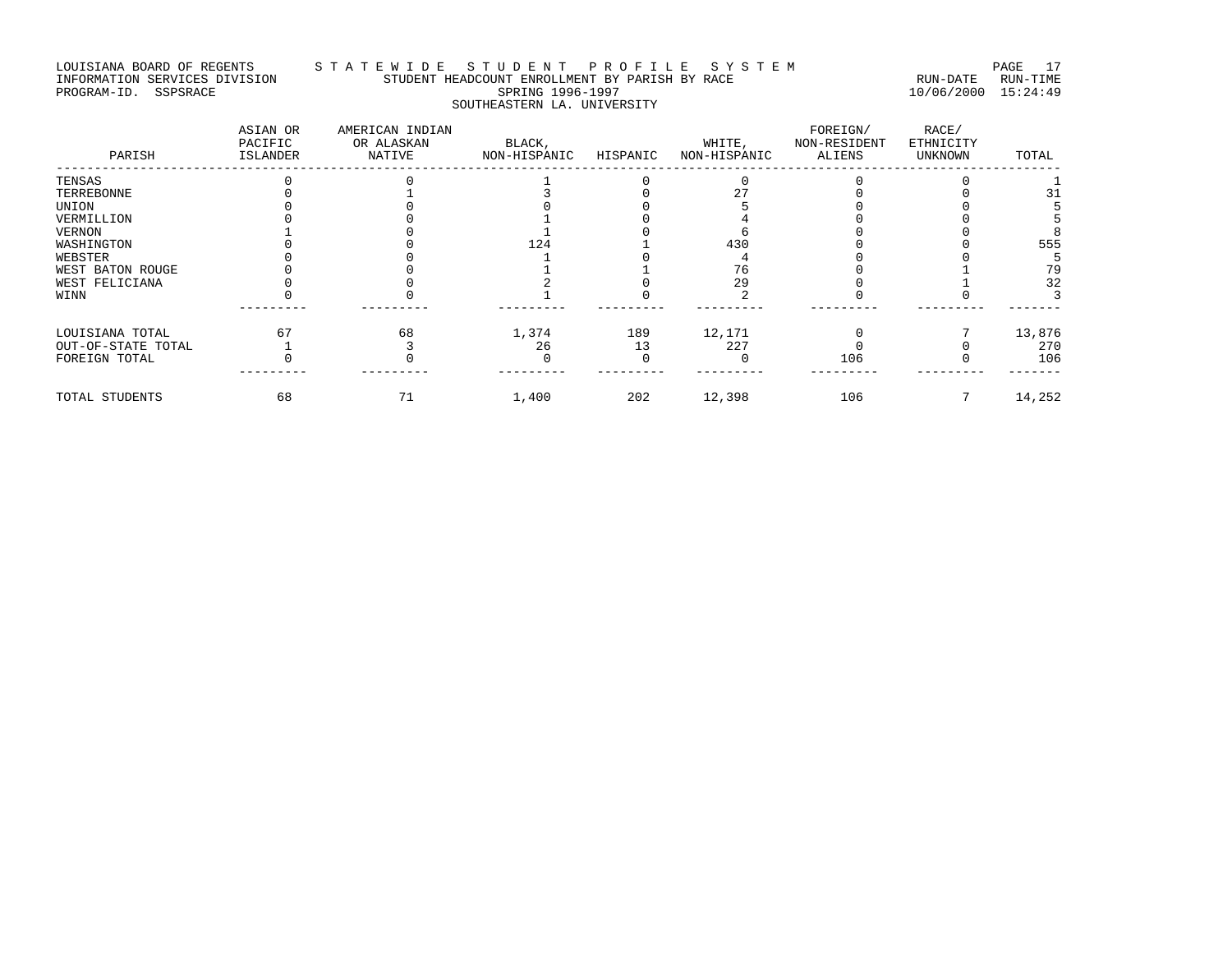#### LOUISIANA BOARD OF REGENTS STA TE WIDE STUDENT PROFILE SYSTEM PAGE 17 INFORMATION SERVICES DIVISION STUDENT HEADCOUNT ENROLLMENT BY PARISH BY RACE RUN-DATE RUN-TIME PROGRAM-ID. SSPSRACE SPRING 1996-1997 10/06/2000 15:24:49 SOUTHEASTERN LA. UNIVERSITY

| PARISH             | ASIAN OR<br>PACIFIC<br>ISLANDER | AMERICAN INDIAN<br>OR ALASKAN<br>NATIVE | BLACK,<br>NON-HISPANIC | HISPANIC | WHITE,<br>NON-HISPANIC | FOREIGN/<br>NON-RESIDENT<br>ALIENS | RACE/<br>ETHNICITY<br><b>UNKNOWN</b> | TOTAL  |
|--------------------|---------------------------------|-----------------------------------------|------------------------|----------|------------------------|------------------------------------|--------------------------------------|--------|
| TENSAS             |                                 |                                         |                        |          |                        |                                    |                                      |        |
| TERREBONNE         |                                 |                                         |                        |          |                        |                                    |                                      | 31     |
| UNION              |                                 |                                         |                        |          |                        |                                    |                                      |        |
| VERMILLION         |                                 |                                         |                        |          |                        |                                    |                                      |        |
| VERNON             |                                 |                                         |                        |          |                        |                                    |                                      |        |
| WASHINGTON         |                                 |                                         | 124                    |          | 430                    |                                    |                                      | 555    |
| WEBSTER            |                                 |                                         |                        |          |                        |                                    |                                      |        |
| WEST BATON ROUGE   |                                 |                                         |                        |          | 76                     |                                    |                                      | 79     |
| WEST FELICIANA     |                                 |                                         |                        |          | 29                     |                                    |                                      | 32     |
| WINN               |                                 |                                         |                        |          |                        |                                    |                                      |        |
| LOUISIANA TOTAL    | 67                              | 68                                      | 1,374                  | 189      | 12,171                 |                                    |                                      | 13,876 |
| OUT-OF-STATE TOTAL |                                 |                                         | 26                     | า ว      | 227                    |                                    |                                      | 270    |
| FOREIGN TOTAL      |                                 |                                         |                        |          |                        | 106                                |                                      | 106    |
| TOTAL STUDENTS     | 68                              | 71                                      | 1,400                  | 202      | 12,398                 | 106                                |                                      | 14,252 |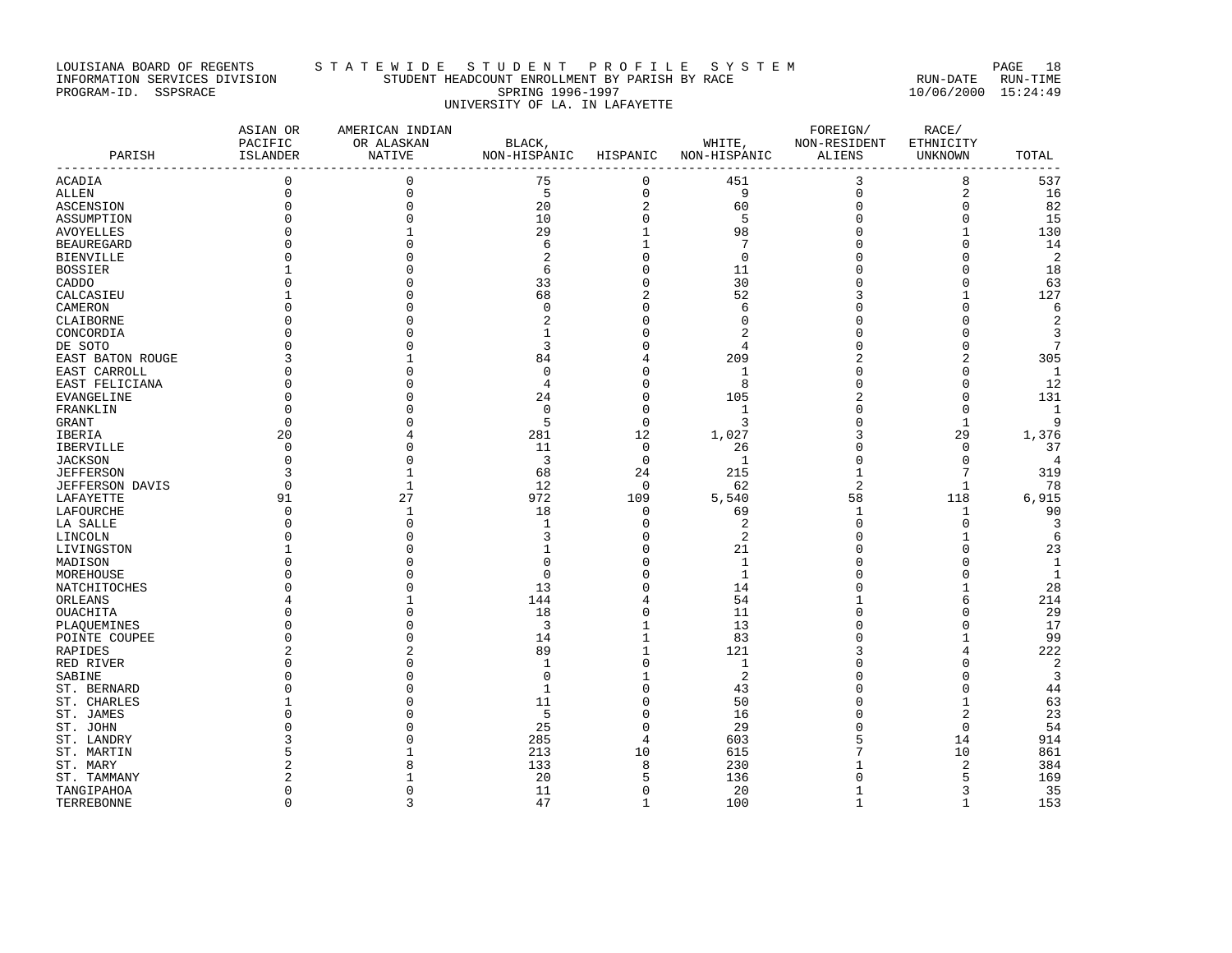# LOUISIANA BOARD OF REGENTS S T A T E W I D E S T U D E N T P R O F I L E S Y S T E M PAGE 18 INFORMATION SERVICES DIVISION STUDENT HEADCOUNT ENROLLMENT BY PARISH BY RACE RUN-DATE RUN-TIME PROGRAM-ID. SSPSRACE SPRING 1996-1997 10/06/2000 15:24:49 UNIVERSITY OF LA. IN LAFAYETTE

| PARISH                       | ASIAN OR<br>PACIFIC<br>ISLANDER | AMERICAN INDIAN<br>OR ALASKAN<br>NATIVE | BLACK,<br>NON-HISPANIC HISPANIC |                         | WHITE,<br>NON-HISPANIC | FOREIGN/<br>NON-RESIDENT<br>ALIENS | RACE/<br>ETHNICITY<br>UNKNOWN | TOTAL            |
|------------------------------|---------------------------------|-----------------------------------------|---------------------------------|-------------------------|------------------------|------------------------------------|-------------------------------|------------------|
| ACADIA                       | $\mathbf 0$                     | 0                                       | 75                              | $\mathbf 0$             | 451                    | 3                                  | 8                             | $- - - -$<br>537 |
| ALLEN                        | $\mathbf 0$                     | $\mathbf 0$                             | 5                               | $\mathbf 0$             | 9                      | $\mathbf 0$                        | $\overline{2}$                | 16               |
| ASCENSION                    | $\Omega$                        | $\mathbf 0$                             | 20                              | $\overline{\mathbf{c}}$ | 60                     | $\mathbf{0}$                       | $\Omega$                      | 82               |
| ASSUMPTION                   |                                 | $\Omega$                                | 10                              | $\mathbf 0$             | 5                      | $\Omega$                           | $\mathbf{0}$                  | 15               |
| AVOYELLES                    |                                 |                                         | 29                              | 1                       | 98                     | $\Omega$                           | $\mathbf{1}$                  | 130              |
| <b>BEAUREGARD</b>            |                                 | N                                       | 6                               | 1                       | 7                      | $\Omega$                           | $\Omega$                      | 14               |
| BIENVILLE                    |                                 |                                         | 2                               | $\mathbf 0$             | $\Omega$               |                                    | $\Omega$                      | 2                |
| BOSSIER                      |                                 |                                         | 6                               | $\Omega$                | 11                     | $\Omega$                           | $\Omega$                      | 18               |
| CADDO                        |                                 |                                         | 33                              | $\Omega$                | 30                     | U                                  | $\Omega$                      | 63               |
| CALCASIEU                    |                                 | U                                       | 68                              | 2                       | 52                     | 3                                  | 1                             | 127              |
| CAMERON                      |                                 |                                         | $\Omega$                        | $\Omega$                | 6                      | $\Omega$                           | $\Omega$                      | 6                |
| CLAIBORNE                    |                                 |                                         | 2                               | $\Omega$                | O                      | C                                  | $\Omega$                      | 2                |
| CONCORDIA                    |                                 |                                         | $\mathbf{1}$                    | $\Omega$                |                        | $\Omega$                           | $\Omega$                      | 3                |
| DE SOTO                      |                                 |                                         | 3                               | $\Omega$                | 4                      | C                                  | $\Omega$                      | 7                |
| EAST BATON ROUGE             |                                 |                                         | 84                              | 4                       | 209                    |                                    | 2                             | 305              |
| EAST CARROLL                 |                                 |                                         | $\Omega$                        | $\Omega$                | 1                      | $\cap$                             | $\Omega$                      | 1                |
| EAST FELICIANA               |                                 |                                         | 4                               | $\Omega$                | 8                      | $\Omega$                           | $\Omega$                      | 12               |
| EVANGELINE                   | U                               |                                         | 24                              | $\Omega$                | 105                    |                                    | $\Omega$                      | 131              |
| FRANKLIN                     | O                               |                                         | $\Omega$                        | $\mathbf 0$             | -1                     | $\Omega$                           | $\mathbf{0}$                  | 1                |
|                              | O                               |                                         | 5                               | $\mathbf 0$             | κ                      |                                    | 1                             | 9                |
| GRANT<br>IBERIA              | 20                              |                                         | 281                             | 12                      | 1,027                  | 3                                  | 29                            | 1,376            |
| IBERVILLE                    | O                               |                                         | 11                              | 0                       | 26                     | ∩                                  | $\Omega$                      | 37               |
|                              | 0                               | N                                       | 3                               | 0                       | -1                     | $\Omega$                           | $\mathbf 0$                   | 4                |
| JACKSON<br><b>JEFFERSON</b>  | 3                               |                                         | 68                              | 24                      | 215                    | $\mathbf{1}$                       | 7                             | 319              |
|                              | $\Omega$                        | 1                                       | 12                              | $\mathbf 0$             | 62                     | 2                                  | 1                             | 78               |
| JEFFERSON DAVIS<br>LAFAYETTE | 91                              | 27                                      | 972                             | 109                     | 5,540                  | 58                                 | 118                           | 6,915            |
|                              | $\Omega$                        | $\mathbf{1}$                            | 18                              | 0                       | 69                     | 1                                  | 1                             | 90               |
| LAFOURCHE                    | $\Omega$                        | 0                                       | 1                               | 0                       | 2                      | $\Omega$                           | $\mathbf 0$                   | 3                |
| LA SALLE                     |                                 |                                         | 3                               | $\Omega$                | 2                      |                                    |                               | 6                |
| LINCOLN<br>LIVINGSTON        |                                 |                                         |                                 | $\Omega$                | 21                     | C                                  | ∩                             | 23               |
| MADISON                      |                                 |                                         | $\Omega$                        | 0                       | 1                      | C                                  | O                             | $\mathbf{1}$     |
| MOREHOUSE                    |                                 |                                         | $\Omega$                        | $\Omega$                | 1                      | $\Omega$                           | $\Omega$                      | 1                |
| NATCHITOCHES                 |                                 |                                         | 13                              | $\Omega$                | 14                     |                                    | 1                             | 28               |
| ORLEANS                      |                                 |                                         | 144                             | 4                       | 54                     |                                    | 6                             | 214              |
| OUACHITA                     |                                 | Λ                                       | 18                              | 0                       | 11                     | ∩                                  | O                             | 29               |
| PLAQUEMINES                  |                                 | N                                       | 3                               | 1                       | 13                     | 0                                  | $\Omega$                      | 17               |
| POINTE COUPEE                | U                               | U                                       | 14                              | 1                       | 83                     | $\bigcap$                          | 1                             | 99               |
| RAPIDES                      |                                 | 2                                       | 89                              | 1                       | 121                    |                                    |                               | 222              |
| RED RIVER                    | U                               | O                                       | 1                               | $\mathbf 0$             | 1                      | C                                  | O                             | $\overline{c}$   |
| SABINE                       |                                 | Λ                                       | $\Omega$                        |                         | 2                      | U                                  | O                             | 3                |
| ST. BERNARD                  |                                 | N                                       | 1                               | 0                       | 43                     | C                                  | $\Omega$                      | 44               |
| ST. CHARLES                  |                                 |                                         | 11                              | 0                       | 50                     | C                                  | 1                             | 63               |
| ST. JAMES                    |                                 |                                         | 5                               | $\Omega$                | 16                     | $\cap$                             | 2                             | 23               |
| ST. JOHN                     |                                 |                                         | 25                              | 0                       | 29                     | ∩                                  | $\mathbf{0}$                  | 54               |
| ST. LANDRY                   |                                 |                                         | 285                             | 4                       | 603                    | 5                                  | 14                            | 914              |
| ST. MARTIN                   |                                 |                                         | 213                             | 10                      | 615                    |                                    | 10                            | 861              |
| ST. MARY                     |                                 |                                         | 133                             | 8                       | 230                    |                                    | 2                             | 384              |
| ST. TAMMANY                  |                                 |                                         | 20                              | 5                       | 136                    | U                                  | 5                             | 169              |
| TANGIPAHOA                   | 0                               | 0                                       | 11                              | $\mathbf 0$             | 20                     | $\mathbf{1}$                       | 3                             | 35               |
| TERREBONNE                   | $\Omega$                        | 3                                       | 47                              | 1                       | 100                    | $\mathbf{1}$                       | $\mathbf{1}$                  | 153              |
|                              |                                 |                                         |                                 |                         |                        |                                    |                               |                  |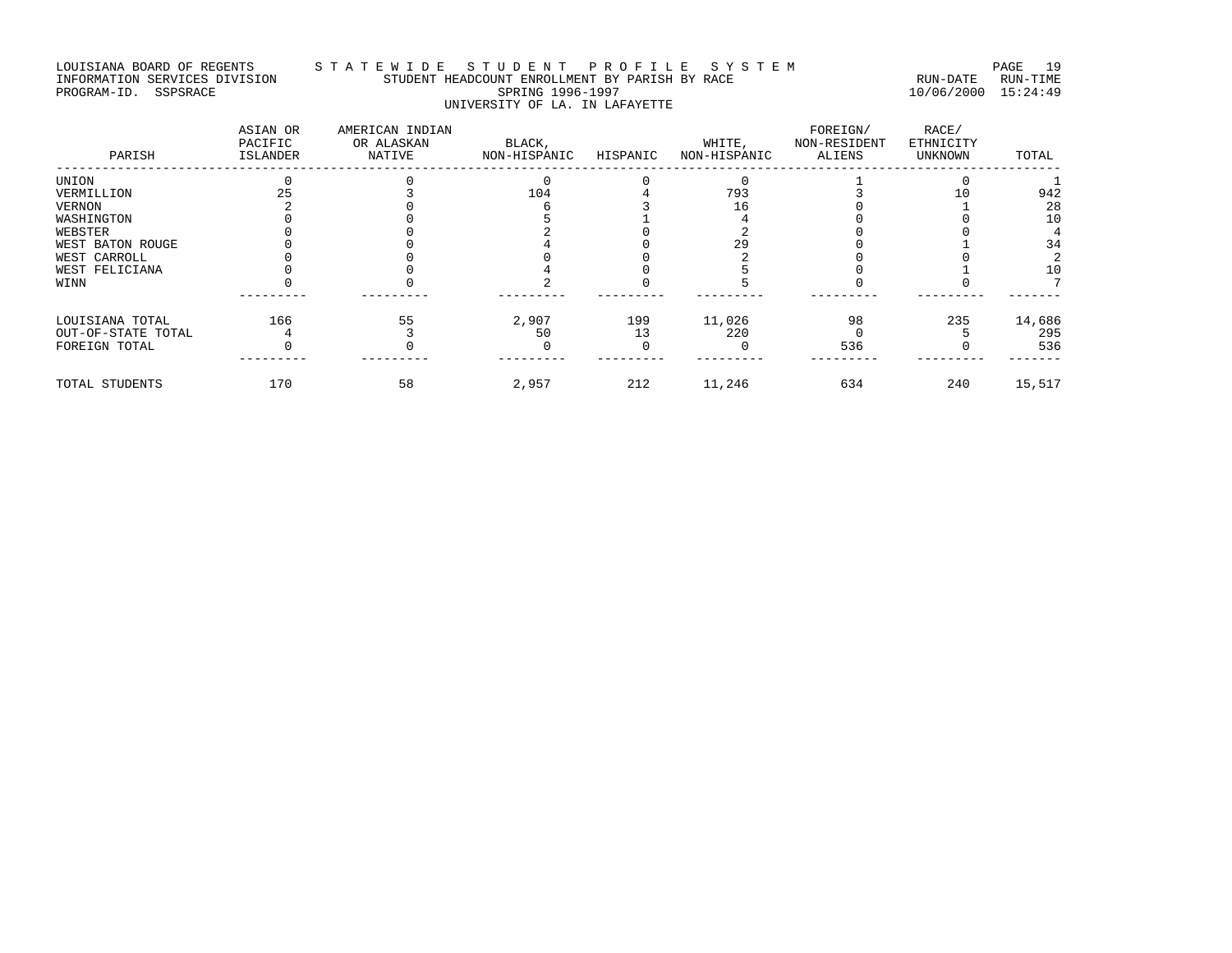# LOUISIANA BOARD OF REGENTS S T A T E W I D E S T U D E N T P R O F I L E S Y S T E M PAGE 19 INFORMATION SERVICES DIVISION STUDENT HEADCOUNT ENROLLMENT BY PARISH BY RACE RUN-DATE RUN-TIME PROGRAM-ID. SSPSRACE SPRING 1996-1997 10/06/2000 15:24:49 UNIVERSITY OF LA. IN LAFAYETTE

| PARISH             | ASIAN OR<br>PACIFIC<br>ISLANDER | AMERICAN INDIAN<br>OR ALASKAN<br>NATIVE | BLACK,<br>NON-HISPANIC | HISPANIC | WHITE,<br>NON-HISPANIC | FOREIGN/<br>NON-RESIDENT<br>ALIENS | RACE/<br>ETHNICITY<br>UNKNOWN | TOTAL  |
|--------------------|---------------------------------|-----------------------------------------|------------------------|----------|------------------------|------------------------------------|-------------------------------|--------|
| UNION              |                                 |                                         |                        |          |                        |                                    |                               |        |
| VERMILLION         |                                 |                                         | 104                    |          | 793                    |                                    |                               | 942    |
| VERNON             |                                 |                                         |                        |          | 1 6                    |                                    |                               | 28     |
| WASHINGTON         |                                 |                                         |                        |          |                        |                                    |                               | 10     |
| WEBSTER            |                                 |                                         |                        |          |                        |                                    |                               |        |
| WEST BATON ROUGE   |                                 |                                         |                        |          |                        |                                    |                               | 34     |
| WEST CARROLL       |                                 |                                         |                        |          |                        |                                    |                               |        |
| WEST FELICIANA     |                                 |                                         |                        |          |                        |                                    |                               | 10     |
| WINN               |                                 |                                         |                        |          |                        |                                    |                               |        |
| LOUISIANA TOTAL    | 166                             | 55                                      | 2,907                  | 199      | 11,026                 | 98                                 | 235                           | 14,686 |
| OUT-OF-STATE TOTAL |                                 |                                         | 50                     | 13       | 220                    |                                    |                               | 295    |
| FOREIGN TOTAL      |                                 |                                         |                        |          |                        | 536                                |                               | 536    |
| TOTAL STUDENTS     | 170                             | 58                                      | 2,957                  | 212      | 11,246                 | 634                                | 240                           | 15,517 |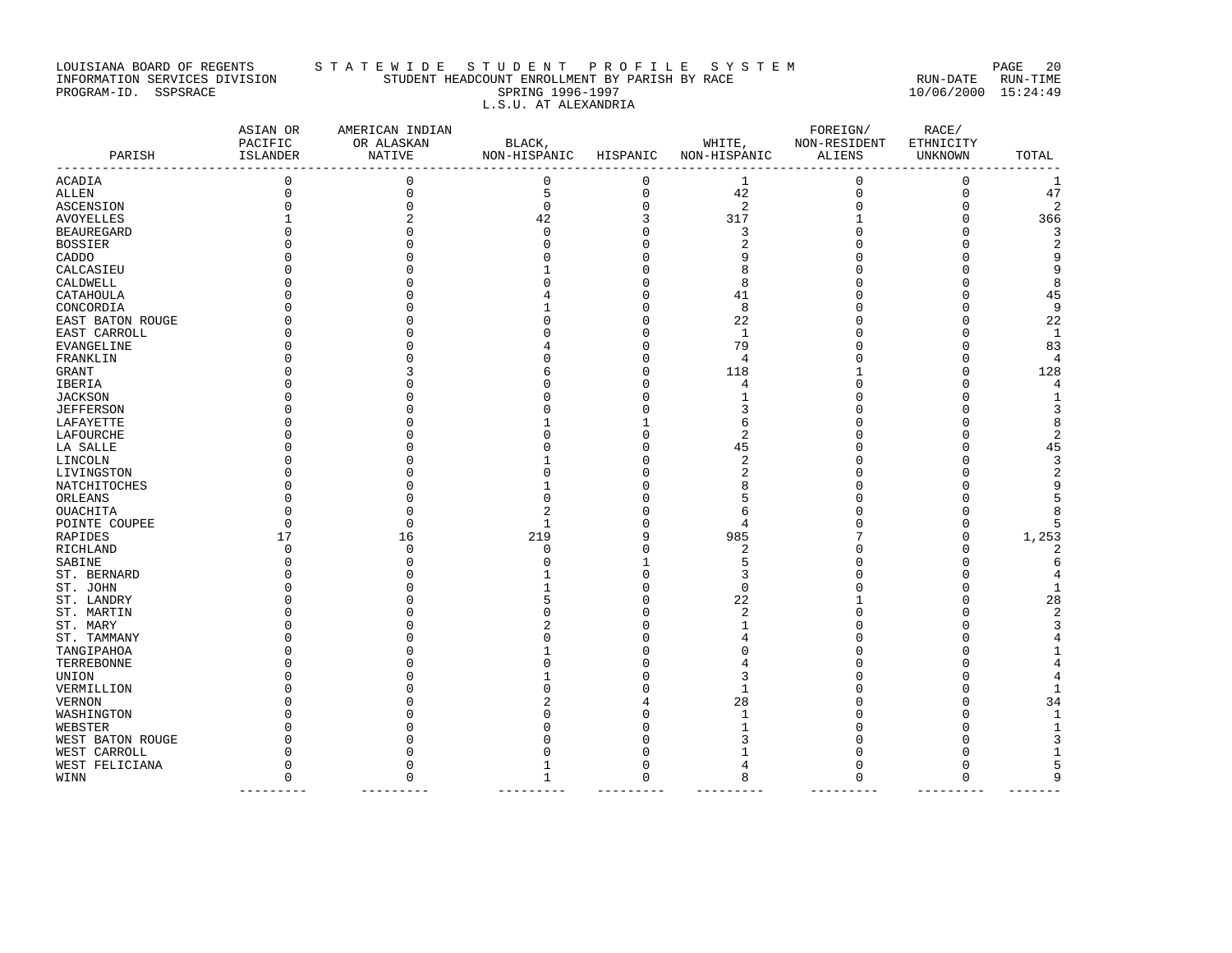#### LOUISIANA BOARD OF REGENTS STA TE WIDE STUDENT PROFILE SYSTEM PAGE 20 INFORMATION SERVICES DIVISION STUDENT HEADCOUNT ENROLLMENT BY PARISH BY RACE RUN-DATE RUN-TIME PROGRAM-ID. SSPSRACE SPRING 1996-1997 10/06/2000 15:24:49 L.S.U. AT ALEXANDRIA

| PARISH                          | ASIAN OR<br>PACIFIC<br>ISLANDER | AMERICAN INDIAN<br>OR ALASKAN<br>NATIVE<br>. _ _ _ _ _ _ _ _ _ _ _ _ _ | BLACK,<br>NON-HISPANIC HISPANIC |             | WHITE,<br>NON-HISPANIC | FOREIGN/<br>NON-RESIDENT<br>ALIENS | RACE/<br>ETHNICITY<br>UNKNOWN | TOTAL                   |
|---------------------------------|---------------------------------|------------------------------------------------------------------------|---------------------------------|-------------|------------------------|------------------------------------|-------------------------------|-------------------------|
| --------------<br><b>ACADIA</b> | $\mathbf 0$                     | $\mathsf 0$                                                            | 0                               | $\mathbf 0$ | 1                      | 0                                  | $\mathbf 0$                   | 1                       |
| ALLEN                           | $\mathbf 0$                     | $\mathbf 0$                                                            | 5                               | 0           | 42                     | $\mathbf 0$                        | $\mathbf 0$                   | 47                      |
| ASCENSION                       | $\Omega$                        | $\mathbf 0$                                                            | $\mathbf 0$                     | 0           | 2                      | 0                                  | $\Omega$                      | $\overline{2}$          |
| <b>AVOYELLES</b>                |                                 |                                                                        | 42                              | 3           | 317                    | $\mathbf{1}$                       | $\Omega$                      | 366                     |
| <b>BEAUREGARD</b>               |                                 | $\cap$                                                                 | $\Omega$                        | $\Omega$    | 3                      | $\Omega$                           |                               | 3                       |
| <b>BOSSIER</b>                  |                                 |                                                                        |                                 | O           | $\overline{2}$         |                                    |                               | $\overline{a}$          |
| CADDO                           |                                 |                                                                        |                                 | $\Omega$    |                        |                                    |                               | 9                       |
| CALCASIEU                       |                                 |                                                                        |                                 | 0           |                        |                                    |                               | 9                       |
| CALDWELL                        |                                 |                                                                        |                                 | $\Omega$    | 8                      |                                    |                               | 8                       |
| CATAHOULA                       |                                 |                                                                        |                                 | U           | 41                     |                                    |                               | 45                      |
| CONCORDIA                       |                                 |                                                                        |                                 | O           | 8                      |                                    |                               | 9                       |
| EAST BATON ROUGE                |                                 |                                                                        |                                 | O           | 22                     |                                    |                               | 22                      |
| EAST CARROLL                    |                                 |                                                                        |                                 | $\Omega$    | $\mathbf{1}$           |                                    |                               | $\mathbf{1}$            |
| EVANGELINE                      |                                 |                                                                        |                                 | $\Omega$    | 79                     |                                    | $\Omega$                      | 83                      |
| FRANKLIN                        |                                 |                                                                        |                                 | 0           | 4                      |                                    | $\Omega$                      | 4                       |
| GRANT                           |                                 |                                                                        |                                 | 0           | 118                    |                                    | $\Omega$                      | 128                     |
| IBERIA                          |                                 |                                                                        |                                 | 0           | 4                      |                                    |                               | 4                       |
| <b>JACKSON</b>                  |                                 |                                                                        |                                 | $\Omega$    |                        |                                    |                               | $\mathbf{1}$            |
| <b>JEFFERSON</b>                |                                 |                                                                        |                                 | $\Omega$    |                        |                                    |                               | 3                       |
| LAFAYETTE                       |                                 |                                                                        |                                 | 1           | 6                      |                                    |                               | 8                       |
| LAFOURCHE                       |                                 |                                                                        |                                 | $\Omega$    | 2                      |                                    |                               | $\boldsymbol{2}$        |
| LA SALLE                        |                                 |                                                                        |                                 | 0           | 45                     |                                    |                               | 45                      |
| LINCOLN                         |                                 |                                                                        |                                 | O           |                        |                                    |                               | $\overline{3}$          |
| LIVINGSTON                      |                                 |                                                                        |                                 | O           |                        |                                    |                               | $\overline{a}$          |
| NATCHITOCHES                    |                                 |                                                                        |                                 | $\Omega$    |                        |                                    |                               | 9                       |
| ORLEANS                         |                                 |                                                                        |                                 | O           | .5                     |                                    |                               | 5                       |
| OUACHITA                        |                                 |                                                                        |                                 |             | 6                      |                                    |                               | 8                       |
| POINTE COUPEE                   | U                               | $\cap$                                                                 |                                 | O           | 4                      | U                                  | O                             | 5                       |
| RAPIDES                         | 17                              | 16                                                                     | 219                             | 9           | 985                    |                                    | $\Omega$                      | 1,253                   |
| RICHLAND                        | <sup>0</sup>                    | 0                                                                      | O                               | $\Omega$    | 2                      |                                    | ∩                             | 2                       |
| SABINE                          | <sup>0</sup>                    | $\Omega$                                                               |                                 |             | 5                      | U                                  |                               | $\epsilon$              |
| ST. BERNARD                     |                                 |                                                                        |                                 | $\Omega$    | 3                      | U                                  |                               | 4                       |
| ST. JOHN                        |                                 |                                                                        |                                 | $\Omega$    | $\Omega$               |                                    |                               | $\mathbf{1}$            |
| ST. LANDRY                      |                                 |                                                                        |                                 | 0           | 22                     |                                    |                               | 28                      |
| ST. MARTIN                      |                                 |                                                                        |                                 | $\Omega$    | 2                      | U                                  |                               | $\overline{\mathbf{c}}$ |
| ST. MARY                        |                                 |                                                                        |                                 | $\Omega$    |                        |                                    |                               | 3                       |
| ST. TAMMANY                     |                                 |                                                                        |                                 | O           |                        |                                    |                               | 4                       |
| TANGIPAHOA                      |                                 |                                                                        |                                 | O           |                        |                                    |                               | 1                       |
| TERREBONNE                      |                                 |                                                                        |                                 | 0           |                        | U                                  |                               | 4                       |
| UNION                           |                                 |                                                                        |                                 | $\Omega$    | κ                      |                                    |                               | 4                       |
| VERMILLION                      |                                 |                                                                        |                                 |             |                        |                                    |                               | $\mathbf{1}$            |
|                                 |                                 |                                                                        |                                 |             | 28                     |                                    |                               | 34                      |
| VERNON                          |                                 |                                                                        |                                 | U           |                        |                                    |                               | $\mathbf{1}$            |
| WASHINGTON<br>WEBSTER           |                                 |                                                                        |                                 | O           |                        |                                    |                               | $\mathbf{1}$            |
|                                 |                                 |                                                                        |                                 |             |                        |                                    |                               | 3                       |
| WEST BATON ROUGE                |                                 |                                                                        |                                 |             |                        |                                    |                               | 1                       |
| WEST CARROLL                    | <sup>0</sup>                    |                                                                        |                                 | U           |                        | U                                  | ∩                             | 5                       |
| WEST FELICIANA<br>WINN          | $\Omega$                        | $\cap$                                                                 |                                 | $\Omega$    | 8                      | $\Omega$                           | $\Omega$                      | 9                       |
|                                 |                                 |                                                                        |                                 |             |                        |                                    |                               |                         |

--------- --------- --------- --------- --------- --------- --------- -------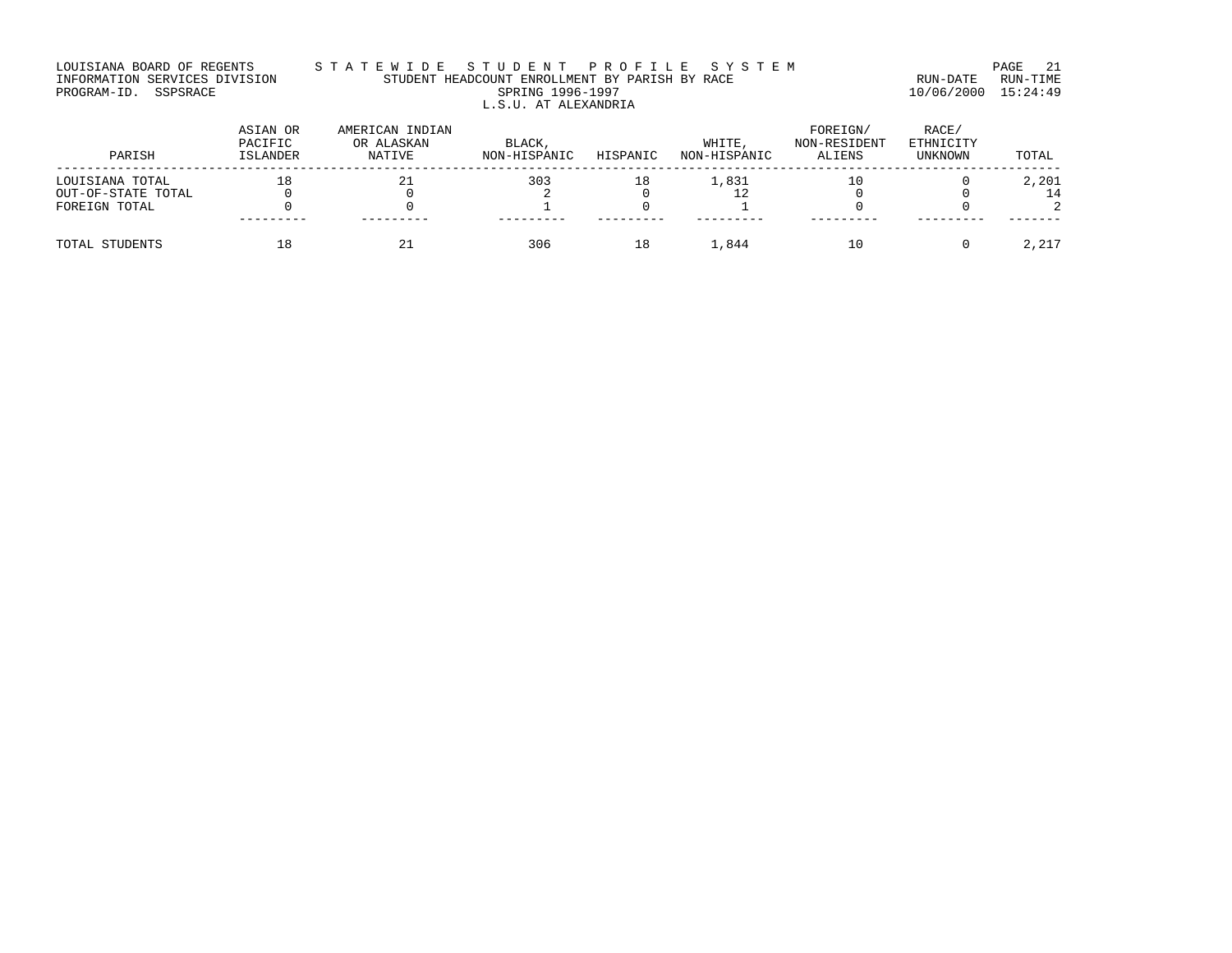#### LOUISIANA BOARD OF REGENTS STA TE WIDE STUDENT PROFILE SYSTEM PAGE 21 INFORMATION SERVICES DIVISION STUDENT HEADCOUNT ENROLLMENT BY PARISH BY RACE RUN-DATE RUN-TIME PROGRAM-ID. SSPSRACE SPRING 1996-1997 10/06/2000 15:24:49 L.S.U. AT ALEXANDRIA

| PARISH             | ASIAN OR<br>PACIFIC<br>ISLANDER | AMERICAN INDIAN<br>OR ALASKAN<br>NATIVE | BLACK,<br>NON-HISPANIC | HISPANIC | WHITE,<br>NON-HISPANIC | FOREIGN/<br>NON-RESIDENT<br>ALIENS | RACE/<br>ETHNICITY<br>UNKNOWN | TOTAL |
|--------------------|---------------------------------|-----------------------------------------|------------------------|----------|------------------------|------------------------------------|-------------------------------|-------|
| LOUISIANA TOTAL    | 18                              | 21                                      | 303                    | 18       | 1,831                  | 10                                 |                               | 2,201 |
| OUT-OF-STATE TOTAL |                                 |                                         |                        |          |                        |                                    |                               | 14    |
| FOREIGN TOTAL      |                                 |                                         |                        |          |                        |                                    |                               |       |
|                    |                                 |                                         |                        |          |                        |                                    |                               |       |
| TOTAL STUDENTS     |                                 |                                         | 306                    | 18       | 1,844                  | 10                                 |                               | 2,217 |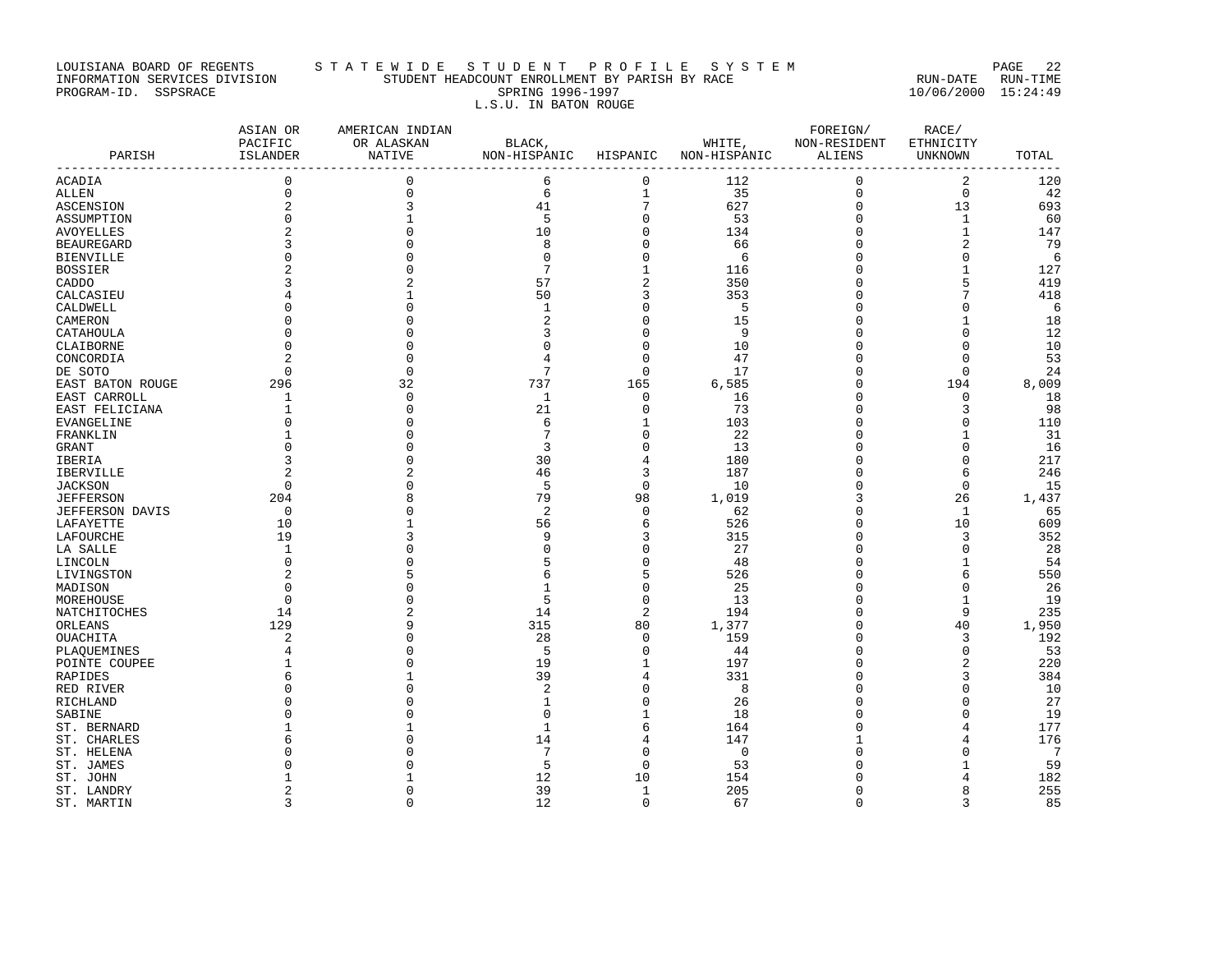# LOUISIANA BOARD OF REGENTS STA TE WIDE STUDENT PROFILE SYSTEM PAGE 22 INFORMATION SERVICES DIVISION STUDENT HEADCOUNT ENROLLMENT BY PARISH BY RACE RUN-DATE RUN-TIME PROGRAM-ID. SSPSRACE SPRING 1996-1997 10/06/2000 15:24:49 L.S.U. IN BATON ROUGE

| PARISH                   | ASIAN OR<br>PACIFIC<br>ISLANDER<br>------------------------- | AMERICAN INDIAN<br>OR ALASKAN<br>NATIVE | BLACK,<br>NON-HISPANIC HISPANIC |                | WHITE,<br>NON-HISPANIC | FOREIGN/<br>NON-RESIDENT<br><b>ALIENS</b> | RACE/<br>ETHNICITY<br><b>UNKNOWN</b> | TOTAL     |
|--------------------------|--------------------------------------------------------------|-----------------------------------------|---------------------------------|----------------|------------------------|-------------------------------------------|--------------------------------------|-----------|
| ACADIA                   | $\mathbf 0$                                                  | $\mathbf{0}$                            | 6                               | $\mathbf 0$    | 112                    | 0                                         | 2                                    | 120       |
| ALLEN                    | $\mathbf 0$                                                  | $\mathsf 0$                             | 6                               | $\mathbf{1}$   | 35                     | $\mathbf 0$                               | $\mathsf 0$                          | 42        |
| ASCENSION                | $\overline{2}$                                               | 3                                       | 41                              | $\overline{7}$ | 627                    | $\mathbf 0$                               | 13                                   | 693       |
| ASSUMPTION               | $\Omega$                                                     | 1                                       | 5                               | 0              | 53                     | $\Omega$                                  | 1                                    | 60        |
| <b>AVOYELLES</b>         |                                                              | $\Omega$                                | 10                              | 0              | 134                    | $\mathbf 0$                               | $\mathbf{1}$                         | 147       |
| <b>BEAUREGARD</b>        | 3                                                            | $\Omega$                                | 8                               | 0              | 66                     | 0                                         | $\overline{2}$                       | 79        |
| <b>BIENVILLE</b>         | $\Omega$                                                     |                                         | $\Omega$                        | 0              | 6                      | $\Omega$                                  | $\mathbf 0$                          | 6         |
| <b>BOSSIER</b>           |                                                              |                                         | 7                               | $1\,$          | 116                    | 0                                         | $\mathbf{1}$                         | 127       |
| CADDO                    |                                                              |                                         | 57                              | $\overline{c}$ | 350                    | U                                         | 5                                    | 419       |
| CALCASIEU                |                                                              |                                         | 50                              | 3              | 353                    | 0                                         | 7                                    | 418       |
| CALDWELL                 |                                                              | $\Omega$                                | 1                               | 0              | 5                      | O                                         | $\Omega$                             | 6         |
| CAMERON                  |                                                              |                                         | 2                               | 0              | 15                     | Ω                                         | 1                                    | 18        |
| CATAHOULA                |                                                              |                                         | 3                               | 0              | 9                      | 0                                         | $\Omega$                             | 12        |
| CLAIBORNE                | $\Omega$                                                     | O                                       | $\Omega$                        | 0              | 10                     | $\Omega$                                  | $\mathbf 0$                          | 10        |
| CONCORDIA                | $\overline{2}$                                               | $\Omega$                                | 4                               | 0              | 47                     | O                                         | $\Omega$                             | 53        |
| DE SOTO                  | $\Omega$                                                     | $\mathbf{0}$                            | 7                               | 0              | 17                     | $\Omega$                                  | $\mathbf 0$                          | 24        |
| EAST BATON ROUGE         | 296                                                          | 32                                      | 737                             | 165            | 6,585                  | U                                         | 194                                  | 8,009     |
| EAST CARROLL             | 1                                                            | $\mathbf{0}$                            | 1                               | 0              | 16                     | O                                         | $\mathbf 0$                          | 18        |
| EAST FELICIANA           | 1                                                            | $\Omega$                                | 21                              | 0              | 73                     | 0                                         | 3                                    | 98        |
| EVANGELINE               | $\Omega$                                                     | $\Omega$                                | 6                               | 1              | 103                    |                                           | $\Omega$                             | 110       |
| FRANKLIN                 |                                                              | $\Omega$                                | 7                               | 0              | 22                     | 0                                         |                                      | 31        |
| GRANT                    | U                                                            | ∩                                       | 3                               | $\Omega$       | 13                     | U                                         | O                                    | 16        |
| IBERIA                   | 3                                                            | $\Omega$                                | 30                              | 4              | 180                    | O                                         | $\mathbf 0$                          | 217       |
| IBERVILLE                | $\overline{2}$                                               |                                         | 46                              | 3              | 187                    | O                                         | 6                                    | 246       |
| <b>JACKSON</b>           | $\Omega$                                                     | $\Omega$                                | 5                               | $\Omega$       | 10                     | O                                         | $\Omega$                             | 15        |
| <b>JEFFERSON</b>         | 204                                                          | 8                                       | 79                              | 98             | 1,019                  | 3                                         | 26                                   | 1,437     |
| <b>JEFFERSON DAVIS</b>   | 0                                                            | O                                       | $\overline{2}$                  | $\mathbf 0$    | 62                     | 0                                         | 1                                    | 65        |
| LAFAYETTE                | 10                                                           |                                         | 56                              | 6              | 526                    | O                                         | 10                                   | 609       |
| LAFOURCHE                | 19                                                           |                                         | 9                               | 3              | 315                    | 0                                         | 3                                    | 352       |
| LA SALLE                 | 1                                                            |                                         | $\Omega$                        | 0              | 27                     | U                                         | $\Omega$                             | 28        |
| LINCOLN                  | $\mathbf 0$                                                  |                                         | 5                               | 0              | 48                     | O                                         | 1                                    | 54        |
| LIVINGSTON               | $\overline{2}$                                               |                                         | 6                               | 5              | 526                    | 0                                         | 6                                    | 550       |
| MADISON                  | $\Omega$                                                     |                                         | $\mathbf{1}$                    | 0              | 25                     |                                           | $\Omega$                             | 26        |
| MOREHOUSE                | $\Omega$                                                     |                                         | 5                               | 0              | 13                     | 0                                         | $\mathbf{1}$                         | 19        |
| NATCHITOCHES             | 14                                                           |                                         | 14                              | $\overline{2}$ | 194                    | U                                         | 9                                    | 235       |
| ORLEANS                  | 129                                                          | 9<br>$\Omega$                           | 315                             | 80             | 1,377                  | O<br>O                                    | 40                                   | 1,950     |
| OUACHITA                 | $\overline{2}$                                               | $\Omega$                                | 28                              | $\mathbf 0$    | 159                    | $\Omega$                                  | 3                                    | 192       |
| PLAOUEMINES              | 4                                                            | $\Omega$                                | 5<br>19                         | 0<br>1         | 44<br>197              | U                                         | $\mathbf 0$<br>$\overline{2}$        | 53<br>220 |
| POINTE COUPEE<br>RAPIDES |                                                              |                                         | 39                              | 4              | 331                    | O                                         | 3                                    | 384       |
|                          | $\Omega$                                                     | $\Omega$                                | $\overline{c}$                  | 0              | 8                      | O                                         | $\Omega$                             | 10        |
| RED RIVER                |                                                              |                                         | $\mathbf{1}$                    | 0              | 26                     | 0                                         | $\Omega$                             | 27        |
| RICHLAND<br>SABINE       |                                                              |                                         | ∩                               | 1              | 18                     | U                                         | $\Omega$                             | 19        |
| ST. BERNARD              |                                                              |                                         | $\mathbf{1}$                    | 6              | 164                    | Ω                                         | 4                                    | 177       |
| ST. CHARLES              |                                                              | $\Omega$                                | 14                              | 4              | 147                    | 1                                         | 4                                    | 176       |
| ST. HELENA               |                                                              |                                         | $\overline{7}$                  | 0              | $\Omega$               |                                           | $\Omega$                             | 7         |
| ST. JAMES                |                                                              |                                         | 5                               | 0              | 53                     |                                           | 1                                    | 59        |
| ST. JOHN                 |                                                              |                                         | 12                              | 10             | 154                    |                                           | 4                                    | 182       |
| ST. LANDRY               | $\overline{2}$                                               | $\Omega$                                | 39                              | $\mathbf{1}$   | 205                    | 0                                         | 8                                    | 255       |
| ST. MARTIN               | 3                                                            | $\Omega$                                | 12                              | $\Omega$       | 67                     | $\Omega$                                  | 3                                    | 85        |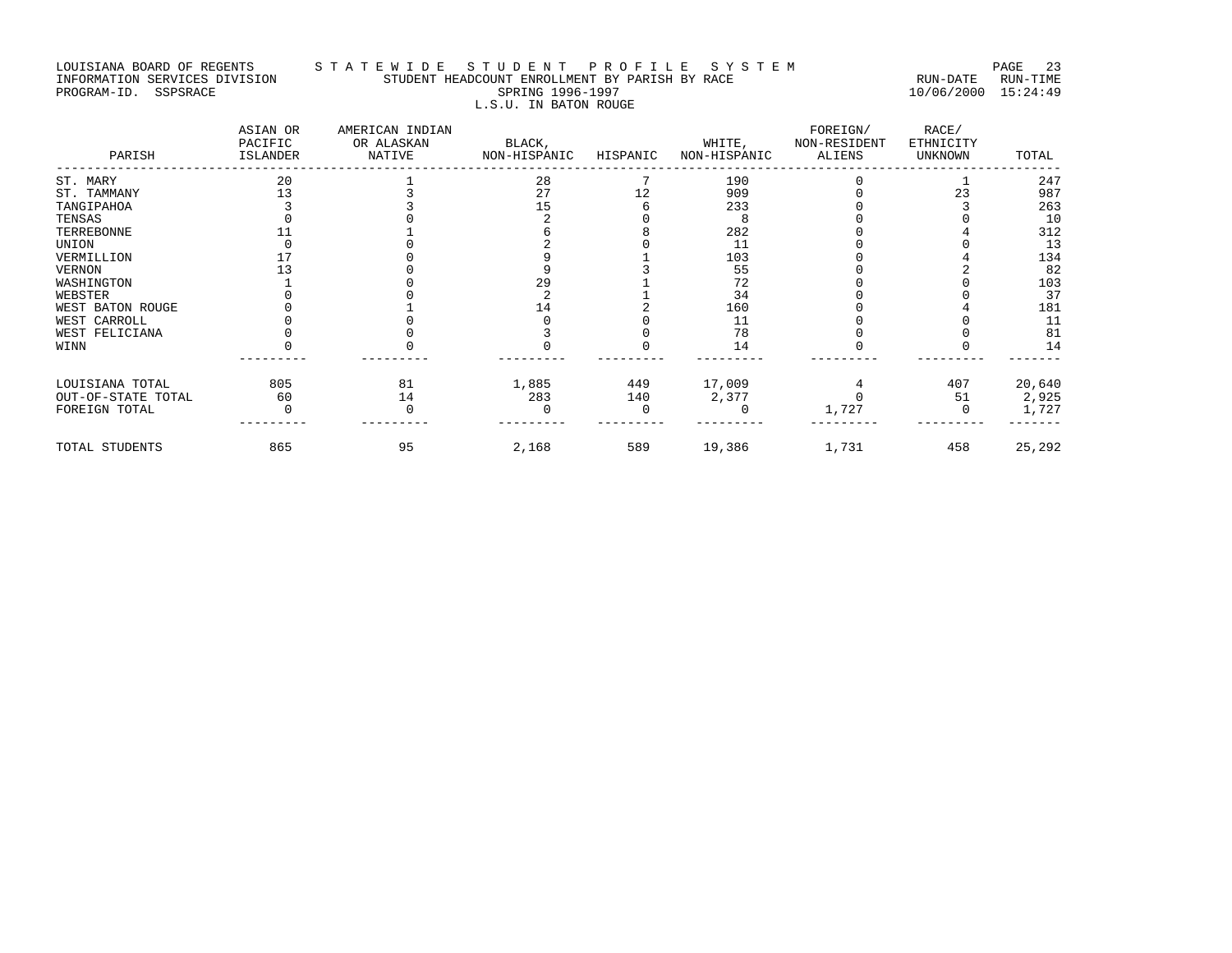#### LOUISIANA BOARD OF REGENTS STA TE WIDE STUDE NT PROFILE SYSTEM SOARD OF RAGE 23 INFORMATION SERVICES DIVISION STUDENT HEADCOUNT ENROLLMENT BY PARISH BY RACE RUN-DATE RUN-TIME PROGRAM-ID. SSPSRACE SPRING 1996-1997 10/06/2000 15:24:49 L.S.U. IN BATON ROUGE

| PARISH             | ASIAN OR<br>PACIFIC<br>ISLANDER | AMERICAN INDIAN<br>OR ALASKAN<br>NATIVE | BLACK,<br>NON-HISPANIC | HISPANIC | WHITE,<br>NON-HISPANIC | FOREIGN/<br>NON-RESIDENT<br>ALIENS | RACE/<br>ETHNICITY<br>UNKNOWN | TOTAL  |
|--------------------|---------------------------------|-----------------------------------------|------------------------|----------|------------------------|------------------------------------|-------------------------------|--------|
| ST. MARY           | 20                              |                                         | 28                     |          | 190                    |                                    |                               | 247    |
| ST. TAMMANY        | 13                              |                                         | 27                     | 12       | 909                    |                                    | 23                            | 987    |
| TANGIPAHOA         |                                 |                                         | 15                     |          | 233                    |                                    |                               | 263    |
| TENSAS             |                                 |                                         |                        |          |                        |                                    |                               | 10     |
| TERREBONNE         |                                 |                                         |                        |          | 282                    |                                    |                               | 312    |
| UNION              |                                 |                                         |                        |          | 11                     |                                    |                               | 13     |
| VERMILLION         |                                 |                                         |                        |          | 103                    |                                    |                               | 134    |
| VERNON             |                                 |                                         |                        |          | 55                     |                                    |                               | 82     |
| WASHINGTON         |                                 |                                         | 29                     |          | 72                     |                                    |                               | 103    |
| WEBSTER            |                                 |                                         |                        |          | 34                     |                                    |                               | 37     |
| WEST BATON ROUGE   |                                 |                                         | 14                     |          | 160                    |                                    |                               | 181    |
| WEST CARROLL       |                                 |                                         |                        |          | 11                     |                                    |                               | 11     |
| WEST FELICIANA     |                                 |                                         |                        |          | 78                     |                                    |                               | 81     |
| WINN               |                                 |                                         |                        |          | 14                     |                                    |                               | 14     |
| LOUISIANA TOTAL    | 805                             | 81                                      | 1,885                  | 449      | 17,009                 |                                    | 407                           | 20,640 |
| OUT-OF-STATE TOTAL | 60                              | 14                                      | 283                    | 140      | 2,377                  |                                    | 51                            | 2,925  |
| FOREIGN TOTAL      |                                 |                                         |                        |          |                        | 1,727                              |                               | 1,727  |
| TOTAL STUDENTS     | 865                             | 95                                      | 2,168                  | 589      | 19,386                 | 1,731                              | 458                           | 25,292 |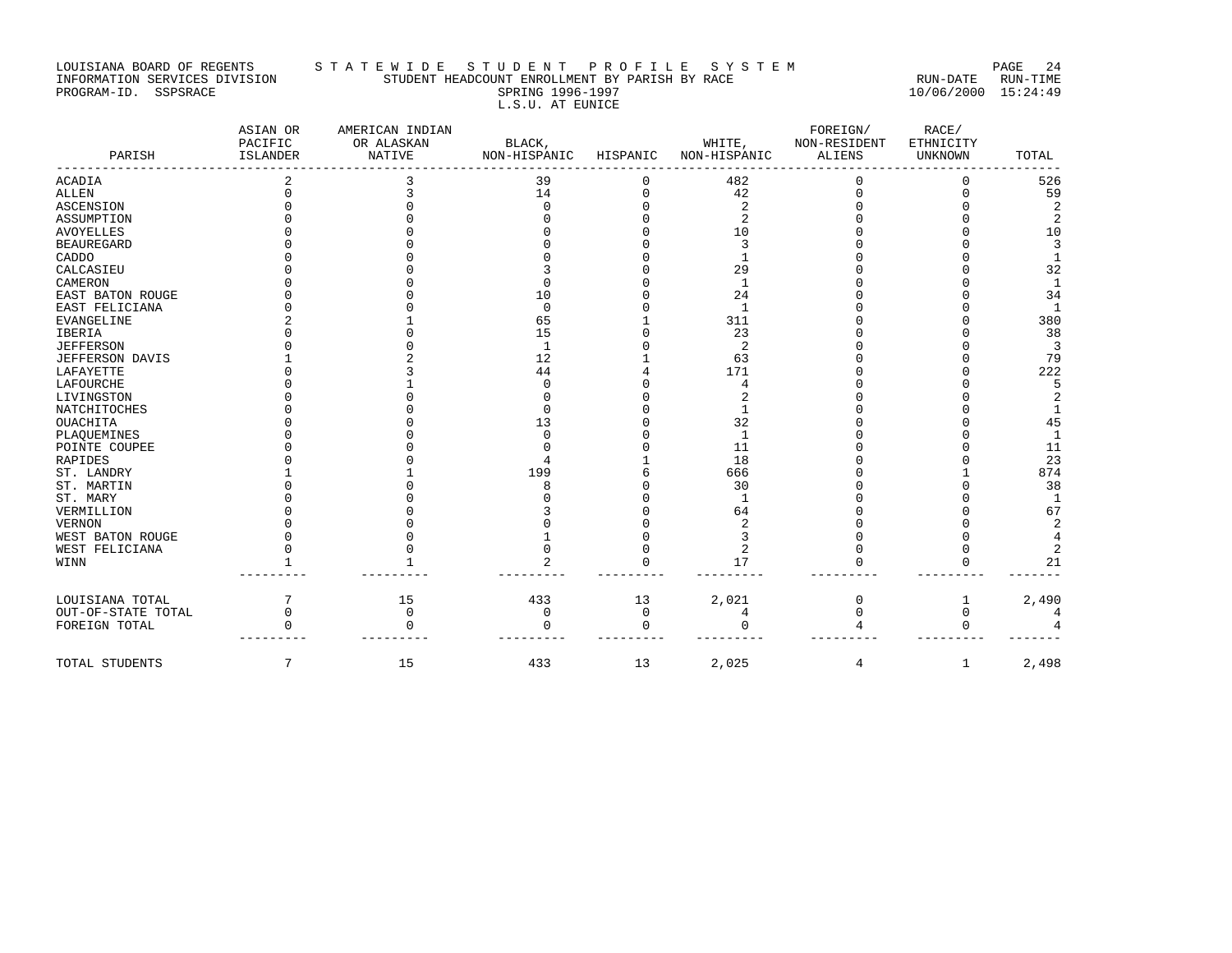#### LOUISIANA BOARD OF REGENTS STA TE WIDE STUDENT PROFILE SYSTEM PAGE 24 INFORMATION SERVICES DIVISION STUDENT HEADCOUNT ENROLLMENT BY PARISH BY RACE RUN-DATE RUN-TIME PROGRAM-ID. SSPSRACE SPRING 1996-1997 10/06/2000 15:24:49 L.S.U. AT EUNICE

| PARISH                 | ASIAN OR<br>PACIFIC<br><b>ISLANDER</b> | AMERICAN INDIAN<br>OR ALASKAN<br><b>NATIVE</b> | BLACK,<br>NON-HISPANIC | HISPANIC | WHITE,<br>NON-HISPANIC | FOREIGN/<br>NON-RESIDENT<br><b>ALIENS</b> | RACE/<br>ETHNICITY<br><b>UNKNOWN</b> | TOTAL          |
|------------------------|----------------------------------------|------------------------------------------------|------------------------|----------|------------------------|-------------------------------------------|--------------------------------------|----------------|
|                        |                                        |                                                |                        |          |                        |                                           |                                      |                |
| <b>ACADIA</b>          |                                        |                                                | 39                     |          | 482                    |                                           |                                      | 526            |
| <b>ALLEN</b>           |                                        |                                                | 14                     |          | 42                     |                                           |                                      | 59             |
| <b>ASCENSION</b>       |                                        |                                                |                        |          | $\overline{a}$         |                                           |                                      | 2              |
| ASSUMPTION             |                                        |                                                |                        |          | $\overline{2}$         |                                           |                                      | $\overline{2}$ |
| <b>AVOYELLES</b>       |                                        |                                                |                        |          | 10                     |                                           |                                      | 10             |
| <b>BEAUREGARD</b>      |                                        |                                                |                        |          |                        |                                           |                                      | 3              |
| CADDO                  |                                        |                                                |                        |          |                        |                                           |                                      | $\mathbf{1}$   |
| CALCASIEU              |                                        |                                                |                        |          | 29                     |                                           |                                      | 32             |
| CAMERON                |                                        |                                                |                        |          |                        |                                           |                                      | $\mathbf{1}$   |
| EAST BATON ROUGE       |                                        |                                                | 10                     |          | 24                     |                                           |                                      | 34             |
| EAST FELICIANA         |                                        |                                                | $\Omega$               |          | $\mathbf{1}$           |                                           |                                      | $\mathbf{1}$   |
| <b>EVANGELINE</b>      |                                        |                                                | 65                     |          | 311                    |                                           |                                      | 380            |
| <b>IBERIA</b>          |                                        |                                                | 15                     |          | 23                     |                                           |                                      | 38             |
| <b>JEFFERSON</b>       |                                        |                                                | $\mathbf{1}$           |          | 2                      |                                           |                                      | $\overline{3}$ |
| <b>JEFFERSON DAVIS</b> |                                        |                                                | 12                     |          | 63                     |                                           |                                      | 79             |
| LAFAYETTE              |                                        |                                                | 44                     |          | 171                    |                                           |                                      | 222            |
| LAFOURCHE              |                                        |                                                | U                      |          |                        |                                           |                                      | 5              |
| LIVINGSTON             |                                        |                                                |                        |          |                        |                                           |                                      | 2              |
| NATCHITOCHES           |                                        |                                                |                        |          |                        |                                           |                                      | 1              |
| <b>OUACHITA</b>        |                                        |                                                | 13                     |          | 32                     |                                           |                                      | 45             |
| PLAQUEMINES            |                                        |                                                | U                      |          | $\mathbf{1}$           |                                           |                                      | $\mathbf{1}$   |
| POINTE COUPEE          |                                        |                                                |                        |          | 11                     |                                           |                                      | 11             |
| RAPIDES                |                                        |                                                |                        |          | 18                     |                                           |                                      | 23             |
| ST. LANDRY             |                                        |                                                | 199                    |          | 666                    |                                           |                                      | 874            |
| ST. MARTIN             |                                        |                                                |                        |          | 30                     |                                           |                                      | 38             |
| ST. MARY               |                                        |                                                |                        |          |                        |                                           |                                      | 1              |
| VERMILLION             |                                        |                                                |                        |          | 64                     |                                           |                                      | 67             |
| <b>VERNON</b>          |                                        |                                                |                        |          |                        |                                           |                                      | $\overline{2}$ |
| WEST BATON ROUGE       |                                        |                                                |                        |          |                        |                                           |                                      | 4              |
| WEST FELICIANA         |                                        |                                                |                        |          | 2                      |                                           |                                      | 2              |
| WINN                   |                                        |                                                |                        |          | 17                     |                                           |                                      | 21             |
|                        |                                        |                                                |                        |          |                        |                                           |                                      |                |
| LOUISIANA TOTAL        |                                        | 15                                             | 433                    | 13       | 2,021                  |                                           |                                      | 2,490          |
| OUT-OF-STATE TOTAL     | 0                                      | $\mathbf 0$                                    | 0                      | 0        | 4                      |                                           | O                                    |                |
| FOREIGN TOTAL          |                                        |                                                | $\cap$                 | $\Omega$ |                        |                                           |                                      |                |
| TOTAL STUDENTS         | 7                                      | 15                                             | 433                    | 13       | 2,025                  | 4                                         | $\mathbf{1}$                         | 2,498          |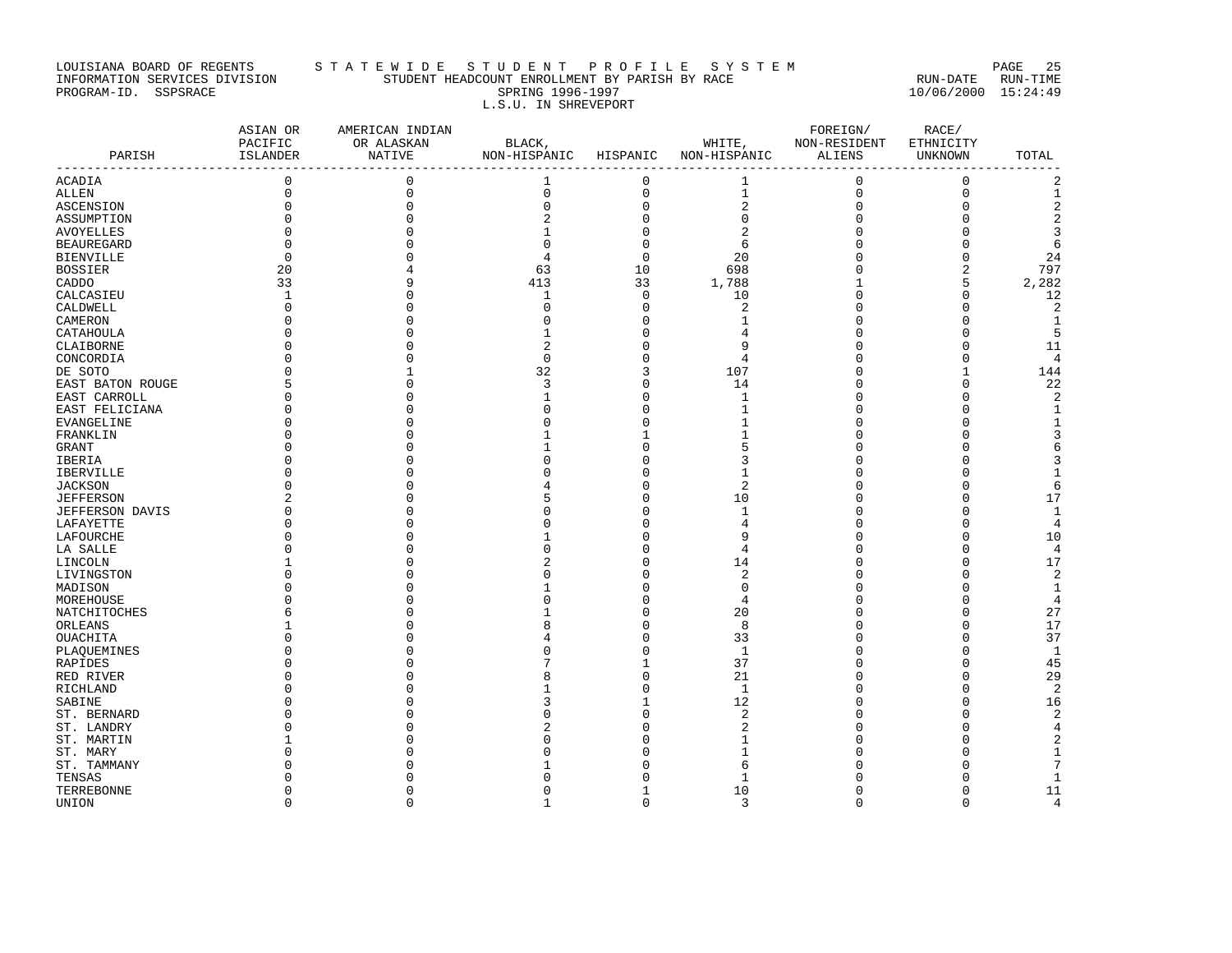# LOUISIANA BOARD OF REGENTS S T A T E W I D E S T U D E N T P R O F I L E S Y S T E M PAGE 25 INFORMATION SERVICES DIVISION STUDENT HEADCOUNT ENROLLMENT BY PARISH BY RACE RUN-DATE RUN-TIME PROGRAM-ID. SSPSRACE SPRING 1996-1997 10/06/2000 15:24:49 L.S.U. IN SHREVEPORT

| PARISH            | ASIAN OR<br>PACIFIC<br>ISLANDER | AMERICAN INDIAN<br>OR ALASKAN<br>NATIVE | BLACK,<br>NON-HISPANIC HISPANIC |                            | WHITE,<br>NON-HISPANIC        | FOREIGN/<br>NON-RESIDENT<br>ALIENS | RACE/<br>ETHNICITY<br>UNKNOWN | TOTAL            |
|-------------------|---------------------------------|-----------------------------------------|---------------------------------|----------------------------|-------------------------------|------------------------------------|-------------------------------|------------------|
| <b>ACADIA</b>     | $\mathbf 0$                     | $\mathbf 0$                             | $\mathbf{1}$                    | $\mathbf 0$                | $\mathbf{1}$                  | $\mathbf 0$                        | $\mathbf 0$                   | -----------<br>2 |
|                   | $\mathbf 0$                     | $\mathbf 0$                             | $\mathbf 0$                     | $\mathsf 0$                | $\mathbf{1}$                  | $\mathbf 0$                        | $\mathbf 0$                   | $\mathbf{1}$     |
| ALLEN             | $\Omega$                        | $\Omega$                                | $\Omega$                        |                            | $\sqrt{2}$                    |                                    | $\mathbf 0$                   | $\overline{c}$   |
| ASCENSION         | $\Omega$                        |                                         |                                 | $\mathsf{O}\xspace$        |                               | 0                                  |                               |                  |
| ASSUMPTION        | $\Omega$                        | $\Omega$<br>$\cap$                      | $\mathbf{1}$                    | $\mathbf 0$<br>$\mathbf 0$ | $\mathbf 0$<br>$\overline{2}$ | $\Omega$                           | $\Omega$<br>$\Omega$          | $\sqrt{2}$       |
| AVOYELLES         | $\Omega$                        |                                         | $\Omega$                        |                            |                               |                                    |                               | 3                |
| <b>BEAUREGARD</b> |                                 |                                         |                                 | $\mathbf 0$                | 6                             | U                                  | $\Omega$                      | 6                |
| <b>BIENVILLE</b>  | $\Omega$                        |                                         |                                 | $\mathbf 0$                | 20                            |                                    | $\Omega$                      | 24               |
| <b>BOSSIER</b>    | 20                              |                                         | 63                              | 10                         | 698                           | $\Omega$                           | $\overline{2}$                | 797              |
| CADDO             | 33                              | 9                                       | 413                             | 33                         | 1,788                         | 1                                  | 5                             | 2,282            |
| CALCASIEU         | 1                               | O                                       | 1                               | $\overline{0}$             | 10                            | $\Omega$                           | $\Omega$                      | 12               |
| CALDWELL          | $\Omega$                        | $\Omega$                                | $\cap$                          | $\mathsf 0$                | 2                             | U                                  | $\Omega$                      | $\overline{2}$   |
| CAMERON           | $\Omega$                        | $\Omega$                                | C                               | $\mathsf 0$                | 1                             | U                                  | $\Omega$                      | $\mathbf{1}$     |
| CATAHOULA         | $\Omega$                        | n                                       | -1                              | $\mathbf 0$                | 4                             | $\Omega$                           | $\Omega$                      | 5                |
| CLAIBORNE         |                                 |                                         | $\overline{a}$                  | $\mathbf 0$                | 9                             | U                                  | $\Omega$                      | 11               |
| CONCORDIA         |                                 | $\Omega$                                | $\mathbf 0$                     | $\mathbf 0$                | 4                             | 0                                  | 0                             | 4                |
| DE SOTO           |                                 |                                         | 32                              | 3                          | 107                           | U                                  | $\mathbf{1}$                  | 144              |
| EAST BATON ROUGE  |                                 | $\Omega$                                | 3                               | $\mathsf 0$                | 14                            | U                                  | $\Omega$                      | 22               |
| EAST CARROLL      | n                               | ∩                                       | -1                              | $\Omega$                   | $\mathbf{1}$                  | n                                  | $\Omega$                      | $\sqrt{2}$       |
| EAST FELICIANA    | $\Omega$                        |                                         | n                               | $\mathbf 0$                |                               | U                                  | $\Omega$                      | $\mathbf{1}$     |
| EVANGELINE        |                                 |                                         |                                 | $\mathsf 0$                |                               |                                    | $\cap$                        | $1\,$            |
| FRANKLIN          |                                 |                                         |                                 | 1                          |                               |                                    | $\cap$                        | 3                |
| GRANT             |                                 |                                         |                                 | $\mathbf 0$                | 5                             |                                    | n                             | 6                |
| IBERIA            |                                 |                                         |                                 | $\mathsf 0$                | 3                             | O                                  | n                             | 3                |
| IBERVILLE         |                                 |                                         |                                 | $\mathbf 0$                | -1                            |                                    | $\cap$                        | $\mathbf{1}$     |
| <b>JACKSON</b>    | $\Omega$                        |                                         |                                 | $\mathbf 0$                | $\overline{c}$                |                                    | $\Omega$                      | 6                |
| <b>JEFFERSON</b>  |                                 | n                                       | Ц                               | $\mathbf 0$                | 10                            | n                                  | $\Omega$                      | 17               |
| JEFFERSON DAVIS   | $\Omega$                        | $\Omega$                                |                                 | $\mathbf 0$                | 1                             | U                                  | $\Omega$                      | $\mathbf{1}$     |
| LAFAYETTE         | O                               | O                                       |                                 | $\mathsf 0$                | 4                             | U                                  | $\Omega$                      | $\overline{4}$   |
| LAFOURCHE         |                                 |                                         |                                 | $\mathbf 0$                | 9                             | n                                  | $\Omega$                      | 10               |
| LA SALLE          |                                 | n                                       |                                 | $\mathbf 0$                | $\overline{4}$                | U                                  | $\Omega$                      | $\overline{4}$   |
| LINCOLN           |                                 |                                         |                                 | $\mathbf 0$                | 14                            | O                                  | $\Omega$                      | 17               |
| LIVINGSTON        | $\Omega$                        | ∩                                       |                                 | $\mathbf 0$                | $\overline{2}$                | U                                  | $\Omega$                      | $\mathbf{2}$     |
| MADISON           |                                 |                                         |                                 | $\mathbf 0$                | $\Omega$                      |                                    | $\cap$                        | $1\,$            |
| MOREHOUSE         |                                 |                                         |                                 | $\mathbf 0$                | $\overline{4}$                |                                    | $\Omega$                      | 4                |
| NATCHITOCHES      |                                 |                                         |                                 | $\Omega$                   | 20                            |                                    | $\Omega$                      | 27               |
| ORLEANS           |                                 |                                         | ۶                               | $\mathsf 0$                | 8                             | U                                  | $\Omega$                      | 17               |
| OUACHITA          |                                 |                                         |                                 | $\mathbf 0$                | 33                            | n                                  | $\Omega$                      | 37               |
| PLAQUEMINES       |                                 |                                         |                                 | $\mathbf 0$                | $\mathbf{1}$                  |                                    | $\Omega$                      | $\mathbf{1}$     |
| RAPIDES           |                                 |                                         |                                 | 1                          | 37                            |                                    | $\Omega$                      | 45               |
| RED RIVER         |                                 |                                         |                                 | $\mathbf 0$                | 21                            | U                                  | $\Omega$                      | 29               |
| RICHLAND          |                                 | O                                       |                                 | $\mathsf 0$                | 1                             | U                                  | $\Omega$                      | $\overline{2}$   |
| SABINE            |                                 |                                         |                                 | $\mathbf{1}$               | 12                            | U                                  | $\Omega$                      | 16               |
| ST. BERNARD       |                                 |                                         |                                 | $\mathbf 0$                | 2                             |                                    | $\cap$                        | $\mathbf 2$      |
| ST. LANDRY        |                                 |                                         |                                 | $\mathbf 0$                | 2                             |                                    | $\cap$                        | 4                |
| ST. MARTIN        |                                 |                                         |                                 | 0                          |                               |                                    | $\Omega$                      | $\overline{2}$   |
| ST. MARY          |                                 |                                         |                                 | $\Omega$                   |                               |                                    |                               | $\mathbf{1}$     |
| ST. TAMMANY       |                                 |                                         |                                 | U                          | 6                             |                                    |                               | 7                |
| TENSAS            |                                 |                                         |                                 |                            | -1                            |                                    | n                             | $\mathbf{1}$     |
|                   | $\Omega$                        | O                                       |                                 | $\mathbf{1}$               | 10                            | $\Omega$                           | $\Omega$                      | 11               |
| TERREBONNE        | $\Omega$                        | $\Omega$                                | -1                              | $\Omega$                   | 3                             | $\Omega$                           | $\Omega$                      |                  |
| UNION             |                                 |                                         |                                 |                            |                               |                                    |                               | 4                |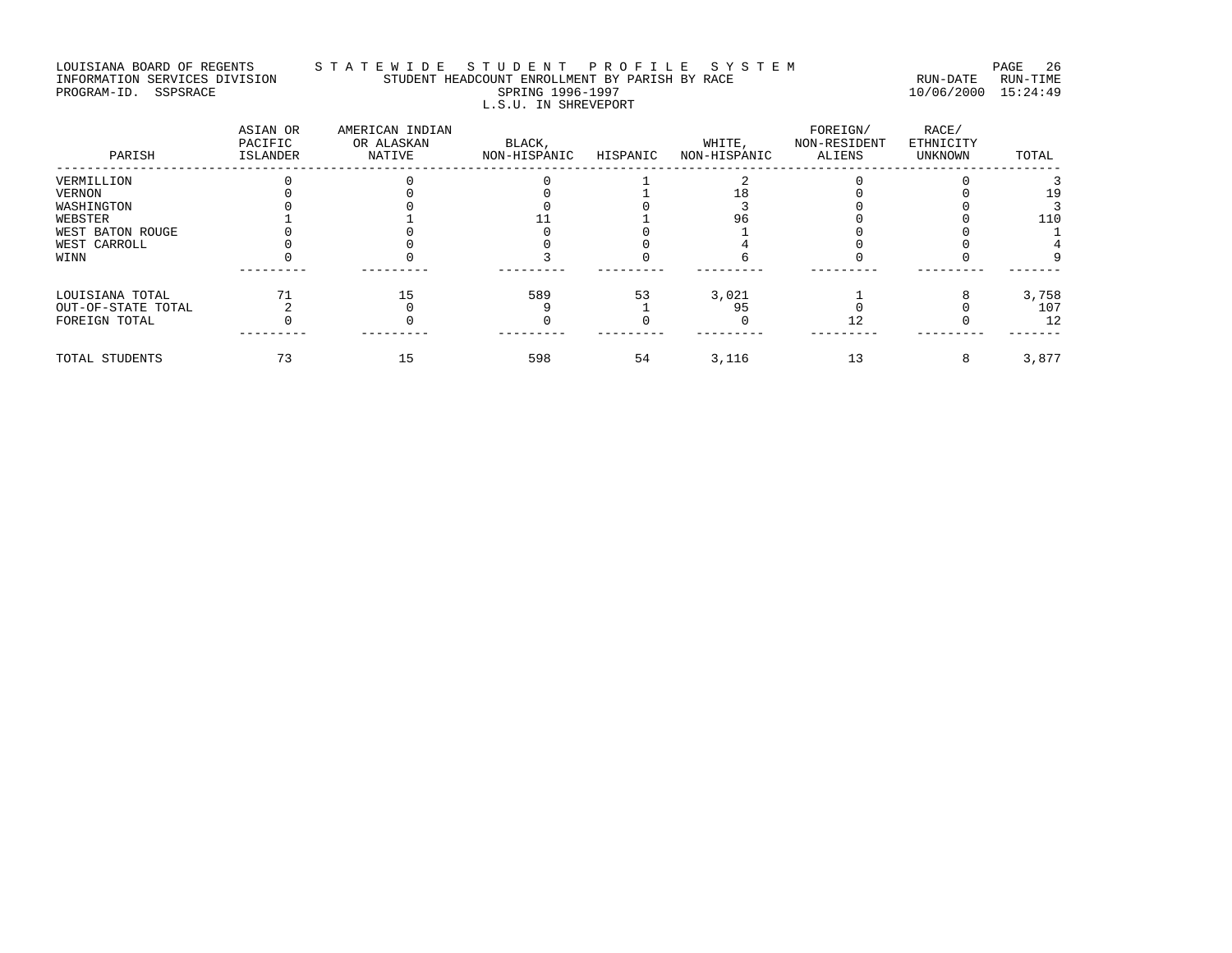### LOUISIANA BOARD OF REGENTS STA TE WIDE STUDENT PROFILE SYSTEM PAGE 26 INFORMATION SERVICES DIVISION STUDENT HEADCOUNT ENROLLMENT BY PARISH BY RACE RUN-DATE RUN-TIME PROGRAM-ID. SSPSRACE SPRING 1996-1997 10/06/2000 15:24:49 L.S.U. IN SHREVEPORT

| PARISH             | ASIAN OR<br>PACIFIC<br>ISLANDER | AMERICAN INDIAN<br>OR ALASKAN<br>NATIVE | BLACK,<br>NON-HISPANIC | HISPANIC | WHITE,<br>NON-HISPANIC | FOREIGN/<br>NON-RESIDENT<br>ALIENS | RACE/<br>ETHNICITY<br>UNKNOWN | TOTAL |
|--------------------|---------------------------------|-----------------------------------------|------------------------|----------|------------------------|------------------------------------|-------------------------------|-------|
| VERMILLION         |                                 |                                         |                        |          |                        |                                    |                               |       |
| VERNON             |                                 |                                         |                        |          |                        |                                    |                               |       |
| WASHINGTON         |                                 |                                         |                        |          |                        |                                    |                               |       |
| WEBSTER            |                                 |                                         |                        |          |                        |                                    |                               | 110   |
| WEST BATON ROUGE   |                                 |                                         |                        |          |                        |                                    |                               |       |
| WEST CARROLL       |                                 |                                         |                        |          |                        |                                    |                               |       |
| WINN               |                                 |                                         |                        |          |                        |                                    |                               |       |
| LOUISIANA TOTAL    |                                 |                                         | 589                    | 53       | 3,021                  |                                    |                               | 3,758 |
| OUT-OF-STATE TOTAL |                                 |                                         |                        |          | 95                     |                                    |                               | 107   |
| FOREIGN TOTAL      |                                 |                                         |                        |          |                        |                                    |                               | 12    |
|                    |                                 |                                         |                        |          |                        |                                    |                               |       |
| TOTAL STUDENTS     |                                 |                                         | 598                    | 54       | 3,116                  | 13                                 |                               | 3,877 |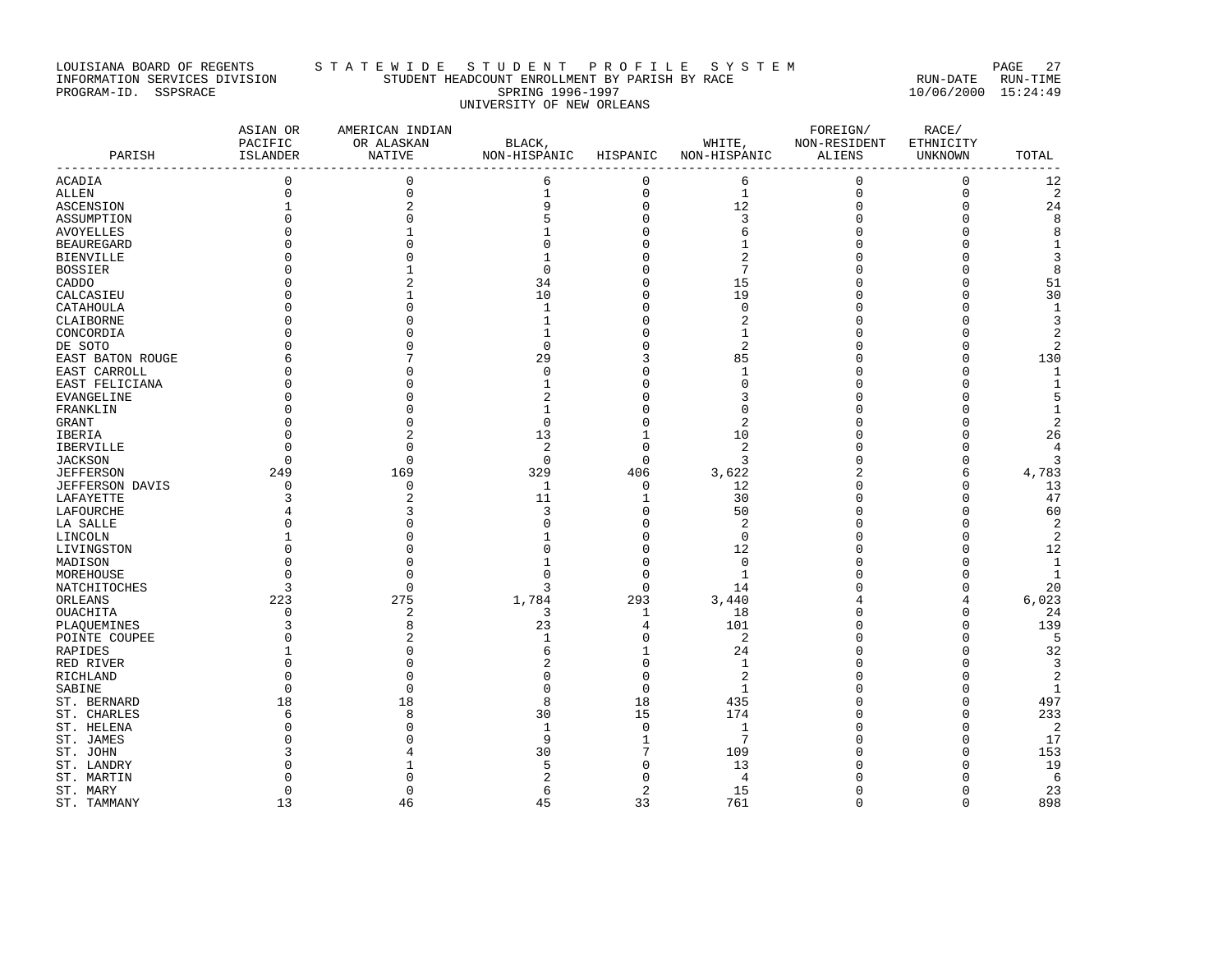# LOUISIANA BOARD OF REGENTS STA TE WIDE STUDE NT PROFILE SYSTEM SOARD OF RAGE 27 INFORMATION SERVICES DIVISION STUDENT HEADCOUNT ENROLLMENT BY PARISH BY RACE RUN-DATE RUN-TIME PROGRAM-ID. SSPSRACE SPRING 1996-1997 10/06/2000 15:24:49 UNIVERSITY OF NEW ORLEANS

| PARISH            | ASIAN OR<br>PACIFIC<br>ISLANDER<br>---------------- | AMERICAN INDIAN<br>OR ALASKAN<br>NATIVE | BLACK,<br>NON-HISPANIC HISPANIC |             | WHITE,<br>NON-HISPANIC | FOREIGN/<br>NON-RESIDENT<br>ALIENS | RACE/<br>ETHNICITY<br>UNKNOWN | TOTAL<br>$- - -$ |
|-------------------|-----------------------------------------------------|-----------------------------------------|---------------------------------|-------------|------------------------|------------------------------------|-------------------------------|------------------|
| ACADIA            | $\mathbf 0$                                         | $\mathbf{0}$                            | 6                               | 0           | 6                      | $\mathbf 0$                        | $\mathbf{0}$                  | 12               |
| ALLEN             | $\Omega$                                            | $\mathbf 0$                             | $\mathbf{1}$                    | $\mathbf 0$ | $\mathbf{1}$           | $\mathbf{0}$                       | $\mathbf{0}$                  | 2                |
| ASCENSION         | $\mathbf{1}$                                        | $\overline{2}$                          | 9                               | 0           | 12                     | $\mathbf 0$                        | $\Omega$                      | 24               |
| ASSUMPTION        | $\Omega$                                            | $\Omega$                                | 5                               | $\mathbf 0$ | 3                      | $\Omega$                           | $\Omega$                      | 8                |
| AVOYELLES         |                                                     | 1                                       | 1                               | 0           | 6                      | ∩                                  | ∩                             | 8                |
| <b>BEAUREGARD</b> |                                                     | $\Omega$                                | $\Omega$                        | 0           | 1                      | $\Omega$                           | $\Omega$                      | $\mathbf{1}$     |
| <b>BIENVILLE</b>  | <sup>0</sup>                                        | O                                       | 1                               | 0           | 2                      | 0                                  | $\Omega$                      | 3                |
| <b>BOSSIER</b>    |                                                     |                                         | $\Omega$                        | 0           | 7                      | Ω                                  | $\Omega$                      | 8                |
| CADDO             |                                                     |                                         | 34                              | 0           | 15                     | 0                                  | $\Omega$                      | 51               |
| CALCASIEU         | <sup>0</sup>                                        |                                         | 10                              | 0           | 19                     | 0                                  | $\Omega$                      | 30               |
| CATAHOULA         | $\Omega$                                            | $\Omega$                                | $\mathbf{1}$                    | $\mathbf 0$ | $\Omega$               | Ω                                  | $\Omega$                      | $\mathbf{1}$     |
| CLAIBORNE         |                                                     |                                         | 1                               | 0           | 2                      | 0                                  | $\Omega$                      | 3                |
| CONCORDIA         |                                                     |                                         | 1                               | 0           | -1                     | 0                                  | $\Omega$                      | 2                |
| DE SOTO           |                                                     | ∩                                       | $\Omega$                        | $\mathbf 0$ | $\overline{2}$         | Ω                                  | $\Omega$                      | $\overline{2}$   |
| EAST BATON ROUGE  |                                                     |                                         | 29                              | 3           | 85                     | Ω                                  | $\Omega$                      | 130              |
| EAST CARROLL      |                                                     |                                         | $\Omega$                        | 0           | -1                     | Ω                                  | $\Omega$                      | $\mathbf{1}$     |
| EAST FELICIANA    |                                                     | $\cap$                                  | 1                               | 0           | $\Omega$               | ſ                                  | $\Omega$                      |                  |
| EVANGELINE        |                                                     |                                         | $\overline{c}$                  | 0           | 3                      | Ω                                  | O                             | 5                |
| FRANKLIN          |                                                     |                                         | $\mathbf{1}$                    | U           | $\Omega$               | Ω                                  | $\Omega$                      | 1                |
| GRANT             |                                                     |                                         | $\mathbf 0$                     | 0           | 2                      | Ω                                  | $\Omega$                      | $\overline{2}$   |
| IBERIA            |                                                     | $\overline{c}$                          | 13                              | 1           | 10                     | 0                                  | $\Omega$                      | 26               |
| IBERVILLE         | ∩                                                   | ∩                                       | $\overline{2}$                  | $\Omega$    | 2                      | Ω                                  | ∩                             | 4                |
| <b>JACKSON</b>    | $\Omega$                                            | $\Omega$                                | $\Omega$                        | $\mathbf 0$ | 3                      | $\Omega$                           | $\Omega$                      | 3                |
| <b>JEFFERSON</b>  | 249                                                 | 169                                     | 329                             | 406         | 3,622                  | 2                                  | 6                             | 4,783            |
| JEFFERSON DAVIS   | <sup>0</sup>                                        | $\Omega$                                | -1                              | $\mathbf 0$ | 12                     | n                                  | $\Omega$                      | 13               |
| LAFAYETTE         | 3                                                   | $\overline{2}$                          | 11                              | 1           | 30                     | $\Omega$                           | $\Omega$                      | 47               |
| LAFOURCHE         |                                                     |                                         | 3                               | $\mathbf 0$ | 50                     | 0                                  | $\Omega$                      | 60               |
| LA SALLE          | $\Omega$                                            | $\Omega$                                | $\Omega$                        | 0           | 2                      | Ω                                  | $\Omega$                      | 2                |
| LINCOLN           |                                                     |                                         |                                 | $\mathsf 0$ | $\Omega$               | 0                                  | $\Omega$                      | $\overline{c}$   |
| LIVINGSTON        |                                                     |                                         | $\Omega$                        | 0           | 12                     | Ω                                  | O                             | 12               |
| MADISON           | $\Omega$                                            |                                         |                                 | $\mathbf 0$ | $\Omega$               | Ω                                  | $\cap$                        | $\mathbf{1}$     |
| MOREHOUSE         | $\Omega$                                            | $\Omega$                                | $\cap$                          | 0           | 1                      | Ω                                  | $\Omega$                      | 1                |
| NATCHITOCHES      | 3                                                   | $\Omega$                                | 3                               | 0           | 14                     | C                                  | $\Omega$                      | 20               |
| ORLEANS           | 223                                                 | 275                                     | 1,784                           | 293         | 3,440                  |                                    | $\overline{4}$                | 6,023            |
| OUACHITA          | <sup>0</sup>                                        | 2                                       | 3                               | 1           | 18                     | Ω                                  | $\Omega$                      | 24               |
| PLAQUEMINES       | 3                                                   | 8                                       | 23                              | 4           | 101                    | Ω                                  | $\Omega$                      | 139              |
| POINTE COUPEE     | $\Omega$                                            |                                         | 1                               | 0           | $\overline{2}$         | Ω                                  | $\Omega$                      | 5                |
| RAPIDES           |                                                     | $\Omega$                                | 6                               | 1           | 24                     | 0                                  | $\Omega$                      | 32               |
| RED RIVER         |                                                     | ∩                                       |                                 | 0           | 1                      | Λ                                  | ∩                             | 3                |
| RICHLAND          |                                                     | $\Omega$                                | $\Omega$                        | $\mathbf 0$ | $\overline{2}$         | Ω                                  | $\Omega$                      | $\sqrt{2}$       |
| SABINE            | <sup>0</sup>                                        | $\mathbf 0$                             | $\mathbf 0$                     | 0           | 1                      | Ω                                  | $\Omega$                      | $\mathbf{1}$     |
| ST. BERNARD       | 18                                                  | 18                                      | 8                               | 18          | 435                    | Ω                                  | $\Omega$                      | 497              |
| ST. CHARLES       | 6                                                   | 8                                       | 30                              | 15          | 174                    | Ω                                  | $\Omega$                      | 233              |
| ST. HELENA        |                                                     | $\Omega$                                | $\mathbf{1}$                    | $\mathbf 0$ | $\mathbf{1}$           | Ω                                  | $\Omega$                      | $\overline{c}$   |
| ST. JAMES         | n                                                   | ∩                                       | 9                               | 1           | 7                      | Ω                                  | $\Omega$                      | 17               |
| ST. JOHN          |                                                     |                                         | 30                              | 7           | 109                    |                                    | $\Omega$                      | 153              |
| ST. LANDRY        |                                                     |                                         | 5                               | 0           | 13                     | Ω                                  | ∩                             | 19               |
| ST. MARTIN        |                                                     | $\cap$                                  | 2                               | $\Omega$    | 4                      |                                    | $\cap$                        | - 6              |
| ST. MARY          | 0                                                   | $\mathbf{0}$                            | 6                               | 2           | 15                     | 0                                  | $\Omega$                      | 23               |
| ST. TAMMANY       | 13                                                  | 46                                      | 45                              | 33          | 761                    | $\Omega$                           | $\Omega$                      | 898              |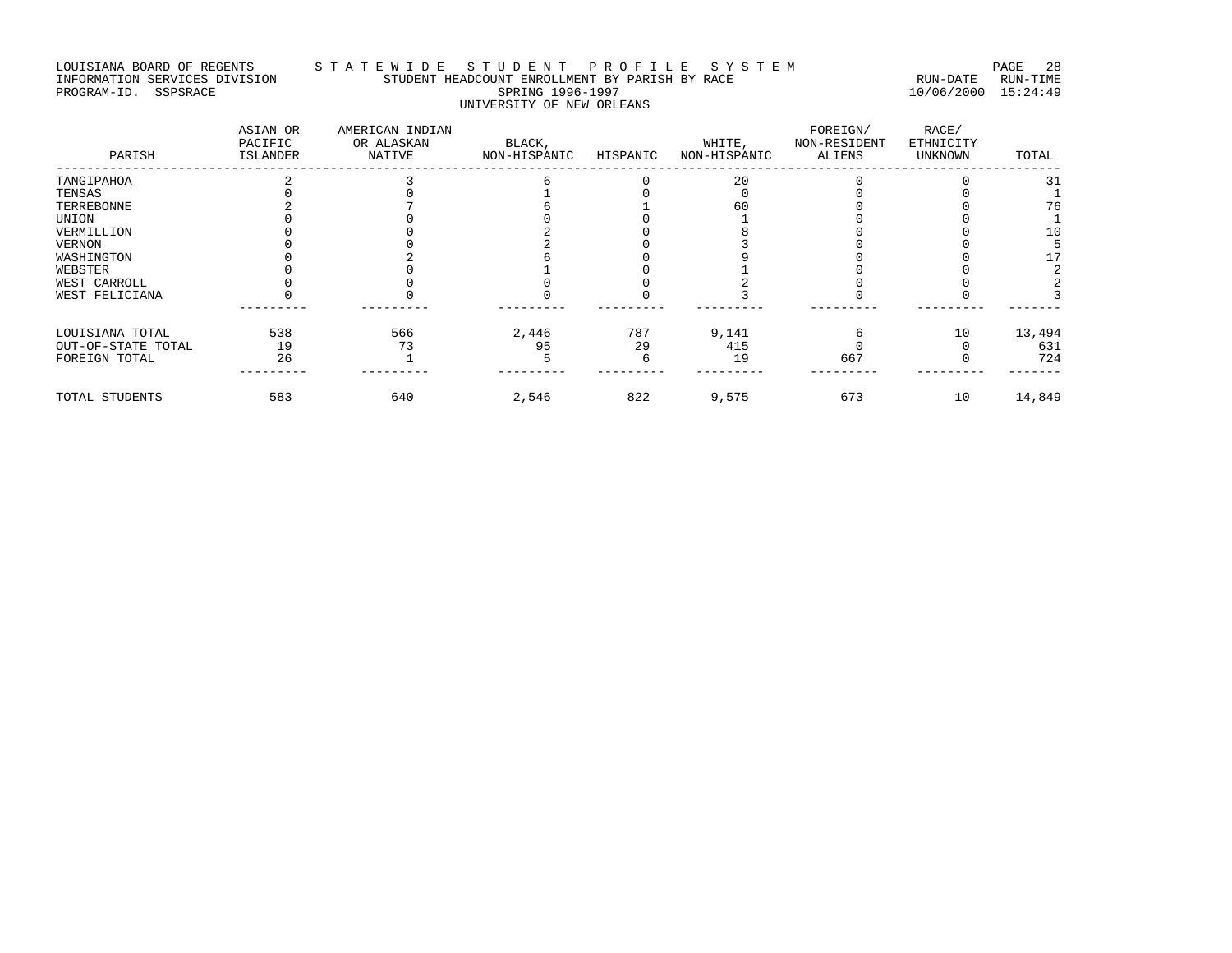# LOUISIANA BOARD OF REGENTS STA TE WIDE STUDENT PROFILE SYSTEM PAGE 28 INFORMATION SERVICES DIVISION STUDENT HEADCOUNT ENROLLMENT BY PARISH BY RACE RUN-DATE RUN-TIME PROGRAM-ID. SSPSRACE SPRING 1996-1997 10/06/2000 15:24:49 UNIVERSITY OF NEW ORLEANS

| PARISH             | ASIAN OR<br>PACIFIC<br>ISLANDER | AMERICAN INDIAN<br>OR ALASKAN<br>NATIVE | BLACK,<br>NON-HISPANIC | HISPANIC | WHITE,<br>NON-HISPANIC | FOREIGN/<br>NON-RESIDENT<br>ALIENS | RACE/<br>ETHNICITY<br><b>UNKNOWN</b> | TOTAL  |
|--------------------|---------------------------------|-----------------------------------------|------------------------|----------|------------------------|------------------------------------|--------------------------------------|--------|
| TANGIPAHOA         |                                 |                                         |                        |          | 20                     |                                    |                                      |        |
| TENSAS             |                                 |                                         |                        |          |                        |                                    |                                      |        |
| TERREBONNE         |                                 |                                         |                        |          | 60                     |                                    |                                      | 76     |
| UNION              |                                 |                                         |                        |          |                        |                                    |                                      |        |
| VERMILLION         |                                 |                                         |                        |          |                        |                                    |                                      | 10     |
| VERNON             |                                 |                                         |                        |          |                        |                                    |                                      |        |
| WASHINGTON         |                                 |                                         |                        |          |                        |                                    |                                      |        |
| WEBSTER            |                                 |                                         |                        |          |                        |                                    |                                      |        |
| WEST CARROLL       |                                 |                                         |                        |          |                        |                                    |                                      |        |
| WEST FELICIANA     |                                 |                                         |                        |          |                        |                                    |                                      |        |
| LOUISIANA TOTAL    | 538                             | 566                                     | 2,446                  | 787      | 9,141                  |                                    | 10                                   | 13,494 |
| OUT-OF-STATE TOTAL | 19                              | 73                                      | 95                     | 29       | 415                    |                                    |                                      | 631    |
| FOREIGN TOTAL      | 26                              |                                         |                        |          | 19                     | 667                                |                                      | 724    |
| TOTAL STUDENTS     | 583                             | 640                                     | 2,546                  | 822      | 9,575                  | 673                                | 10                                   | 14,849 |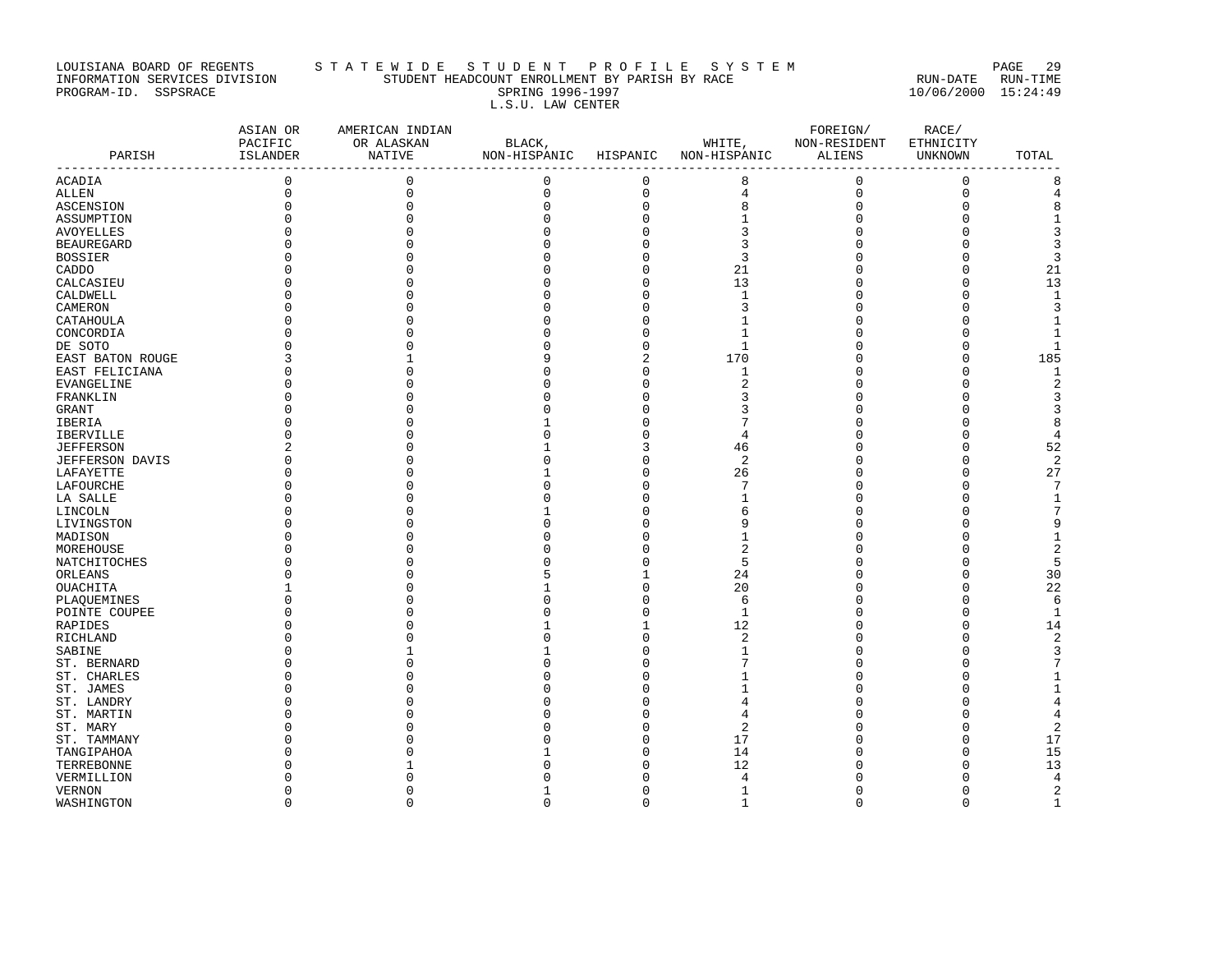#### LOUISIANA BOARD OF REGENTS S T A T E W I D E S T U D E N T P R O F I L E S Y S T E M PAGE 29 INFORMATION SERVICES DIVISION STUDENT HEADCOUNT ENROLLMENT BY PARISH BY RACE RUN-DATE RUN-TIME PROGRAM-ID. SSPSRACE SPRING 1996-1997 10/06/2000 15:24:49 L.S.U. LAW CENTER

| PARISH            | ASIAN OR<br>PACIFIC<br>ISLANDER | AMERICAN INDIAN<br>OR ALASKAN<br>NATIVE | BLACK,<br>NON-HISPANIC HISPANIC |              | WHITE,<br>NON-HISPANIC | FOREIGN/<br>NON-RESIDENT<br>ALIENS | RACE/<br>ETHNICITY<br>UNKNOWN | TOTAL          |
|-------------------|---------------------------------|-----------------------------------------|---------------------------------|--------------|------------------------|------------------------------------|-------------------------------|----------------|
|                   |                                 |                                         |                                 |              |                        |                                    |                               |                |
| ACADIA            | $\mathbf 0$                     | $\mathbf 0$                             | $\mathbf 0$                     | $\mathbf 0$  | 8                      | $\mathbf 0$                        | $\mathbf 0$                   | 8              |
| ALLEN             | $\mathbf 0$                     | $\mathbf 0$                             | $\Omega$                        | $\mathsf 0$  | 4                      | 0                                  | $\mathbf 0$                   | 4              |
| ASCENSION         | $\mathbf 0$                     | $\Omega$                                | $\Omega$                        | $\mathsf 0$  | 8                      | 0                                  | $\Omega$                      | 8              |
| ASSUMPTION        |                                 | $\Omega$                                | n                               | 0            |                        |                                    | $\cap$                        | $\mathbf{1}$   |
| AVOYELLES         |                                 |                                         |                                 | $\Omega$     | 3                      |                                    |                               | 3              |
| <b>BEAUREGARD</b> |                                 |                                         |                                 | 0            | 3                      |                                    | $\cap$                        | 3              |
| <b>BOSSIER</b>    |                                 |                                         |                                 | 0            | 3                      | U                                  | $\cap$                        | 3              |
| CADDO             |                                 |                                         |                                 | $\mathbf 0$  | 21                     | $\Omega$                           | $\Omega$                      | 21             |
| CALCASIEU         |                                 | n                                       |                                 | $\mathbf 0$  | 13                     | U                                  | $\cap$                        | 13             |
| CALDWELL          |                                 | O                                       |                                 | 0            | 1                      | U                                  | $\Omega$                      | $\mathbf{1}$   |
| CAMERON           |                                 |                                         |                                 | $\mathsf 0$  | 3                      | U                                  | $\cap$                        | 3              |
| CATAHOULA         |                                 |                                         |                                 | 0            |                        |                                    | $\cap$                        | 1              |
| CONCORDIA         | $\Omega$                        |                                         |                                 | $\mathbf 0$  |                        | $\Omega$                           | $\cap$                        | $\mathbf{1}$   |
| DE SOTO           |                                 |                                         |                                 | $\mathbf 0$  | $\mathbf{1}$           |                                    | $\cap$                        | $\mathbf{1}$   |
| EAST BATON ROUGE  | 3                               |                                         |                                 | 2            | 170                    | 0                                  | $\Omega$                      | 185            |
| EAST FELICIANA    | $\Omega$                        |                                         |                                 | $\mathbf 0$  | 1                      | $\Omega$                           | $\Omega$                      | $\mathbf{1}$   |
| EVANGELINE        |                                 | ∩                                       |                                 | 0            | 2                      |                                    | $\cap$                        | $\overline{c}$ |
| FRANKLIN          |                                 |                                         |                                 | O            | 3                      |                                    | n                             | 3              |
| GRANT             |                                 |                                         |                                 | $\Omega$     | 3                      |                                    | $\cap$                        | 3              |
| IBERIA            |                                 |                                         |                                 | $\Omega$     |                        |                                    |                               | 8              |
| <b>IBERVILLE</b>  |                                 |                                         |                                 | 0            | $\overline{4}$         |                                    | $\cap$                        | $\overline{4}$ |
| <b>JEFFERSON</b>  | 2                               |                                         |                                 | 3            | 46                     |                                    | $\cap$                        | 52             |
| JEFFERSON DAVIS   | $\Omega$                        | O                                       |                                 | $\mathsf 0$  | 2                      | 0                                  | $\Omega$                      | $\overline{a}$ |
| LAFAYETTE         |                                 |                                         |                                 | $\mathbf 0$  | 26                     | $\Omega$                           | $\Omega$                      | 27             |
| LAFOURCHE         |                                 |                                         |                                 | 0            |                        |                                    | $\cap$                        | 7              |
| LA SALLE          |                                 |                                         |                                 | $\Omega$     |                        | U                                  | n                             | $\mathbf{1}$   |
| LINCOLN           |                                 |                                         |                                 | $\mathbf 0$  | 6                      |                                    | $\cap$                        | 7              |
| LIVINGSTON        |                                 |                                         |                                 | 0            |                        |                                    | n                             | 9              |
| MADISON           |                                 |                                         |                                 | $\Omega$     |                        |                                    |                               | $\mathbf{1}$   |
| MOREHOUSE         |                                 | ∩                                       |                                 | O            | 2                      |                                    |                               | $\overline{2}$ |
| NATCHITOCHES      |                                 |                                         |                                 | 0            | 5                      |                                    | $\cap$                        | 5              |
| ORLEANS           |                                 | O                                       |                                 | $\mathbf{1}$ | 24                     | $\Omega$                           | $\Omega$                      | 30             |
| OUACHITA          |                                 |                                         |                                 | $\mathbf 0$  | 20                     |                                    | $\cap$                        | 22             |
| PLAQUEMINES       |                                 |                                         |                                 | 0            | 6                      |                                    | $\cap$                        | 6              |
| POINTE COUPEE     |                                 |                                         |                                 | $\Omega$     | $\mathbf{1}$           |                                    | $\cap$                        | $\mathbf{1}$   |
| RAPIDES           |                                 |                                         |                                 | $\mathbf{1}$ | 12                     | U                                  | $\cap$                        | 14             |
| RICHLAND          |                                 |                                         |                                 | $\mathbf 0$  | 2                      | U                                  | $\cap$                        | $\overline{2}$ |
| SABINE            |                                 |                                         |                                 | 0            |                        |                                    | $\cap$                        | 3              |
| ST. BERNARD       |                                 |                                         |                                 | 0            |                        | U                                  | n                             | 7              |
| ST. CHARLES       |                                 |                                         |                                 | O            |                        |                                    | n                             | 1              |
| ST. JAMES         |                                 |                                         |                                 | 0            |                        | U                                  |                               | $\mathbf{1}$   |
| ST. LANDRY        |                                 |                                         |                                 | 0            |                        |                                    |                               | 4              |
| ST. MARTIN        |                                 |                                         |                                 | $\Omega$     | 4                      |                                    |                               | 4              |
| ST. MARY          |                                 |                                         |                                 | $\Omega$     | 2                      |                                    | n                             | $\overline{c}$ |
|                   |                                 |                                         |                                 | 0            | 17                     | U                                  | n                             | 17             |
| ST. TAMMANY       |                                 |                                         |                                 | $\Omega$     | 14                     |                                    | $\cap$                        | 15             |
| TANGIPAHOA        |                                 |                                         |                                 | 0            | 12                     |                                    | n                             | 13             |
| TERREBONNE        |                                 |                                         |                                 | O            | $\overline{4}$         |                                    | n                             | 4              |
| VERMILLION        | <sup>0</sup>                    | O                                       |                                 | $\mathbf 0$  |                        | $\Omega$                           | $\mathbf 0$                   | $\mathbf{2}$   |
| <b>VERNON</b>     | $\Omega$                        | $\Omega$                                | $\Omega$                        | $\Omega$     | 1                      | $\Omega$                           | $\Omega$                      | $\mathbf{1}$   |
| WASHINGTON        |                                 |                                         |                                 |              | $\mathbf{1}$           |                                    |                               |                |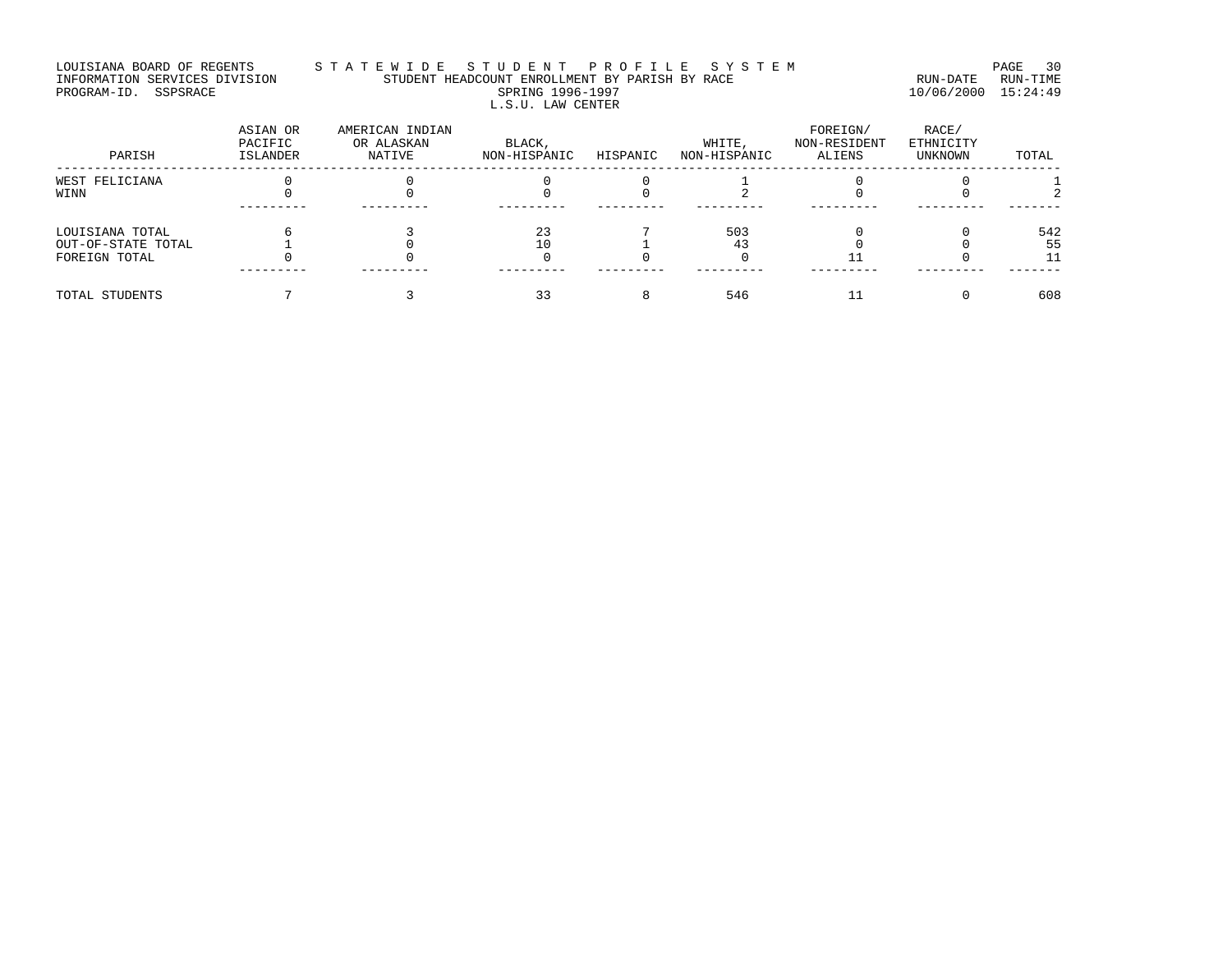#### LOUISIANA BOARD OF REGENTS STA TE WIDE STUDENT PROFILE SYSTEM PAGE 30 INFORMATION SERVICES DIVISION STUDENT HEADCOUNT ENROLLMENT BY PARISH BY RACE RUN-DATE RUN-TIME PROGRAM-ID. SSPSRACE SPRING 1996-1997 10/06/2000 15:24:49 L.S.U. LAW CENTER

| PARISH             | ASIAN OR<br>PACIFIC<br>ISLANDER | AMERICAN INDIAN<br>OR ALASKAN<br>NATIVE | BLACK,<br>NON-HISPANIC | HISPANIC | WHITE,<br>NON-HISPANIC | FOREIGN/<br>NON-RESIDENT<br>ALIENS | RACE/<br>ETHNICITY<br>UNKNOWN | TOTAL |
|--------------------|---------------------------------|-----------------------------------------|------------------------|----------|------------------------|------------------------------------|-------------------------------|-------|
| WEST FELICIANA     |                                 |                                         |                        |          |                        |                                    |                               |       |
| WINN               |                                 |                                         |                        |          |                        |                                    |                               |       |
| LOUISIANA TOTAL    |                                 |                                         | 23                     |          | 503                    |                                    |                               | 542   |
| OUT-OF-STATE TOTAL |                                 |                                         | 10                     |          |                        |                                    |                               | 55    |
| FOREIGN TOTAL      |                                 |                                         |                        |          |                        |                                    |                               |       |
|                    |                                 |                                         |                        |          |                        |                                    |                               |       |
| TOTAL STUDENTS     |                                 |                                         | 33                     |          | 546                    |                                    |                               | 608   |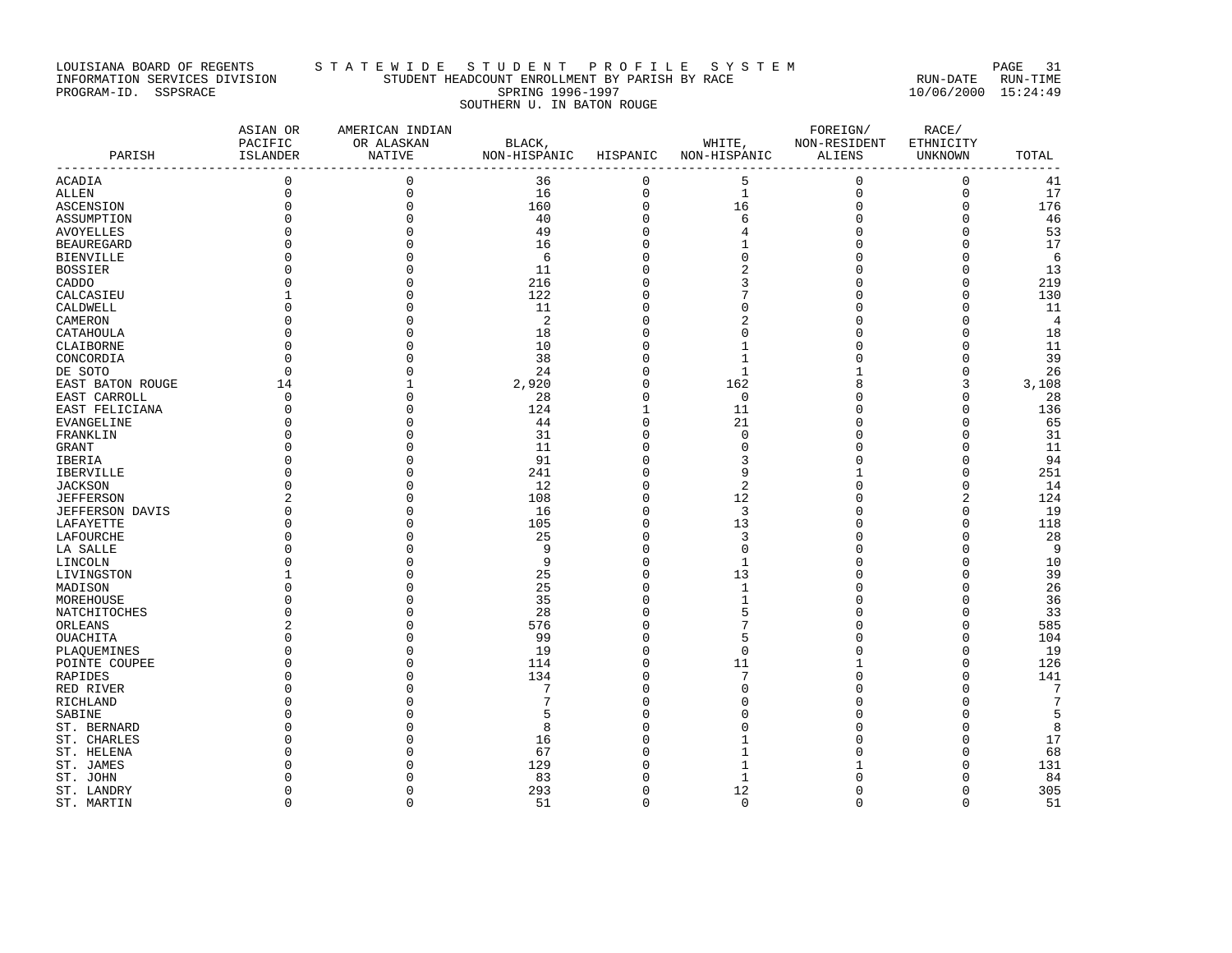# LOUISIANA BOARD OF REGENTS STA TE WIDE STUDENT PROFILE SYSTEM PAGE 31 INFORMATION SERVICES DIVISION STUDENT HEADCOUNT ENROLLMENT BY PARISH BY RACE RUN-DATE RUN-TIME PROGRAM-ID. SSPSRACE SPRING 1996-1997 10/06/2000 15:24:49 SOUTHERN U. IN BATON ROUGE

| PARISH                   | ASIAN OR<br>PACIFIC<br>ISLANDER | AMERICAN INDIAN<br>OR ALASKAN<br>NATIVE | BLACK,<br>NON-HISPANIC HISPANIC NON-HISPANIC |                         | WHITE,   | FOREIGN/<br>NON-RESIDENT<br>ALIENS | RACE/<br>ETHNICITY<br>UNKNOWN | TOTAL          |
|--------------------------|---------------------------------|-----------------------------------------|----------------------------------------------|-------------------------|----------|------------------------------------|-------------------------------|----------------|
| ACADIA                   | 0                               | $\mathbf 0$                             | 36                                           | 0                       | 5        | $\mathbf 0$                        | 0                             | 41             |
| ALLEN                    | $\Omega$                        | $\mathbf 0$                             | 16                                           | $\mathbf 0$             | 1        | $\mathbf 0$                        | $\mathbf{0}$                  | 17             |
| ASCENSION                | $\mathbf 0$                     | $\mathbf{0}$                            | 160                                          | $\mathsf 0$             | 16       | $\mathbf 0$                        | $\Omega$                      | 176            |
| ASSUMPTION               | $\Omega$                        | $\mathbf{0}$                            | 40                                           | $\mathbf 0$             | 6        | $\Omega$                           | $\Omega$                      | 46             |
| AVOYELLES                |                                 | $\Omega$                                | 49                                           | $\Omega$                |          |                                    | ∩                             | 53             |
| BEAUREGARD               |                                 | $\Omega$                                | 16                                           | $\Omega$                |          |                                    | n                             | 17             |
| BIENVILLE                |                                 | $\Omega$                                | 6                                            | 0                       | O        |                                    | 0                             | 6              |
| BOSSIER                  |                                 |                                         | 11                                           | O                       |          |                                    | $\cap$                        | 13             |
| CADDO                    |                                 | $\Omega$                                | 216                                          | O                       |          |                                    | C                             | 219            |
| CALCASIEU                |                                 | O                                       | 122                                          | 0                       |          |                                    | 0                             | 130            |
| CALDWELL                 |                                 | $\Omega$                                | 11                                           | 0                       | n        |                                    | C                             | 11             |
| CAMERON                  |                                 |                                         | 2                                            | O                       | 2        |                                    | C                             | $\overline{4}$ |
| CATAHOULA                |                                 | O                                       | 18                                           | 0                       | O        |                                    | 0                             | 18             |
| CLAIBORNE                | ∩                               | U                                       | 10                                           | $\Omega$                | 1        |                                    | n                             | 11             |
| CONCORDIA                | $\Omega$                        | $\Omega$                                | 38                                           | 0                       | 1        |                                    | n                             | 39             |
| DE SOTO                  |                                 | O                                       | 24                                           | $\Omega$                | 1        |                                    | 0                             | 26             |
| EAST BATON ROUGE         | 14                              | $\mathbf{1}$                            | 2,920                                        | $\mathbf 0$             | 162      |                                    | 3                             | 3,108          |
| EAST CARROLL             | $\Omega$                        | $\Omega$                                | 28                                           | 0                       | $\Omega$ |                                    | n                             | 28             |
| EAST FELICIANA           | $\Omega$                        | O                                       | 124                                          | $\mathbf{1}$            | 11       |                                    | n                             | 136            |
| EVANGELINE               | $\Omega$                        | $\Omega$                                | 44                                           | $\mathbf 0$             | 21       |                                    | C                             | 65             |
| FRANKLIN                 |                                 | $\Omega$                                | 31                                           | 0                       | $\Omega$ |                                    | C                             | 31             |
| GRANT                    |                                 | U                                       | 11                                           | U                       | n        |                                    | n                             | 11             |
| IBERIA                   |                                 | $\Omega$                                | 91                                           | O                       | 3        |                                    | n                             | 94             |
| IBERVILLE                |                                 | O                                       | 241                                          | 0                       | 9        |                                    | n                             | 251            |
| JACKSON                  |                                 | U                                       | 12                                           | O                       | 2        |                                    | n                             | 14             |
| JEFFERSON                |                                 | O                                       | 108                                          | 0                       | 12       | n                                  | 2                             | 124            |
| JEFFERSON DAVIS          |                                 | O                                       | 16                                           | 0                       | 3        |                                    | 0                             | 19             |
| LAFAYETTE                |                                 | O                                       | 105                                          | 0                       | 13       | ∩                                  | $\cap$                        | 118            |
| LAFOURCHE                |                                 | O                                       | 25                                           | O                       | 3        |                                    | n                             | 28             |
| LA SALLE                 |                                 |                                         | 9                                            | U                       | $\Omega$ |                                    | C                             | -9             |
| LINCOLN                  |                                 | U                                       | 9                                            | O                       | 1        |                                    | C                             | 10             |
| LIVINGSTON               |                                 | O                                       | 25                                           | 0                       | 13       |                                    | C                             | 39             |
| MADISON                  |                                 |                                         | 25                                           | 0                       | -1       |                                    | O                             | 26             |
| MOREHOUSE                |                                 | O                                       | 35                                           | $\Omega$                |          |                                    | $\Omega$                      | 36             |
| NATCHITOCHES             |                                 |                                         | 28                                           | O                       |          |                                    | n                             | 33             |
| ORLEANS                  |                                 | O<br>O                                  | 576                                          | 0                       | 5        |                                    | 0                             | 585            |
| OUACHITA                 |                                 |                                         | 99                                           | $\mathbf 0$             |          |                                    | n                             | 104            |
| PLAQUEMINES              | $\Omega$<br>U                   | $\Omega$<br>U                           | 19<br>114                                    | $\mathbf 0$<br>$\Omega$ | $\Omega$ |                                    | n<br>n                        | 19<br>126      |
| POINTE COUPEE<br>RAPIDES |                                 | O                                       | 134                                          | $\Omega$                | 11       | <sup>0</sup>                       | $\cap$                        | 141            |
| RED RIVER                |                                 | O                                       | 7                                            | 0                       |          | n                                  | n                             | 7              |
| RICHLAND                 |                                 |                                         | 7                                            | U                       |          |                                    | n                             | 7              |
| SABINE                   |                                 |                                         | 5                                            | U                       |          |                                    | n                             | 5              |
| ST. BERNARD              |                                 |                                         | 8                                            |                         |          |                                    | n                             | 8              |
| ST. CHARLES              |                                 |                                         | 16                                           | U                       |          |                                    | O                             | 17             |
| ST. HELENA               |                                 |                                         | 67                                           |                         |          |                                    | C                             | 68             |
| ST. JAMES                |                                 |                                         | 129                                          |                         |          |                                    | C                             | 131            |
| ST. JOHN                 |                                 |                                         | 83                                           |                         | 1        |                                    | n                             | 84             |
| ST. LANDRY               | U                               | O                                       | 293                                          | 0                       | 12       | <sup>0</sup>                       | 0                             | 305            |
| ST. MARTIN               | $\Omega$                        | $\Omega$                                | 51                                           | $\Omega$                | $\Omega$ | $\Omega$                           | $\Omega$                      | 51             |
|                          |                                 |                                         |                                              |                         |          |                                    |                               |                |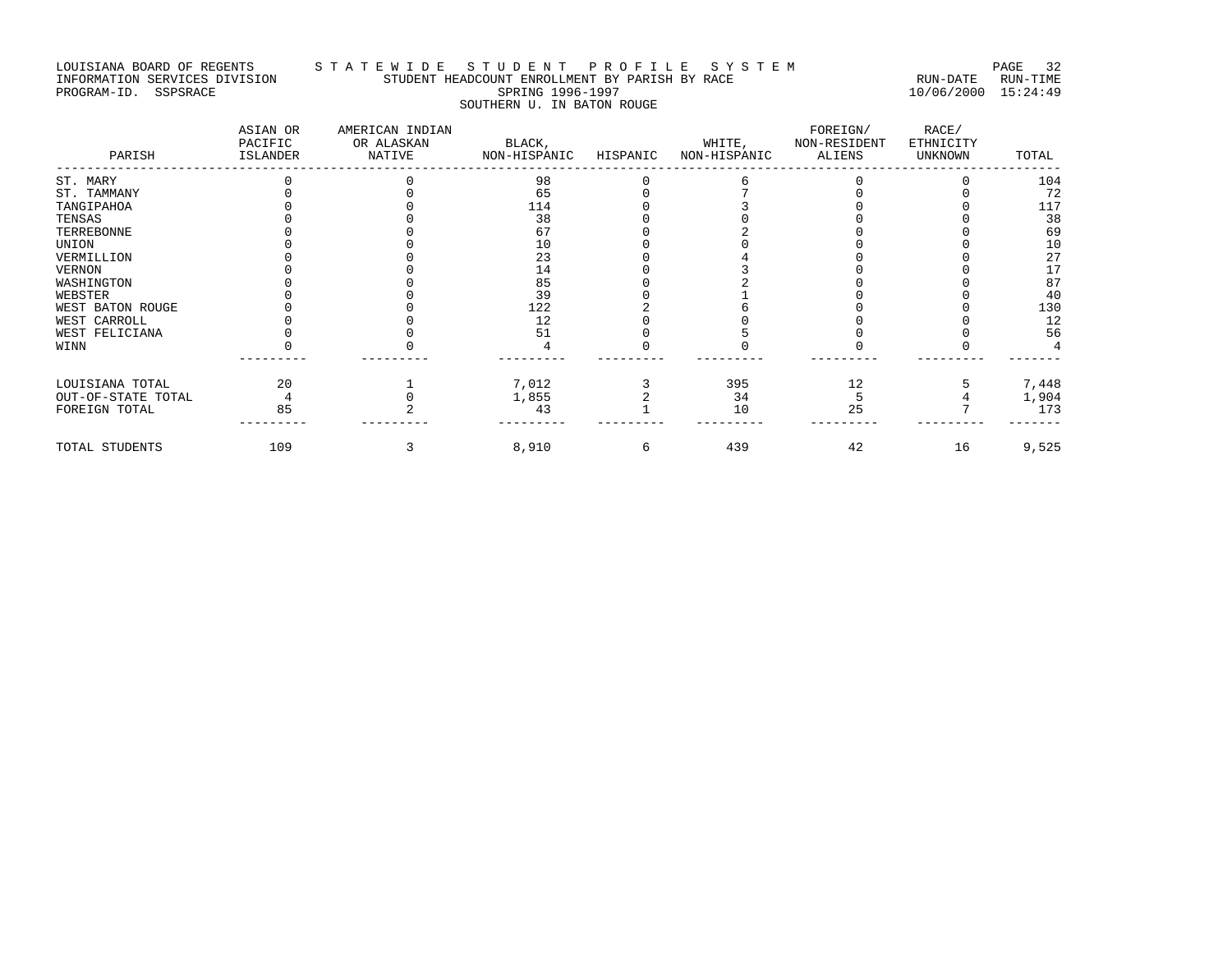# LOUISIANA BOARD OF REGENTS STA TE WIDE STUDENT PROFILE SYSTEM PAGE 32 INFORMATION SERVICES DIVISION STUDENT HEADCOUNT ENROLLMENT BY PARISH BY RACE RUN-DATE RUN-TIME PROGRAM-ID. SSPSRACE SPRING 1996-1997 10/06/2000 15:24:49 SOUTHERN U. IN BATON ROUGE

| PARISH             | ASIAN OR<br>PACIFIC<br>ISLANDER | AMERICAN INDIAN<br>OR ALASKAN<br>NATIVE | BLACK,<br>NON-HISPANIC | HISPANIC | WHITE,<br>NON-HISPANIC | FOREIGN/<br>NON-RESIDENT<br>ALIENS | RACE/<br>ETHNICITY<br><b>UNKNOWN</b> | TOTAL |
|--------------------|---------------------------------|-----------------------------------------|------------------------|----------|------------------------|------------------------------------|--------------------------------------|-------|
| ST. MARY           |                                 |                                         | 98                     |          |                        |                                    |                                      | 104   |
| ST. TAMMANY        |                                 |                                         | 65                     |          |                        |                                    |                                      | 72    |
| TANGIPAHOA         |                                 |                                         | 114                    |          |                        |                                    |                                      | 117   |
| TENSAS             |                                 |                                         | 38                     |          |                        |                                    |                                      | 38    |
| TERREBONNE         |                                 |                                         | 67                     |          |                        |                                    |                                      | 69    |
| UNION              |                                 |                                         | 10                     |          |                        |                                    |                                      | 10    |
| VERMILLION         |                                 |                                         | 23                     |          |                        |                                    |                                      | 27    |
| VERNON             |                                 |                                         | 14                     |          |                        |                                    |                                      | 17    |
| WASHINGTON         |                                 |                                         | 85                     |          |                        |                                    |                                      | 87    |
| WEBSTER            |                                 |                                         | 39                     |          |                        |                                    |                                      | 40    |
| WEST BATON ROUGE   |                                 |                                         | 122                    |          |                        |                                    |                                      | 130   |
| WEST CARROLL       |                                 |                                         | 12                     |          |                        |                                    |                                      | 12    |
| WEST FELICIANA     |                                 |                                         | 51                     |          |                        |                                    |                                      | 56    |
| WINN               |                                 |                                         |                        |          |                        |                                    |                                      |       |
| LOUISIANA TOTAL    | 20                              |                                         | 7,012                  |          | 395                    | 12                                 |                                      | 7,448 |
| OUT-OF-STATE TOTAL |                                 |                                         | 1,855                  |          | 34                     |                                    |                                      | 1,904 |
| FOREIGN TOTAL      | 85                              |                                         | 43                     |          | 10                     | 25                                 |                                      | 173   |
| TOTAL STUDENTS     | 109                             |                                         | 8,910                  | 6        | 439                    | 42                                 | 16                                   | 9,525 |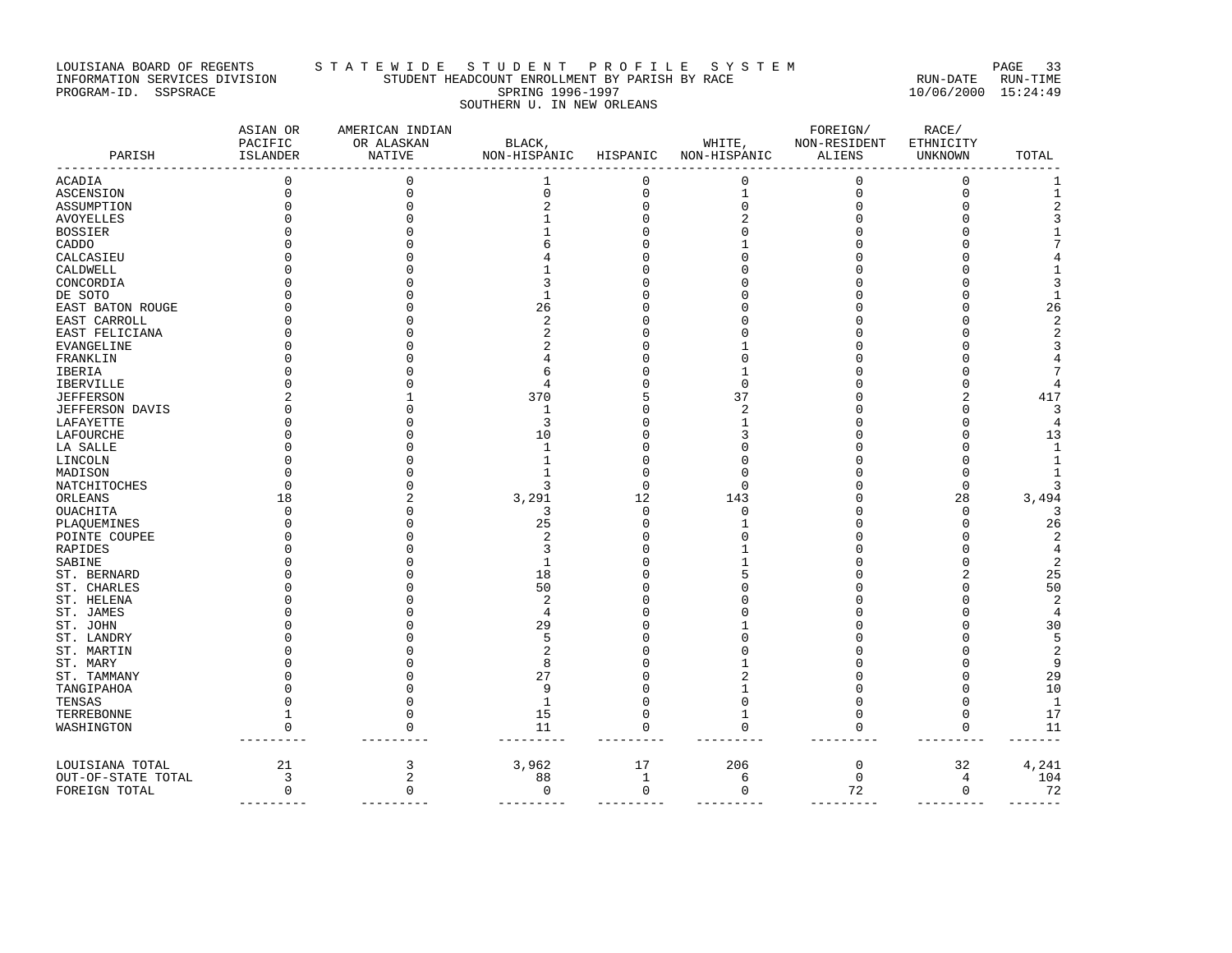# LOUISIANA BOARD OF REGENTS STA TE WIDE STUDENT PROFILE SYSTEM PAGE 33 INFORMATION SERVICES DIVISION STUDENT HEADCOUNT ENROLLMENT BY PARISH BY RACE RUN-DATE RUN-TIME PROGRAM-ID. SSPSRACE SPRING 1996-1997 10/06/2000 15:24:49 SOUTHERN U. IN NEW ORLEANS

| PARISH               | ASIAN OR<br>PACIFIC<br>ISLANDER | AMERICAN INDIAN<br>OR ALASKAN<br><b>NATIVE</b> | BLACK,<br>NON-HISPANIC | HISPANIC    | WHITE,<br>NON-HISPANIC | FOREIGN/<br>NON-RESIDENT<br><b>ALIENS</b> | RACE/<br>ETHNICITY<br>UNKNOWN | TOTAL               |
|----------------------|---------------------------------|------------------------------------------------|------------------------|-------------|------------------------|-------------------------------------------|-------------------------------|---------------------|
| ACADIA               | 0                               | 0                                              |                        | 0           | $\Omega$               | 0                                         | $\Omega$                      | 1                   |
| ASCENSION            | 0                               | $\mathbf 0$                                    | $\mathbf 0$            | 0           | 1                      | 0                                         | $\mathbf{0}$                  | $1\,$               |
| ASSUMPTION           | U                               | O                                              |                        | $\mathbf 0$ |                        |                                           |                               | 2                   |
| AVOYELLES            |                                 |                                                |                        | O           |                        |                                           |                               | 3                   |
| BOSSIER              |                                 |                                                |                        |             |                        |                                           |                               |                     |
| CADDO                |                                 |                                                |                        |             |                        |                                           |                               |                     |
| CALCASIEU            |                                 |                                                |                        |             |                        |                                           |                               |                     |
| CALDWELL             |                                 |                                                |                        |             |                        |                                           |                               |                     |
| CONCORDIA            |                                 |                                                |                        |             |                        |                                           |                               | 3                   |
| DE SOTO              |                                 |                                                | -1                     |             |                        |                                           |                               | 1                   |
| EAST BATON ROUGE     |                                 |                                                | 26                     | O           |                        |                                           |                               | 26                  |
| EAST CARROLL         |                                 |                                                | $\overline{2}$         |             |                        |                                           |                               | 2                   |
| EAST FELICIANA       |                                 |                                                |                        | O           |                        |                                           |                               | $\overline{2}$      |
| EVANGELINE           |                                 |                                                |                        |             |                        |                                           |                               | 3                   |
| FRANKLIN             |                                 |                                                |                        |             |                        |                                           |                               | 4                   |
| IBERIA               |                                 |                                                |                        | O           |                        |                                           |                               | 7                   |
| IBERVILLE            |                                 |                                                |                        | U           | n                      |                                           |                               |                     |
| JEFFERSON            |                                 |                                                | 370                    | 5           | 37                     |                                           |                               | 417                 |
| JEFFERSON DAVIS      |                                 |                                                | 1                      | O           |                        |                                           |                               | 3                   |
| LAFAYETTE            |                                 |                                                | 3                      | 0           |                        |                                           |                               | 4                   |
| LAFOURCHE            |                                 |                                                | 10                     | O           |                        |                                           |                               | 13                  |
| LA SALLE             |                                 |                                                | -1                     | O           |                        |                                           |                               | 1                   |
| LINCOLN              |                                 |                                                | 1                      | O           |                        |                                           |                               | 1                   |
| MADISON              |                                 |                                                |                        | 0           |                        |                                           |                               |                     |
| NATCHITOCHES         | U                               |                                                | २                      | 0           | U                      |                                           | $\Omega$                      | κ                   |
| ORLEANS              | 18                              |                                                | 3,291                  | 12          | 143                    |                                           | 28                            | 3,494               |
| OUACHITA             | U                               |                                                | 3                      | $\Omega$    |                        |                                           | ∩                             | 3                   |
| PLAQUEMINES          |                                 |                                                | 25                     | U           |                        |                                           |                               | 26                  |
| POINTE COUPEE        |                                 |                                                |                        | O           |                        |                                           |                               | 2                   |
| RAPIDES              |                                 |                                                | 3                      | 0           |                        |                                           |                               | 4                   |
| SABINE               |                                 |                                                | $\mathbf{1}$           | O           |                        |                                           |                               | $\overline{2}$      |
| ST. BERNARD          |                                 |                                                | 18                     | O           |                        |                                           |                               | 25                  |
| ST. CHARLES          |                                 |                                                | 50                     |             |                        |                                           |                               | 50                  |
| ST. HELENA           |                                 |                                                | 2                      |             |                        |                                           |                               | $\overline{2}$      |
| ST. JAMES            |                                 |                                                | 4                      |             |                        |                                           |                               | $\overline{4}$      |
| ST. JOHN             |                                 |                                                | 29                     |             |                        |                                           |                               | 30                  |
| ST. LANDRY           |                                 |                                                | 5                      |             |                        |                                           |                               | 5                   |
| ST. MARTIN           |                                 |                                                | 2<br>R                 |             |                        |                                           |                               | $\overline{2}$<br>9 |
| ST. MARY             |                                 |                                                | 27                     | O<br>O      |                        |                                           |                               | 29                  |
| ST. TAMMANY          |                                 |                                                | 9                      | O           |                        |                                           |                               | 10                  |
| TANGIPAHOA           |                                 |                                                | 1                      | $\Omega$    |                        | Ω                                         |                               | <sup>1</sup>        |
| TENSAS<br>TERREBONNE |                                 | 0                                              | 15                     | 0           | 1                      | O                                         | $\Omega$                      | 17                  |
|                      | 0                               | $\mathbf 0$                                    | 11                     | $\mathbf 0$ | 0                      | $\Omega$                                  | $\mathbf 0$                   | 11                  |
| WASHINGTON           |                                 |                                                |                        |             |                        |                                           |                               |                     |
| LOUISIANA TOTAL      | 21                              | 3                                              | 3,962                  | 17          | 206                    | 0                                         | 32                            | 4,241               |
| OUT-OF-STATE TOTAL   | 3                               | $\overline{2}$                                 | 88                     | 1           | 6                      | $\mathbf 0$                               | 4                             | 104                 |
| FOREIGN TOTAL        | $\mathbf 0$                     | $\mathbf 0$                                    | $\mathbf 0$            | 0           | $\mathbf 0$            | 72                                        | $\mathbf 0$                   | 72<br>-------       |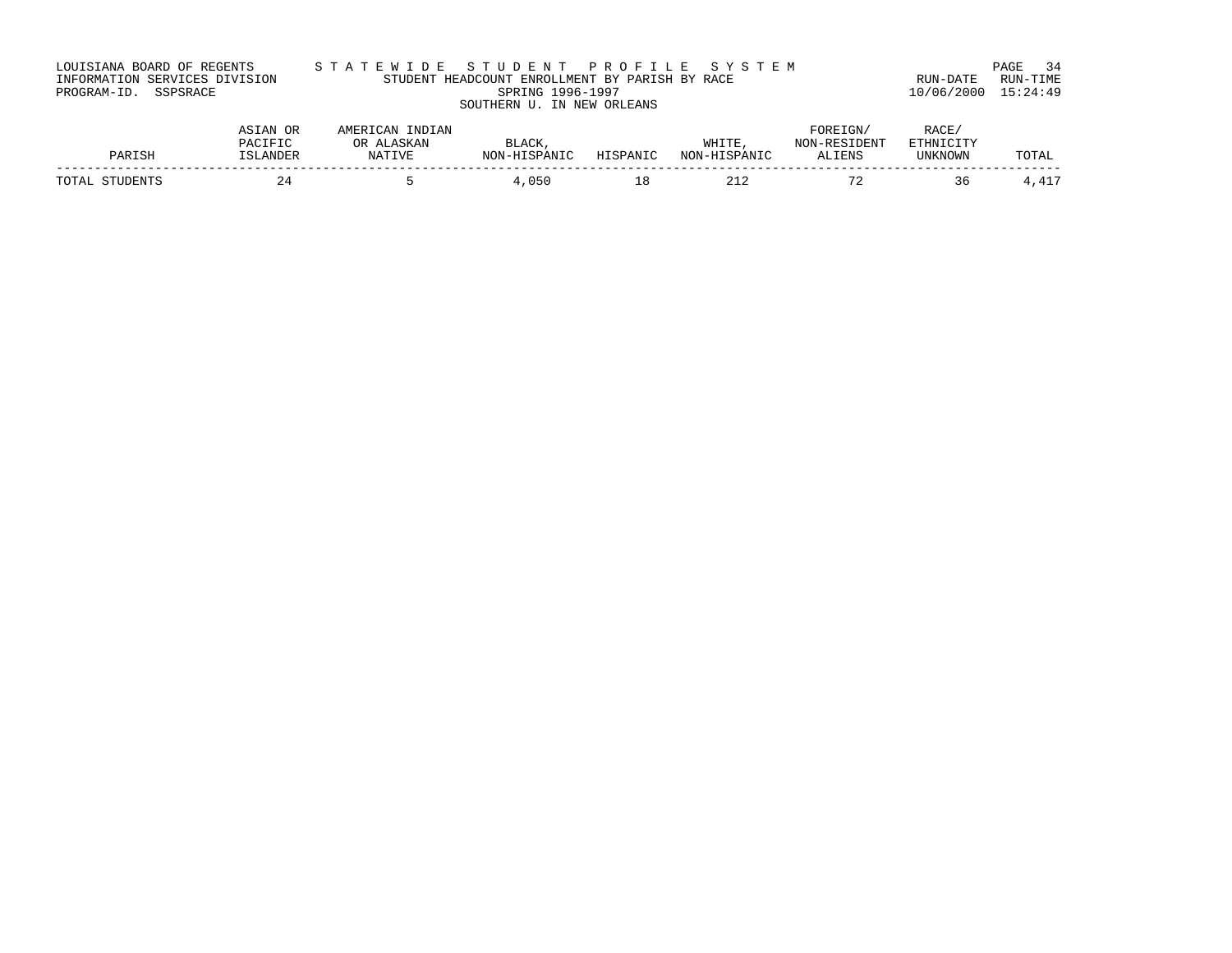| LOUISIANA BOARD OF REGENTS    | STATEWIDE STUDENT PROFILE SYSTEM               |                     | PAGE 34  |
|-------------------------------|------------------------------------------------|---------------------|----------|
| INFORMATION SERVICES DIVISION | STUDENT HEADCOUNT ENROLLMENT BY PARISH BY RACE | RUN-DATE            | RUN-TIME |
| PROGRAM-ID. SSPSRACE          | SPRING 1996-1997                               | 10/06/2000 15:24:49 |          |
|                               | SOUTHERN U. IN NEW ORLEANS                     |                     |          |

|                   | ASIAN OR                  | INDIAN<br>AMERICAN     |                                   |          |                       | <b>FOREIGN</b>              | RACE.                              |              |
|-------------------|---------------------------|------------------------|-----------------------------------|----------|-----------------------|-----------------------------|------------------------------------|--------------|
| PARISF            | <b>PACIFIC</b><br>SLANDER | ASKAN<br>OR.<br>NATIVE | <b>BLACK</b><br>J-HISPANIC<br>MOM | HISPANIC | WHITE<br>NON-HISPANIC | -RESIDENT<br>NON-<br>ALIENS | <b>RTHNICITY</b><br><b>UNKNOWN</b> | TOTAL        |
| TOTAL<br>STUDENTS | 47                        |                        | ,050                              | - -      | <u>444</u>            | $\mathbf{a}$                | 36                                 | . <i>. .</i> |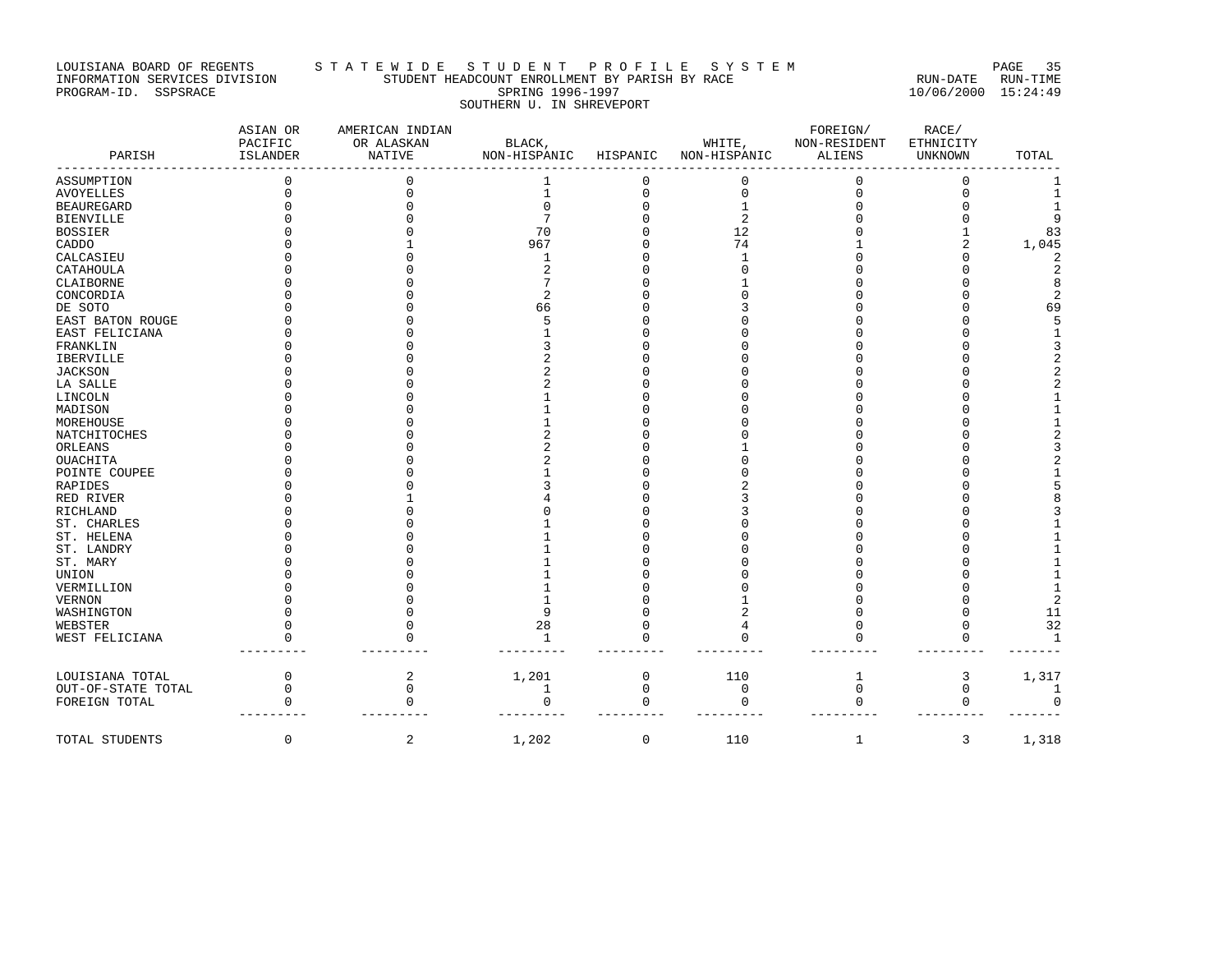# LOUISIANA BOARD OF REGENTS STATEWIDE STUDENT END AT PROFILE SYSTEM FAGE 35<br>INFORMATION SERVICES DIVISION STUDENT HEADCOUNT ENROLLMENT BY PARISH BY RACE INFORMATION SERVICES DIVISION STATE STUDENT HEADCOUNT ENROLLMENT BY PARISH BY RACE PROGRAM-ID. SSPSRACE SPRING 1996-1997 SOUTHERN U. IN SHREVEPORT

PROGRAM-ID. SSPSRACE SPRING 1996-1997 10/06/2000 15:24:49

| PARISH             | ASIAN OR<br>PACIFIC<br>ISLANDER | AMERICAN INDIAN<br>OR ALASKAN<br><b>NATIVE</b> | BLACK,<br>NON-HISPANIC | HISPANIC    | WHITE,<br>NON-HISPANIC | FOREIGN/<br>NON-RESIDENT<br><b>ALIENS</b> | RACE/<br>ETHNICITY<br>UNKNOWN | TOTAL          |
|--------------------|---------------------------------|------------------------------------------------|------------------------|-------------|------------------------|-------------------------------------------|-------------------------------|----------------|
| ASSUMPTION         |                                 |                                                |                        | 0           | 0                      | $\Omega$                                  | $\Omega$                      |                |
| <b>AVOYELLES</b>   |                                 |                                                |                        | $\mathbf 0$ | $\mathbf 0$            | $\Omega$                                  | $\Omega$                      | 1              |
| <b>BEAUREGARD</b>  |                                 |                                                |                        | $\cap$      |                        |                                           |                               |                |
| <b>BIENVILLE</b>   |                                 |                                                |                        |             | 2                      |                                           |                               | 9              |
| <b>BOSSIER</b>     |                                 |                                                | 70                     |             | 12                     |                                           |                               | 83             |
| CADDO              |                                 |                                                | 967                    |             | 74                     |                                           |                               | 1,045          |
| CALCASIEU          |                                 |                                                |                        |             |                        |                                           |                               | 2              |
| CATAHOULA          |                                 |                                                |                        |             |                        |                                           |                               | $\overline{2}$ |
| CLAIBORNE          |                                 |                                                |                        |             |                        |                                           |                               | 8              |
| CONCORDIA          |                                 |                                                |                        |             |                        |                                           |                               | $\mathbf 2$    |
| DE SOTO            |                                 |                                                | 66                     |             |                        |                                           |                               | 69             |
| EAST BATON ROUGE   |                                 |                                                |                        |             |                        |                                           |                               | 5              |
| EAST FELICIANA     |                                 |                                                |                        |             |                        |                                           |                               | 1              |
| FRANKLIN           |                                 |                                                |                        |             |                        |                                           |                               | 3              |
| IBERVILLE          |                                 |                                                |                        |             |                        |                                           |                               | 2              |
| <b>JACKSON</b>     |                                 |                                                |                        |             |                        |                                           |                               | 2              |
| LA SALLE           |                                 |                                                |                        |             |                        |                                           |                               |                |
| LINCOLN            |                                 |                                                |                        |             |                        |                                           |                               |                |
| MADISON            |                                 |                                                |                        |             |                        |                                           |                               |                |
| MOREHOUSE          |                                 |                                                |                        |             |                        |                                           |                               |                |
| NATCHITOCHES       |                                 |                                                |                        |             |                        |                                           |                               | 2              |
| ORLEANS            |                                 |                                                |                        |             |                        |                                           |                               |                |
| OUACHITA           |                                 |                                                |                        |             |                        |                                           |                               |                |
| POINTE COUPEE      |                                 |                                                |                        |             |                        |                                           |                               |                |
| <b>RAPIDES</b>     |                                 |                                                |                        |             |                        |                                           |                               | 5              |
| RED RIVER          |                                 |                                                |                        |             |                        |                                           |                               |                |
| RICHLAND           |                                 |                                                |                        |             |                        |                                           |                               | ζ              |
| ST. CHARLES        |                                 |                                                |                        |             |                        |                                           |                               |                |
| ST. HELENA         |                                 |                                                |                        |             |                        |                                           |                               |                |
| ST. LANDRY         |                                 |                                                |                        |             |                        |                                           |                               |                |
| ST. MARY           |                                 |                                                |                        |             |                        |                                           |                               |                |
| UNION              |                                 |                                                |                        |             |                        |                                           |                               |                |
| VERMILLION         |                                 |                                                |                        |             |                        |                                           |                               |                |
| <b>VERNON</b>      |                                 |                                                |                        |             |                        |                                           |                               | $\overline{2}$ |
| WASHINGTON         |                                 |                                                |                        |             | 2                      |                                           |                               | 11             |
| WEBSTER            |                                 |                                                | 28                     | O           | 4                      |                                           | $\mathbf 0$                   | 32             |
| WEST FELICIANA     |                                 |                                                | $\mathbf{1}$           | $\cap$      |                        |                                           | 0                             | $\mathbf{1}$   |
| LOUISIANA TOTAL    | $\Omega$                        | $\overline{c}$                                 | 1,201                  | $\mathbf 0$ | 110                    | 1                                         | 3                             | 1,317          |
| OUT-OF-STATE TOTAL | U                               | $\Omega$                                       | 1                      | $\mathbf 0$ | $\mathbf 0$            | 0                                         | $\mathbf 0$                   | -1             |
| FOREIGN TOTAL      |                                 |                                                |                        | $\Omega$    |                        |                                           | $\Omega$                      | $\Omega$       |
| TOTAL STUDENTS     | 0                               | 2                                              | 1,202                  | $\mathbf 0$ | 110                    | 1                                         | 3                             | 1,318          |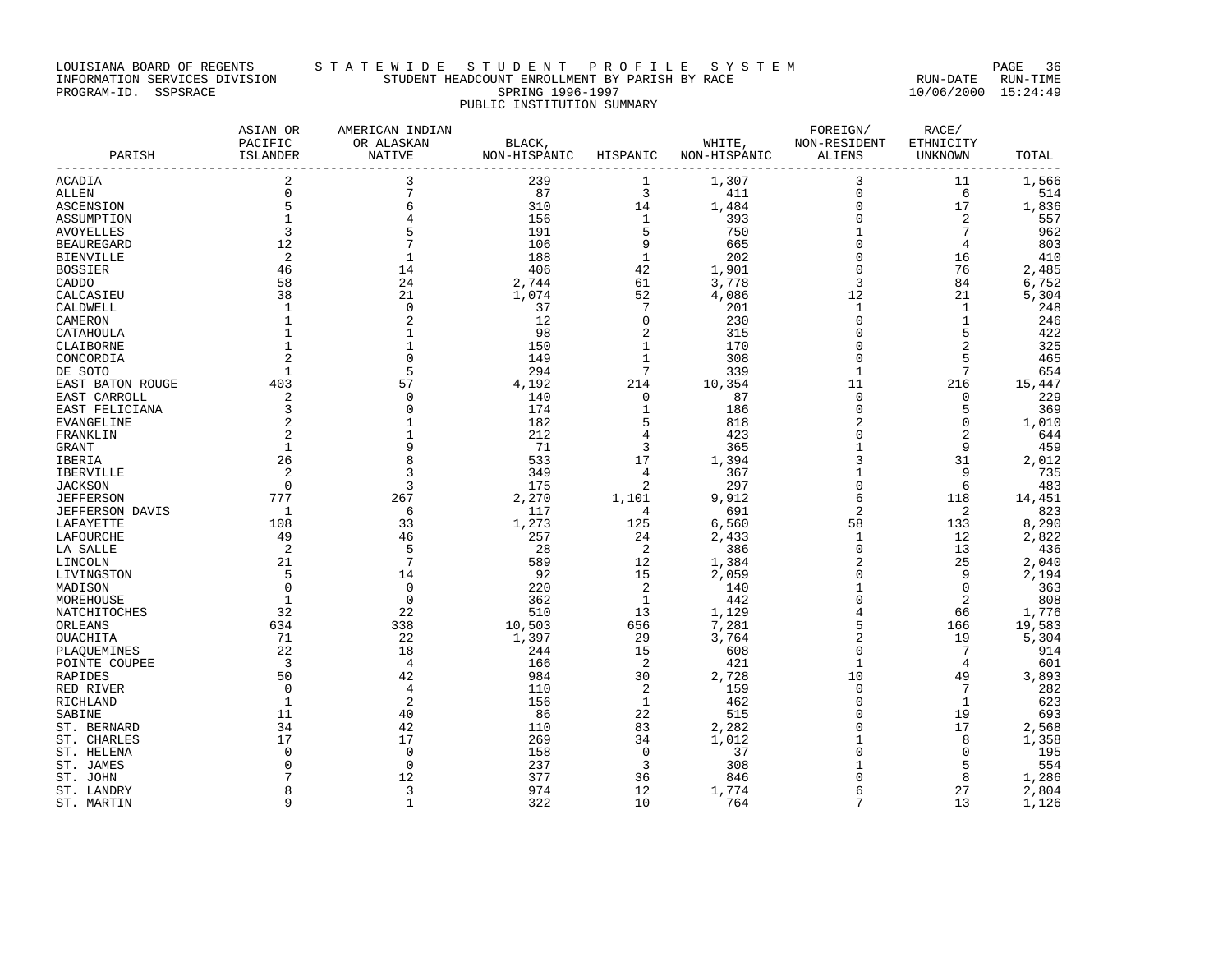# LOUISIANA BOARD OF REGENTS STA T E W I D E S T U D E N T P R O F I L E S Y S T E M PAGE 36 INFORMATION SERVICES DIVISION STUDENT HEADCOUNT ENROLLMENT BY PARISH BY RACE RUN-DATE RUN-TIME PROGRAM-ID. SSPSRACE SPRING 1996-1997 10/06/2000 15:24:49 PUBLIC INSTITUTION SUMMARY

| PARISH           | ASIAN OR<br>PACIFIC<br>ISLANDER | AMERICAN INDIAN<br>OR ALASKAN<br>NATIVE | BLACK,<br>NON-HISPANIC HISPANIC |              | WHITE,<br>NON-HISPANIC | FOREIGN/<br>NON-RESIDENT<br>ALIENS | RACE/<br>ETHNICITY<br>UNKNOWN | TOTAL  |
|------------------|---------------------------------|-----------------------------------------|---------------------------------|--------------|------------------------|------------------------------------|-------------------------------|--------|
|                  |                                 |                                         |                                 |              |                        |                                    |                               |        |
| ACADIA           | 2                               | 3                                       | 239                             | 1            | 1,307                  | 3                                  | 11                            | 1,566  |
| ALLEN            | $\mathbf 0$                     | 7                                       | 87                              | 3            | 411                    | $\mathbf 0$                        | 6                             | 514    |
| ASCENSION        | 5                               | 6                                       | 310                             | 14           | 1,484                  | $\mathbf 0$                        | 17                            | 1,836  |
| ASSUMPTION       | $\mathbf{1}$                    | 4                                       | 156                             | 1            | 393                    | $\mathbf 0$                        | 2                             | 557    |
| AVOYELLES        | 3                               | 5                                       | 191                             | 5            | 750                    | 1                                  | 7                             | 962    |
| BEAUREGARD       | 12                              | $7\phantom{.0}$                         | 106                             | 9            | 665                    | $\mathbf 0$                        | 4                             | 803    |
| BIENVILLE        | 2                               | 1                                       | 188                             | 1            | 202                    | $\mathbf 0$                        | 16                            | 410    |
| BOSSIER          | 46                              | 14                                      | 406                             | 42           | 1,901                  | $\mathbf 0$                        | 76                            | 2,485  |
| CADDO            | 58                              | 24                                      | 2,744                           | 61           | 3,778                  | 3                                  | 84                            | 6,752  |
| CALCASIEU        | 38                              | 21                                      | 1,074                           | 52           | 4,086                  | 12                                 | 21                            | 5,304  |
| CALDWELL         | 1                               | $\mathbf 0$                             | 37                              | 7            | 201                    | 1                                  | 1                             | 248    |
| CAMERON          | 1                               | 2                                       | 12                              | 0            | 230                    | $\Omega$                           | 1                             | 246    |
| CATAHOULA        | $\mathbf{1}$                    | $\mathbf{1}$                            | 98                              | 2            | 315                    | 0                                  | 5                             | 422    |
| CLAIBORNE        | 1                               | $\mathbf{1}$                            | 150                             | 1            | 170                    | $\Omega$                           | 2                             | 325    |
| CONCORDIA        | 2                               | $\mathbf 0$                             | 149                             | 1            | 308                    | 0                                  | 5                             | 465    |
| DE SOTO          | 1                               | 5                                       | 294                             | 7            | 339                    | 1                                  | 7                             | 654    |
| EAST BATON ROUGE | 403                             | 57                                      | 4,192                           | 214          | 10,354                 | 11                                 | 216                           | 15,447 |
| EAST CARROLL     | 2                               | $\Omega$                                | 140                             | $\mathbf 0$  | 87                     | $\Omega$                           | 0                             | 229    |
| EAST FELICIANA   | 3                               | $\Omega$                                | 174                             | $\mathbf{1}$ | 186                    | $\mathbf 0$                        | 5                             | 369    |
| EVANGELINE       |                                 | 1                                       | 182                             | 5            | 818                    | 2                                  | 0                             | 1,010  |
| FRANKLIN         | $\overline{2}$                  | $\mathbf{1}$                            | 212                             | 4            | 423                    | 0                                  | $\mathbf{2}$                  | 644    |
| GRANT            | 1                               | 9                                       | -71                             | 3            | 365                    | 1                                  | 9                             | 459    |
| IBERIA           | 26                              | 8                                       | 533                             | 17           | 1,394                  | 3                                  | 31                            | 2,012  |
| IBERVILLE        | 2                               | 3                                       | 349                             | 4            | 367                    | $\mathbf{1}$                       | 9                             | 735    |
| JACKSON          | $\Omega$                        | 3                                       | 175                             | 2            | 297                    | $\Omega$                           | -6                            | 483    |
| JEFFERSON        | 777                             | 267                                     | 2,270                           | 1,101        | 9,912                  | 6                                  | 118                           | 14,451 |
| JEFFERSON DAVIS  | $\overline{1}$                  | -6                                      | 117                             | 4            | 691                    | 2                                  | 2                             | 823    |
| LAFAYETTE        | 108                             | 33                                      | 1,273                           | 125          | 6,560                  | 58                                 | 133                           | 8,290  |
| LAFOURCHE        | 49                              | 46                                      | 257                             | 24           | 2,433                  | 1                                  | 12                            | 2,822  |
| LA SALLE         | 2                               | 5                                       | -28                             | 2            | 386                    | 0                                  | 13                            | 436    |
| LINCOLN          | 21                              | $7\phantom{.0}$                         | 589                             | 12           | 1,384                  | 2                                  | 25                            | 2,040  |
| LIVINGSTON       | 5                               | 14                                      | 92                              | 15           | 2,059                  | $\mathbf 0$                        | 9                             | 2,194  |
| MADISON          | $\Omega$                        | $\Omega$                                | 220                             | 2            | 140                    | 1                                  | $\Omega$                      | 363    |
| MOREHOUSE        | 1                               | $\Omega$                                | 362                             | 1            | 442                    | $\mathbf 0$                        | 2                             | 808    |
| NATCHITOCHES     | 32                              | 22                                      | 510                             | 13           | 1,129                  | 4                                  | 66                            | 1,776  |
| ORLEANS          | 634                             | 338                                     | 10,503                          | 656          | 7,281                  | 5                                  | 166                           | 19,583 |
| OUACHITA         | 71                              | 22                                      | 1,397                           | 29           | 3,764                  | 2                                  | 19                            | 5,304  |
| PLAOUEMINES      | 22                              | 18                                      | 244                             | 15           | 608                    | $\mathbf 0$                        | $7\phantom{.0}$               | 914    |
| POINTE COUPEE    | $\overline{\mathbf{3}}$         | 4                                       | 166                             | 2            | 421                    | 1                                  | 4                             | 601    |
| RAPIDES          | 50                              | 42                                      | 984                             | 30           | 2,728                  | 10                                 | 49                            | 3,893  |
| RED RIVER        | $\overline{0}$                  | 4                                       | 110                             | 2            | 159                    | 0                                  | $7\phantom{.0}$               | 282    |
| RICHLAND         | 1                               | 2                                       | 156                             | 1            | 462                    | $\Omega$                           | 1                             | 623    |
| SABINE           | 11                              | 40                                      | - 86                            | 22           | 515                    | $\Omega$                           | 19                            | 693    |
| ST. BERNARD      | 34                              | 42                                      | 110                             | 83           | 2,282                  | $\Omega$                           | 17                            | 2,568  |
| ST. CHARLES      | 17                              | 17                                      | 269                             | 34           | 1,012                  | 1                                  | 8                             | 1,358  |
| ST. HELENA       | $\Omega$                        | $\Omega$                                | 158                             | $\Omega$     | 37                     | $\Omega$                           | $\Omega$                      | 195    |
| ST. JAMES        | $\Omega$                        | $\Omega$                                | 237                             | 3            | 308                    | 1                                  | 5                             | 554    |
| ST. JOHN         |                                 | 12                                      | 377                             | 36           | 846                    | 0                                  | 8                             | 1,286  |
| ST. LANDRY       | 8                               | 3                                       | 974                             | 12           | 1,774                  | 6                                  | 27                            | 2,804  |
| ST. MARTIN       | 9                               | $\mathbf{1}$                            | 322                             | 10           | 764                    | 7                                  | 13                            | 1,126  |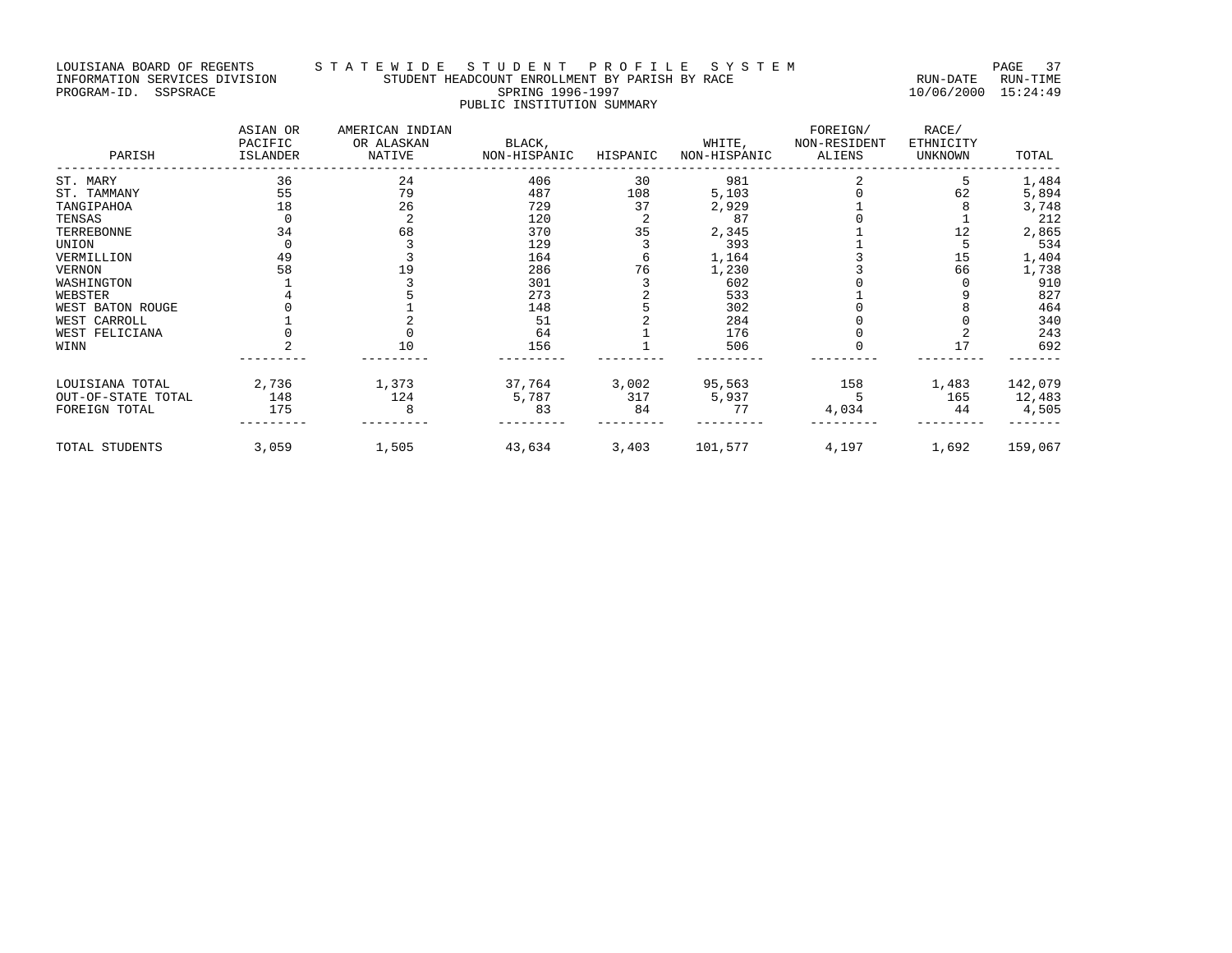# LOUISIANA BOARD OF REGENTS STA TE WIDE STUDENT PROFILE SYSTEM PAGE 37 INFORMATION SERVICES DIVISION STUDENT HEADCOUNT ENROLLMENT BY PARISH BY RACE RUN-DATE RUN-TIME PROGRAM-ID. SSPSRACE SPRING 1996-1997 10/06/2000 15:24:49 PUBLIC INSTITUTION SUMMARY

| PARISH             | ASIAN OR<br>PACIFIC<br>ISLANDER | AMERICAN INDIAN<br>OR ALASKAN<br>NATIVE | BLACK,<br>NON-HISPANIC | HISPANIC | WHITE,<br>NON-HISPANIC | FOREIGN/<br>NON-RESIDENT<br>ALIENS | RACE/<br>ETHNICITY<br><b>UNKNOWN</b> | TOTAL   |
|--------------------|---------------------------------|-----------------------------------------|------------------------|----------|------------------------|------------------------------------|--------------------------------------|---------|
| ST. MARY           | 36                              | 24                                      | 406                    | 30       | 981                    |                                    |                                      | 1,484   |
| ST. TAMMANY        | 55                              | 79                                      | 487                    | 108      | 5,103                  |                                    | 62                                   | 5,894   |
| TANGIPAHOA         | 18                              | 26                                      | 729                    | 37       | 2,929                  |                                    |                                      | 3,748   |
| TENSAS             |                                 |                                         | 120                    |          | 87                     |                                    |                                      | 212     |
| TERREBONNE         | 34                              | 68                                      | 370                    | 35       | 2,345                  |                                    | 12                                   | 2,865   |
| UNION              |                                 |                                         | 129                    |          | 393                    |                                    |                                      | 534     |
| VERMILLION         | 49                              |                                         | 164                    |          | 1,164                  |                                    | 15                                   | 1,404   |
| VERNON             | 58                              | 19                                      | 286                    | 76       | 1,230                  |                                    | 66                                   | 1,738   |
| WASHINGTON         |                                 |                                         | 301                    |          | 602                    |                                    |                                      | 910     |
| WEBSTER            |                                 |                                         | 273                    |          | 533                    |                                    |                                      | 827     |
| WEST BATON ROUGE   |                                 |                                         | 148                    |          | 302                    |                                    |                                      | 464     |
| WEST CARROLL       |                                 |                                         | 51                     |          | 284                    |                                    |                                      | 340     |
| WEST FELICIANA     |                                 |                                         | 64                     |          | 176                    |                                    |                                      | 243     |
| WINN               |                                 | 10                                      | 156                    |          | 506                    |                                    |                                      | 692     |
| LOUISIANA TOTAL    | 2,736                           | 1,373                                   | 37,764                 | 3,002    | 95,563                 | 158                                | 1,483                                | 142,079 |
| OUT-OF-STATE TOTAL | 148                             | 124                                     | 5,787                  | 317      | 5,937                  |                                    | 165                                  | 12,483  |
| FOREIGN TOTAL      | 175                             | 8                                       | 83                     | 84       | 77                     | 4,034                              | 44                                   | 4,505   |
| TOTAL STUDENTS     | 3,059                           | 1,505                                   | 43,634                 | 3,403    | 101,577                | 4,197                              | 1,692                                | 159,067 |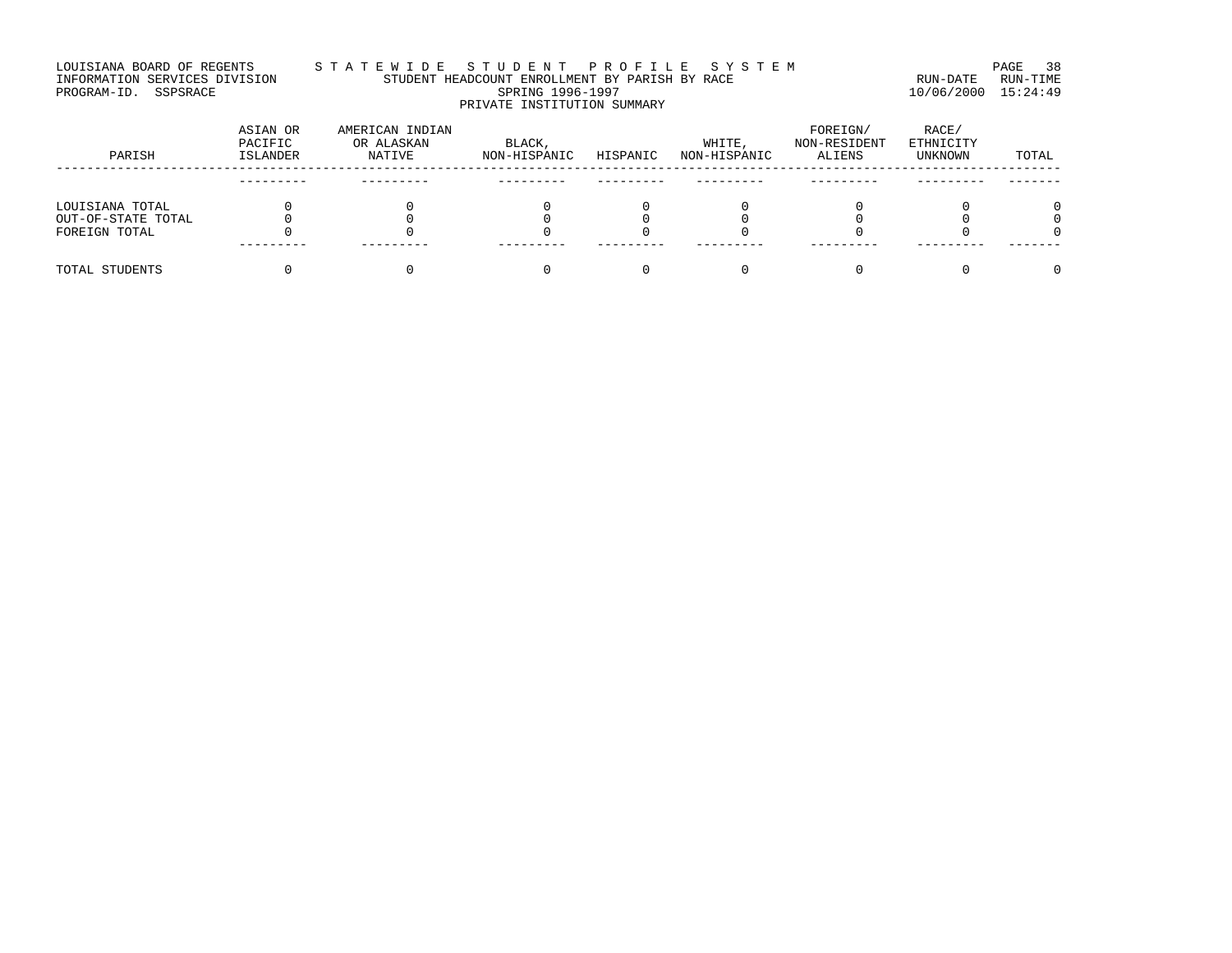# LOUISIANA BOARD OF REGENTS STA TE WIDE STUDENT PROFILE SYSTEM PAGE 38 INFORMATION SERVICES DIVISION STUDENT HEADCOUNT ENROLLMENT BY PARISH BY RACE RUN-DATE RUN-TIME PROGRAM-ID. SSPSRACE SPRING 1996-1997 10/06/2000 15:24:49 PRIVATE INSTITUTION SUMMARY

| PARISH             | ASIAN OR<br>PACIFIC<br>ISLANDER | AMERICAN INDIAN<br>OR ALASKAN<br>NATIVE | BLACK,<br>NON-HISPANIC | HISPANIC | WHITE,<br>NON-HISPANIC | FOREIGN/<br>NON-RESIDENT<br>ALIENS | RACE/<br>ETHNICITY<br>UNKNOWN | TOTAL |
|--------------------|---------------------------------|-----------------------------------------|------------------------|----------|------------------------|------------------------------------|-------------------------------|-------|
|                    |                                 |                                         |                        |          |                        |                                    |                               |       |
| LOUISIANA TOTAL    |                                 |                                         |                        |          |                        |                                    |                               | ∩     |
| OUT-OF-STATE TOTAL |                                 |                                         |                        |          |                        |                                    |                               |       |
| FOREIGN TOTAL      |                                 |                                         |                        |          |                        |                                    |                               |       |
| TOTAL STUDENTS     |                                 |                                         |                        |          |                        |                                    |                               | 0     |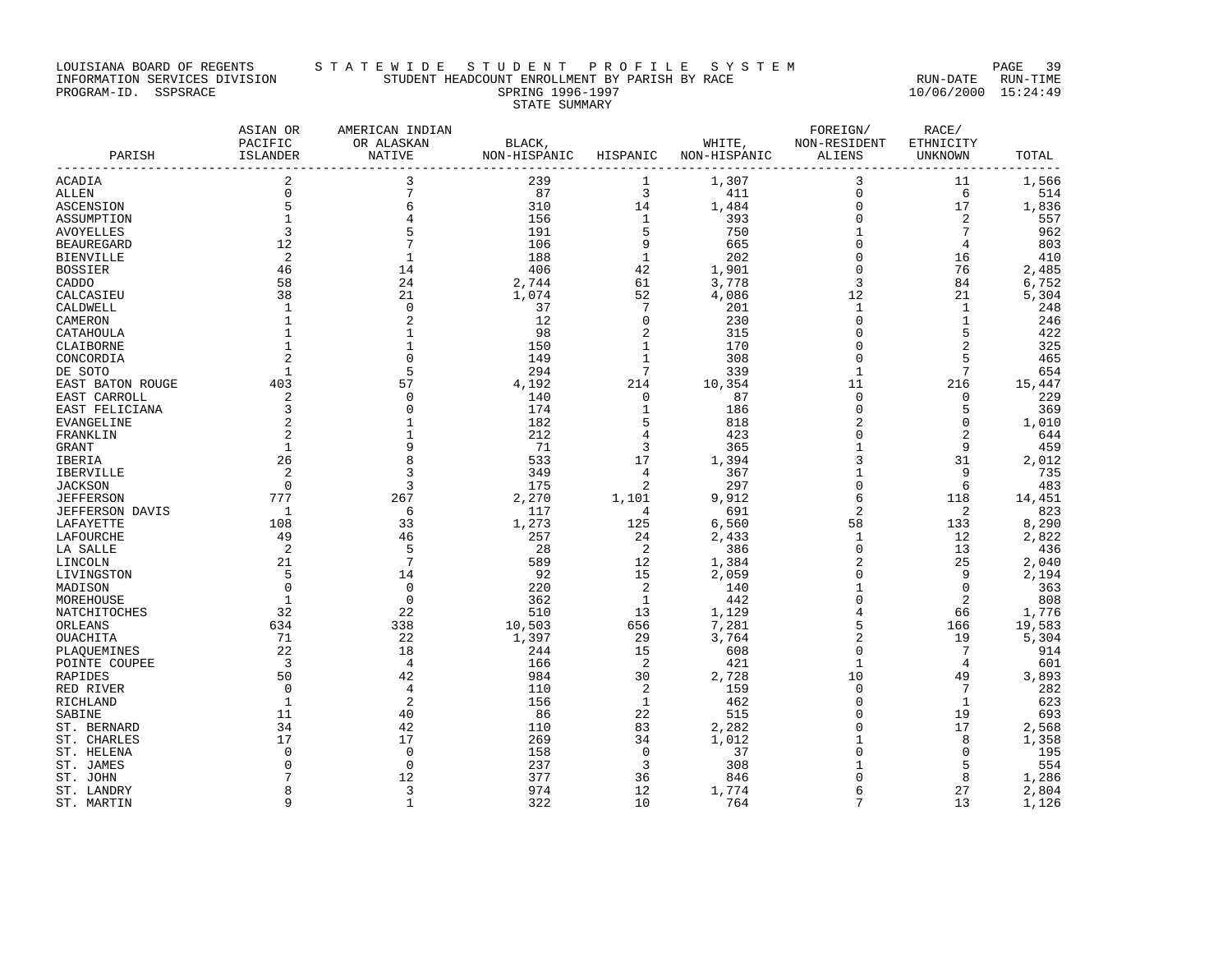#### LOUISIANA BOARD OF REGENTS S T A T E W I D E S T U D E N T P R O F I L E S Y S T E M PAGE 39 INFORMATION SERVICES DIVISION STUDENT HEADCOUNT ENROLLMENT BY PARISH BY RACE RUN-DATE RUN-TIME PROGRAM-ID. SSPSRACE SPRING 1996-1997 10/06/2000 15:24:49 STATE SUMMARY

| PARISH                 | ASIAN OR<br>PACIFIC<br>ISLANDER | AMERICAN INDIAN<br>OR ALASKAN<br>NATIVE | BLACK,<br>NON-HISPANIC HISPANIC |                            | NON-HISPANIC | FOREIGN/<br>WHITE, NON-RESIDENT<br>ALIENS | RACE/<br>ETHNICITY<br>UNKNOWN | TOTAL          |
|------------------------|---------------------------------|-----------------------------------------|---------------------------------|----------------------------|--------------|-------------------------------------------|-------------------------------|----------------|
| ACADIA                 | 2                               | 3                                       | 239                             | 1                          | 1,307        | 3                                         | 11                            | 1,566          |
| ALLEN                  | $\mathbf 0$                     | $7\overline{ }$                         | 87                              | $\overline{3}$             | 411          | $\mathbf 0$                               | 6                             | 514            |
| <b>ASCENSION</b>       | 5                               | 6                                       | 310                             | 14                         | 1,484        | 0                                         | 17                            | 1,836          |
| ASSUMPTION             | $\mathbf{1}$                    | $\overline{4}$                          | 156                             | 1                          | 393          | $\mathbf 0$                               | 2                             | 557            |
| AVOYELLES              | $\overline{3}$                  | 5                                       | 191                             | 5                          | 750          | 1                                         | $7\phantom{.0}$               | 962            |
| <b>BEAUREGARD</b>      | 12                              | 7                                       | 106                             | 9                          | 665          | $\mathbf 0$                               | 4                             | 803            |
| BIENVILLE              | 2                               | 1                                       | 188                             | 1                          | 202          | $\mathbf 0$                               | 16                            | 410            |
| <b>BOSSIER</b>         | 46                              | 14                                      | 406                             | 42                         | 1,901        | $\mathbf 0$                               | 76                            | 2,485          |
| CADDO                  | 58                              | 24                                      | 2,744                           | 61                         | 3,778        | 3                                         | 84                            | 6,752          |
| CALCASIEU              | 38                              | 21                                      | 1,074                           | 52                         | 4,086        | 12                                        | 21                            | 5,304          |
| CALDWELL               | 1                               | 0                                       | 37                              | $7\phantom{.0}$            | 201          | 1                                         | $\mathbf{1}$                  | 248            |
| CAMERON                | 1                               | 2                                       | 12                              | $\overline{0}$             | 230          | $\mathbf 0$                               | $\mathbf{1}$                  | 246            |
| CATAHOULA              | $\mathbf{1}$                    | $\mathbf{1}$                            | 98                              | 2                          | 315          | $\mathbf 0$                               | 5                             | 422            |
| CLAIBORNE              |                                 | $\mathbf{1}$                            | 150                             | $\mathbf{1}$               | 170          | $\mathbf 0$                               |                               | 325            |
| CONCORDIA              | $\overline{2}$                  | $\mathbf 0$                             | 149                             | $\mathbf{1}$               | 308          | $\mathbf 0$                               | 5                             | 465            |
| DE SOTO                | $\mathbf{1}$                    | 5                                       | 294                             | $7\phantom{.0}$            | 339          | 1                                         | $7\phantom{.0}$               | 654            |
| EAST BATON ROUGE       | 403                             | 57                                      | 4,192                           | 214                        | 10,354       | 11                                        | 216                           | 15,447         |
| EAST CARROLL           | 2                               | $\Omega$                                | 140                             | $\overline{0}$             | 87           | $\Omega$                                  | $\Omega$                      | 229            |
| EAST FELICIANA         | 3                               | $\Omega$                                | 174                             | $\mathbf{1}$               | 186          | $\mathbf 0$                               | 5                             | 369            |
| EVANGELINE             | $\overline{c}$                  |                                         | 182                             | 5                          | 818          | 2                                         | 0                             | 1,010          |
| FRANKLIN               | 2                               | $\mathbf{1}$                            | 212                             | 4                          | 423          | 0                                         |                               | 644            |
| GRANT                  | 1                               | 9                                       | 71                              | 3                          | 365          | 1                                         | 9                             | 459            |
| IBERIA                 | 26                              | 8                                       | 533                             | 17                         | 1,394        | 3                                         | 31                            | 2,012          |
| IBERVILLE              | 2                               | $\overline{3}$                          | 349                             | 4                          | 367          | 1                                         | 9                             | 735            |
| <b>JACKSON</b>         | $\overline{\phantom{0}}$        | 3                                       | 175                             | 2                          | 297          | $\mathbf 0$                               | 6                             | 483            |
| JEFFERSON              | 777                             | 267                                     | 2,270                           | 1,101                      | 9,912        | 6                                         | 118                           | 14,451         |
| JEFFERSON DAVIS        | $\overline{1}$                  | - 6                                     | 117                             | 4                          | 691          | 2                                         | 2                             | 823            |
| LAFAYETTE              | 108                             | 33                                      | 1,273                           | 125                        | 6,560        | 58                                        | 133                           | 8,290          |
| LAFOURCHE              | 49                              | 46                                      | 257                             | 24                         | 2,433        | 1                                         | 12                            | 2,822          |
| LA SALLE               | 2                               | 5                                       | 28                              | $\overline{\phantom{0}}^2$ | 386          | $\mathbf 0$                               | 13                            | 436            |
| LINCOLN                | 21                              | 7                                       | 589                             | 12                         | 1,384        | 2                                         | 25                            | 2,040          |
| LIVINGSTON             | -5                              | 14                                      | 92                              | 15                         | 2,059        | $\mathbf 0$                               | 9                             | 2,194          |
| MADISON                | $\overline{0}$                  | $\mathbf 0$                             | 220                             | 2                          | 140          | 1                                         | $\Omega$                      | 363            |
| MOREHOUSE              | <sup>1</sup>                    | $\Omega$                                | 362                             | 1                          | 442          | $\mathbf 0$                               | 2                             | 808            |
| NATCHITOCHES           | 32                              | 22                                      | 510                             | 13                         | 1,129        | 4                                         | 66                            | 1,776          |
| ORLEANS                | 634                             | 338                                     | 10,503                          | 656                        | 7,281        | 5                                         | 166                           | 19,583         |
| OUACHITA               | 71                              | 22                                      | 1,397                           | 29                         | 3,764        | 2                                         | 19                            | 5,304          |
| PLAOUEMINES            | 22                              | 18                                      | 244                             | 15                         | 608          | $\mathbf 0$                               | 7                             | 914            |
| POINTE COUPEE          | $\overline{\phantom{a}}$        | 4                                       | 166                             | $\overline{c}$             | 421          | 1                                         | 4                             | 601            |
| RAPIDES                | 50                              | 42                                      | 984                             | 30                         | 2,728        | 10                                        | 49                            | 3,893          |
| RED RIVER              | $\overline{0}$                  | 4                                       | 110                             | $\overline{2}$             | 159          | $\mathbf 0$                               | $7\phantom{.0}$               | 282            |
| RICHLAND               | $\mathbf{1}$                    | $\overline{2}$                          | 156                             | 1                          | 462          | 0                                         | $\mathbf{1}$                  | 623            |
| SABINE                 | 11                              | 40                                      | 86                              | 22                         | 515          | $\Omega$                                  | 19                            | 693            |
| ST. BERNARD            | 34                              | 42                                      | 110                             | 83                         | 2,282        | 0                                         | 17                            | 2,568          |
| ST. CHARLES            | 17                              | 17                                      | 269                             | 34                         | 1,012        | 1                                         | 8                             | 1,358          |
| ST. HELENA             | $\Omega$<br>$\Omega$            | $\Omega$<br>$\Omega$                    | 158                             | $\overline{0}$             | 37           | $\mathbf 0$                               | $\Omega$                      | 195<br>554     |
| ST. JAMES              |                                 | 12                                      | 237<br>377                      | 3<br>36                    | 308<br>846   | 1<br>$\Omega$                             | 5<br>8                        |                |
| ST. JOHN<br>ST. LANDRY | 8                               | 3                                       | 974                             | 12                         | 1,774        | 6                                         | 27                            | 1,286<br>2,804 |
| ST. MARTIN             | 9                               | $\mathbf{1}$                            | 322                             | 10                         | 764          | 7                                         | 13                            | 1,126          |
|                        |                                 |                                         |                                 |                            |              |                                           |                               |                |